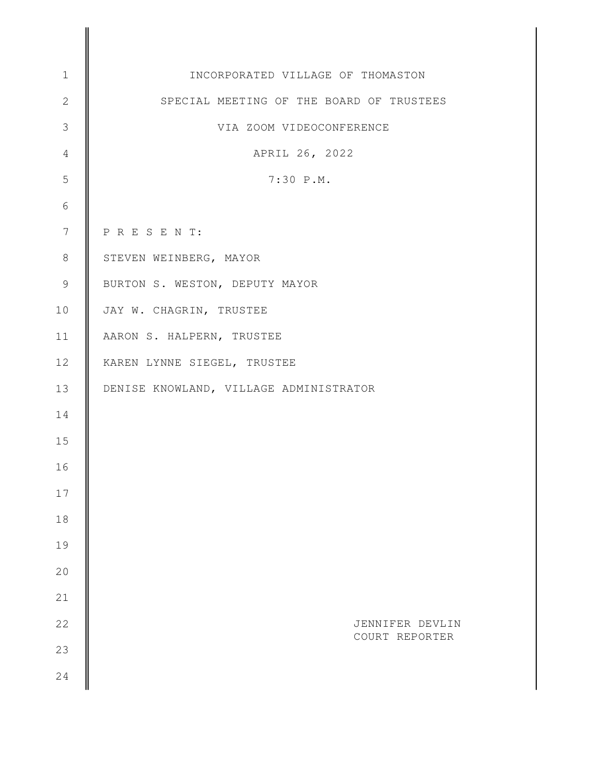| $1\,$           | INCORPORATED VILLAGE OF THOMASTON        |
|-----------------|------------------------------------------|
| $\mathbf{2}$    | SPECIAL MEETING OF THE BOARD OF TRUSTEES |
| $\mathfrak{Z}$  | VIA ZOOM VIDEOCONFERENCE                 |
| $\overline{4}$  | APRIL 26, 2022                           |
| 5               | 7:30 P.M.                                |
| 6               |                                          |
| $7\phantom{.0}$ | PRESENT:                                 |
| $8\,$           | STEVEN WEINBERG, MAYOR                   |
| $\overline{9}$  | BURTON S. WESTON, DEPUTY MAYOR           |
| 10              | JAY W. CHAGRIN, TRUSTEE                  |
| 11              | AARON S. HALPERN, TRUSTEE                |
| 12              | KAREN LYNNE SIEGEL, TRUSTEE              |
| 13              | DENISE KNOWLAND, VILLAGE ADMINISTRATOR   |
| 14              |                                          |
| 15              |                                          |
| 16              |                                          |
| 17              |                                          |
| 18              |                                          |
| 19              |                                          |
| 20              |                                          |
| 21              |                                          |
| 22              | JENNIFER DEVLIN<br>COURT REPORTER        |
| 23              |                                          |
| 24              |                                          |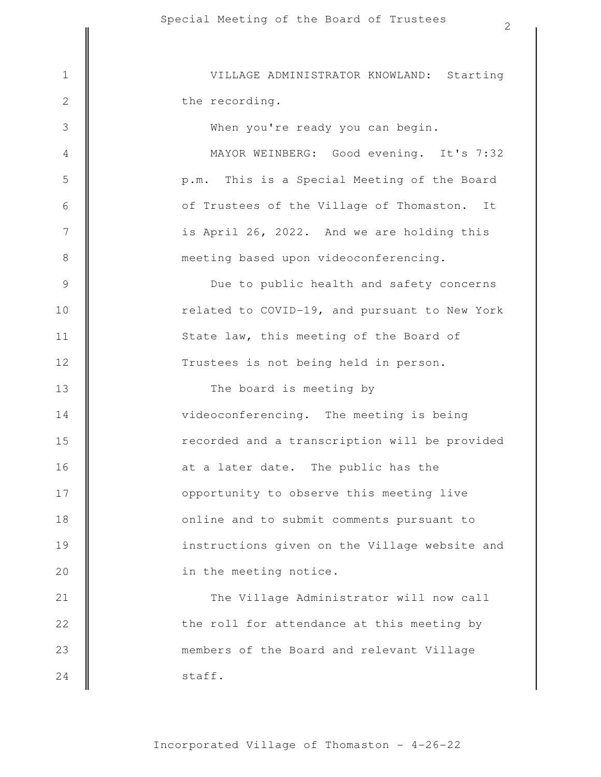members of the Board and relevant Village the roll for attendance at this meeting by The Village Administrator will now call in the meeting notice. instructions given on the Village website and online and to submit comments pursuant to opportunity to observe this meeting live at a later date. The public has the recorded and a transcription will be provided videoconferencing. The meeting is being The board is meeting by Trustees is not being held in person. State law, this meeting of the Board of related to COVID-19, and pursuant to New York Due to public health and safety concerns meeting based upon videoconferencing. is April 26, 2022. And we are holding this of Trustees of the Village of Thomaston. It p.m. This is a Special Meeting of the Board MAYOR WEINBERG: Good evening. It's 7:32 When you're ready you can begin. the recording. 1 || VILLAGE ADMINISTRATOR KNOWLAND: Starting 2 3 4 5 6 7 8 9 10 11 12 13 14 15 16 17 18 19 20 21 22 23

staff.

24

2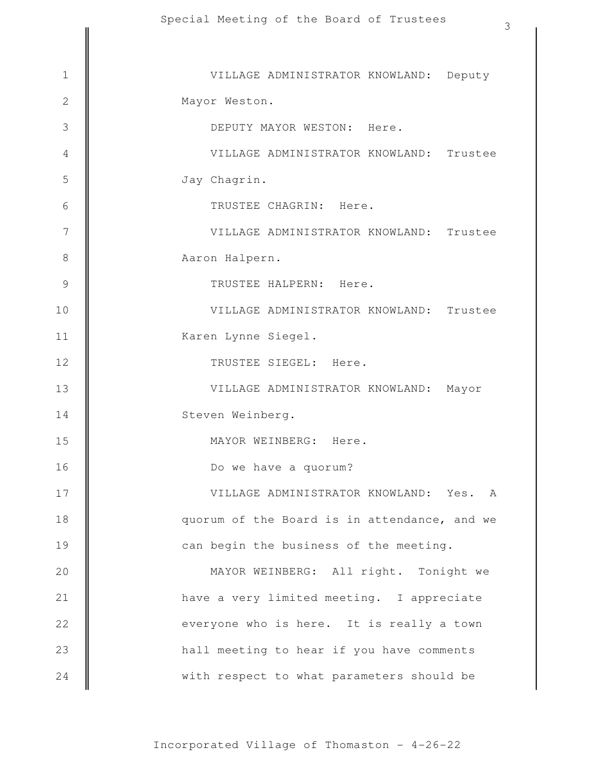| 3                                            |
|----------------------------------------------|
| VILLAGE ADMINISTRATOR KNOWLAND: Deputy       |
| Mayor Weston.                                |
| DEPUTY MAYOR WESTON: Here.                   |
| VILLAGE ADMINISTRATOR KNOWLAND: Trustee      |
| Jay Chagrin.                                 |
| TRUSTEE CHAGRIN: Here.                       |
| VILLAGE ADMINISTRATOR KNOWLAND: Trustee      |
| Aaron Halpern.                               |
| TRUSTEE HALPERN: Here.                       |
| VILLAGE ADMINISTRATOR KNOWLAND: Trustee      |
| Karen Lynne Siegel.                          |
| TRUSTEE SIEGEL: Here.                        |
| VILLAGE ADMINISTRATOR KNOWLAND:<br>Mayor     |
| Steven Weinberg.                             |
| MAYOR WEINBERG: Here.                        |
| Do we have a quorum?                         |
| VILLAGE ADMINISTRATOR KNOWLAND: Yes. A       |
| quorum of the Board is in attendance, and we |
| can begin the business of the meeting.       |
| MAYOR WEINBERG: All right. Tonight we        |
| have a very limited meeting. I appreciate    |
| everyone who is here. It is really a town    |
| hall meeting to hear if you have comments    |
| with respect to what parameters should be    |
|                                              |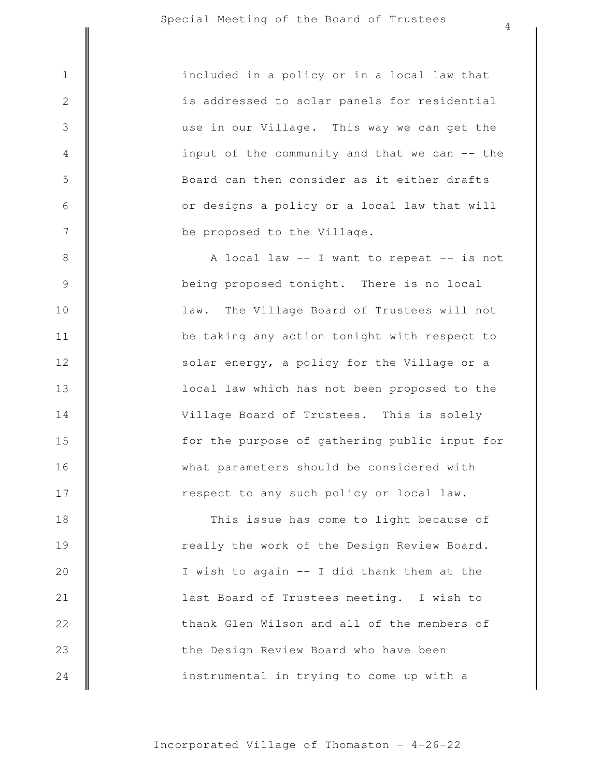3

4

5

6

7

8

9

10

11

12

13

14

15

16

17

be proposed to the Village. or designs a policy or a local law that will Board can then consider as it either drafts input of the community and that we can -- the use in our Village. This way we can get the is addressed to solar panels for residential 1 included in a policy or in a local law that

> respect to any such policy or local law. what parameters should be considered with for the purpose of gathering public input for Village Board of Trustees. This is solely local law which has not been proposed to the solar energy, a policy for the Village or a be taking any action tonight with respect to law. The Village Board of Trustees will not being proposed tonight. There is no local A local law -- I want to repeat -- is not

instrumental in trying to come up with a the Design Review Board who have been thank Glen Wilson and all of the members of last Board of Trustees meeting. I wish to I wish to again -- I did thank them at the really the work of the Design Review Board. This issue has come to light because of 18 19 20 21 22 23 24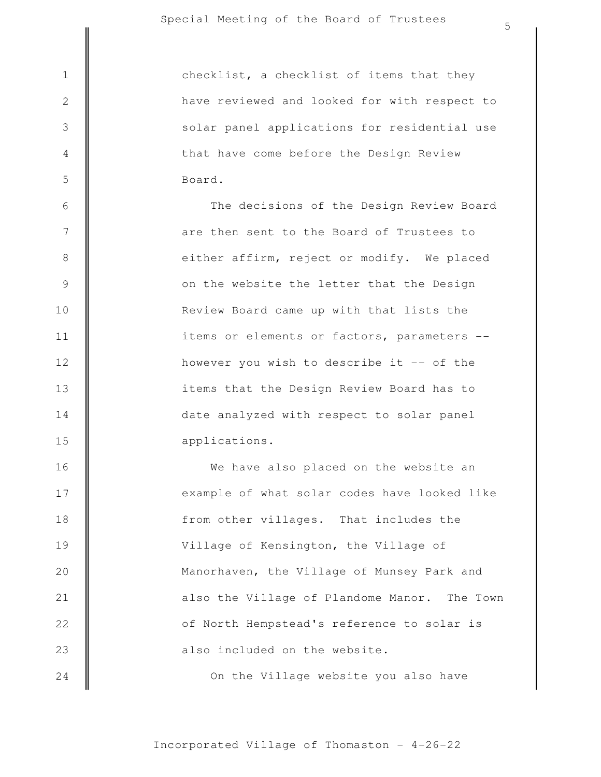3

4

5

6

7

8

9

10

11

12

13

14

15

Board. that have come before the Design Review solar panel applications for residential use have reviewed and looked for with respect to 1 || checklist, a checklist of items that they

applications. date analyzed with respect to solar panel items that the Design Review Board has to however you wish to describe it -- of the items or elements or factors, parameters -- Review Board came up with that lists the on the website the letter that the Design either affirm, reject or modify. We placed are then sent to the Board of Trustees to The decisions of the Design Review Board

On the Village website you also have also included on the website. of North Hempstead's reference to solar is also the Village of Plandome Manor. The Town Manorhaven, the Village of Munsey Park and Village of Kensington, the Village of from other villages. That includes the example of what solar codes have looked like We have also placed on the website an 16 17 18 19 20 21 22 23 24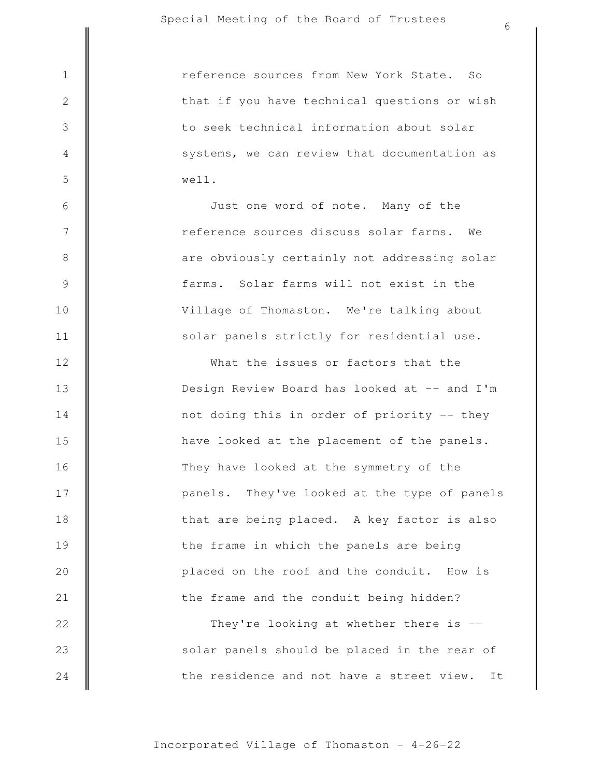|                | 6                                               |
|----------------|-------------------------------------------------|
| $\mathbf 1$    | reference sources from New York State.<br>So    |
| $\sqrt{2}$     | that if you have technical questions or wish    |
| $\mathfrak{Z}$ | to seek technical information about solar       |
| $\overline{4}$ | systems, we can review that documentation as    |
|                |                                                 |
| 5              | well.                                           |
| $\sqrt{6}$     | Just one word of note. Many of the              |
| 7              | reference sources discuss solar farms.<br>We    |
| $\,8\,$        | are obviously certainly not addressing solar    |
| $\mathcal{G}$  | farms. Solar farms will not exist in the        |
| 10             | Village of Thomaston. We're talking about       |
| 11             | solar panels strictly for residential use.      |
| 12             | What the issues or factors that the             |
| 13             | Design Review Board has looked at -- and I'm    |
| 14             | not doing this in order of priority -- they     |
| 15             | have looked at the placement of the panels.     |
| 16             | They have looked at the symmetry of the         |
| 17             | panels. They've looked at the type of panels    |
| 18             | that are being placed. A key factor is also     |
| 19             | the frame in which the panels are being         |
| 20             | placed on the roof and the conduit. How is      |
| 21             | the frame and the conduit being hidden?         |
| 22             | They're looking at whether there is --          |
| 23             | solar panels should be placed in the rear of    |
| 24             | the residence and not have a street view.<br>It |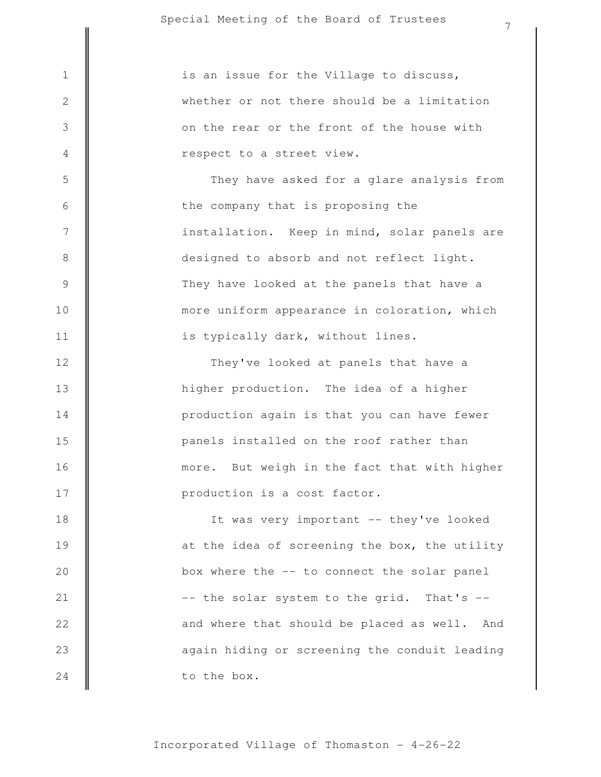again hiding or screening the conduit leading and where that should be placed as well. And -- the solar system to the grid. That's -box where the -- to connect the solar panel at the idea of screening the box, the utility It was very important -- they've looked production is a cost factor. more. But weigh in the fact that with higher panels installed on the roof rather than production again is that you can have fewer higher production. The idea of a higher They've looked at panels that have a is typically dark, without lines. more uniform appearance in coloration, which They have looked at the panels that have a designed to absorb and not reflect light. installation. Keep in mind, solar panels are the company that is proposing the They have asked for a glare analysis from respect to a street view. on the rear or the front of the house with whether or not there should be a limitation  $1 \parallel$  is an issue for the Village to discuss, 2 3 4 5 6 7 8 9 10 11 12 13 14 15 16 17 18 19 20 21 22 23

to the box.

24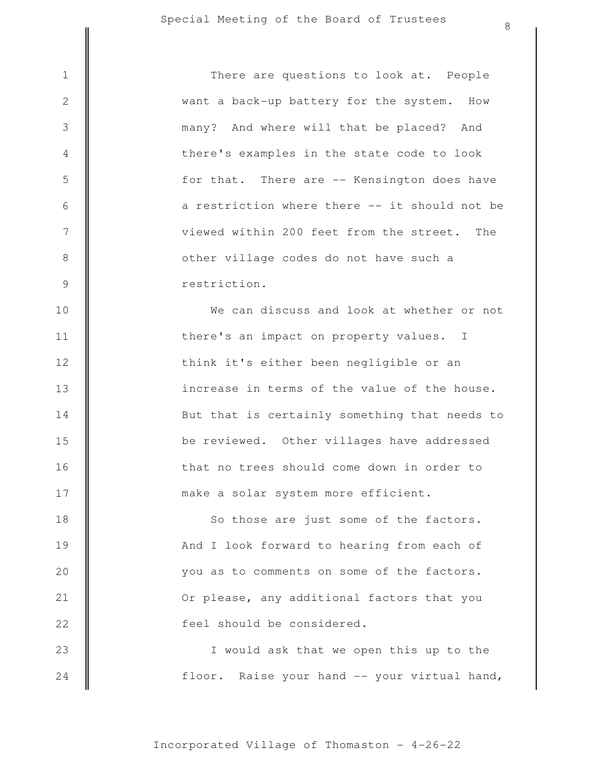3

4

5

6

7

8

9

10

11

12

13

14

15

16

17

restriction. other village codes do not have such a viewed within 200 feet from the street. The a restriction where there -- it should not be for that. There are -- Kensington does have there's examples in the state code to look many? And where will that be placed? And want a back-up battery for the system. How 1 || There are questions to look at. People

make a solar system more efficient. that no trees should come down in order to be reviewed. Other villages have addressed But that is certainly something that needs to increase in terms of the value of the house. think it's either been negligible or an there's an impact on property values. I We can discuss and look at whether or not

feel should be considered. Or please, any additional factors that you you as to comments on some of the factors. And I look forward to hearing from each of So those are just some of the factors. 18 19 20 21 22

floor. Raise your hand -- your virtual hand, I would ask that we open this up to the 23 24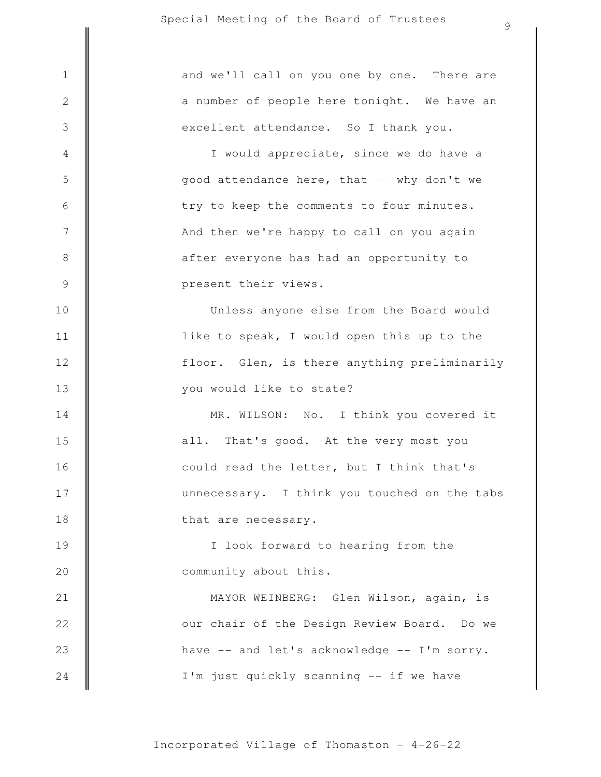I'm just quickly scanning -- if we have have -- and let's acknowledge -- I'm sorry. our chair of the Design Review Board. Do we MAYOR WEINBERG: Glen Wilson, again, is community about this. I look forward to hearing from the that are necessary. unnecessary. I think you touched on the tabs could read the letter, but I think that's all. That's good. At the very most you MR. WILSON: No. I think you covered it you would like to state? floor. Glen, is there anything preliminarily like to speak, I would open this up to the Unless anyone else from the Board would present their views. after everyone has had an opportunity to And then we're happy to call on you again try to keep the comments to four minutes. good attendance here, that -- why don't we I would appreciate, since we do have a excellent attendance. So I thank you. a number of people here tonight. We have an 1 and we'll call on you one by one. There are 2 3 4 5 6 7 8 9 10 11 12 13 14 15 16 17 18 19 20 21 22 23 24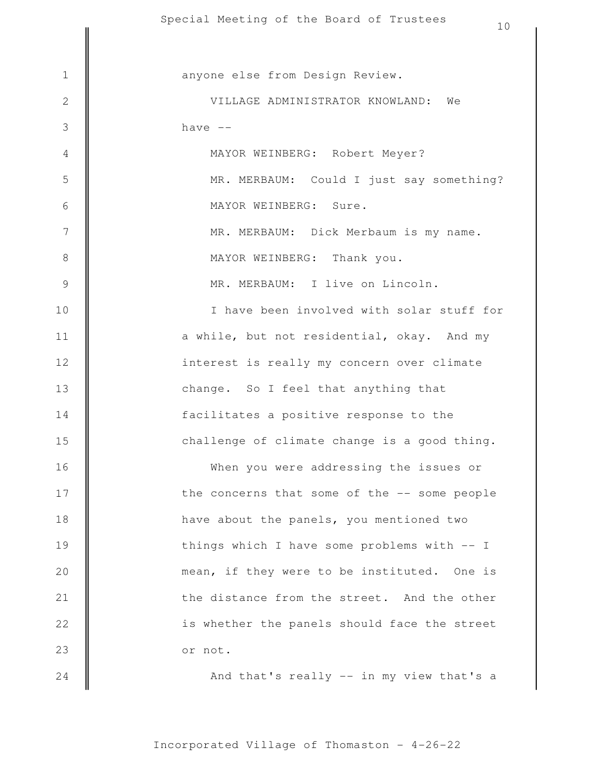|                 | phecial meeting of the poard of frustees<br>10 |
|-----------------|------------------------------------------------|
|                 |                                                |
| $1\,$           | anyone else from Design Review.                |
| $\overline{2}$  | VILLAGE ADMINISTRATOR KNOWLAND: We             |
| 3               | have $--$                                      |
| 4               | MAYOR WEINBERG: Robert Meyer?                  |
| 5               | MR. MERBAUM: Could I just say something?       |
| 6               | MAYOR WEINBERG: Sure.                          |
| $7\phantom{.0}$ | MR. MERBAUM: Dick Merbaum is my name.          |
| $\,8\,$         | MAYOR WEINBERG: Thank you.                     |
| $\mathsf 9$     | MR. MERBAUM: I live on Lincoln.                |
| 10              | I have been involved with solar stuff for      |
| 11              | a while, but not residential, okay. And my     |
| 12              | interest is really my concern over climate     |
| 13              | change. So I feel that anything that           |
| 14              | facilitates a positive response to the         |
| 15              | challenge of climate change is a good thing.   |
| 16              | When you were addressing the issues or         |
| 17              | the concerns that some of the -- some people   |
| 18              | have about the panels, you mentioned two       |
| 19              | things which I have some problems with -- I    |
| 20              | mean, if they were to be instituted. One is    |
| 21              | the distance from the street. And the other    |
| 22              | is whether the panels should face the street   |
| 23              | or not.                                        |
| 24              | And that's really -- in my view that's a       |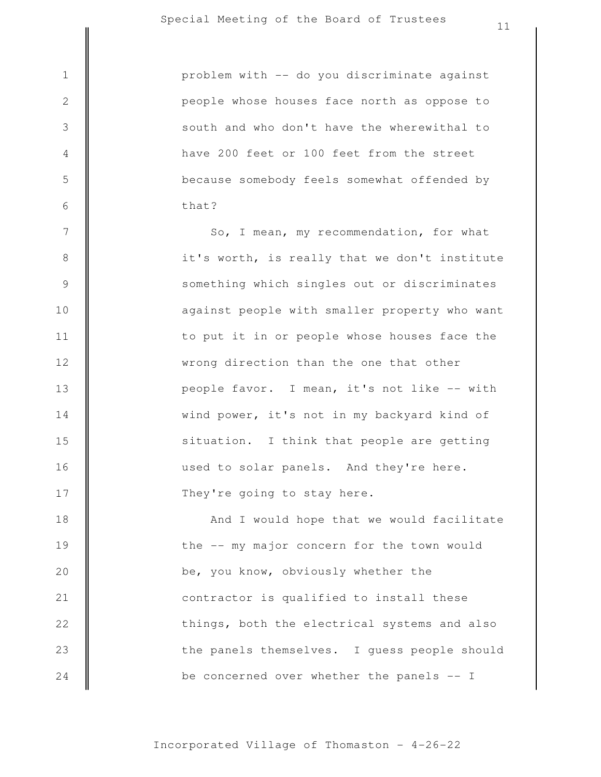| $\mathbf 1$      | problem with -- do you discriminate against   |
|------------------|-----------------------------------------------|
| $\mathbf 2$      | people whose houses face north as oppose to   |
| $\mathfrak{Z}$   | south and who don't have the wherewithal to   |
| $\overline{4}$   | have 200 feet or 100 feet from the street     |
| 5                | because somebody feels somewhat offended by   |
| 6                | that?                                         |
| $\boldsymbol{7}$ | So, I mean, my recommendation, for what       |
| $\,8\,$          | it's worth, is really that we don't institute |
| $\mathsf 9$      | something which singles out or discriminates  |
| 10               | against people with smaller property who want |
| 11               | to put it in or people whose houses face the  |
| 12               | wrong direction than the one that other       |
| 13               | people favor. I mean, it's not like -- with   |
| 14               | wind power, it's not in my backyard kind of   |
| 15               | situation. I think that people are getting    |
| 16               | used to solar panels. And they're here.       |
| 17               | They're going to stay here.                   |
| 18               | And I would hope that we would facilitate     |
| 19               | the -- my major concern for the town would    |
| 20               | be, you know, obviously whether the           |
| 21               | contractor is qualified to install these      |

be concerned over whether the panels -- I the panels themselves. I guess people should things, both the electrical systems and also

22

 $\mathbb{I}$ 

23

24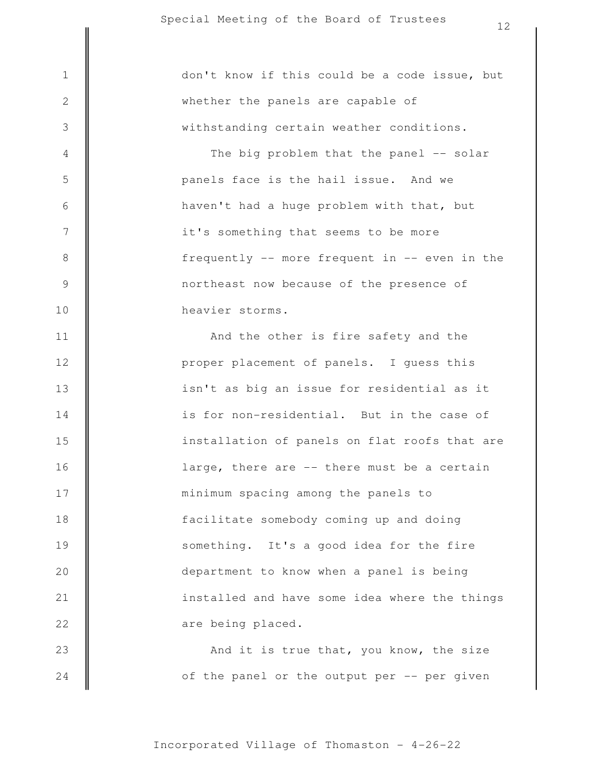And it is true that, you know, the size are being placed. installed and have some idea where the things department to know when a panel is being something. It's a good idea for the fire facilitate somebody coming up and doing minimum spacing among the panels to large, there are -- there must be a certain installation of panels on flat roofs that are is for non-residential. But in the case of isn't as big an issue for residential as it proper placement of panels. I guess this And the other is fire safety and the heavier storms. northeast now because of the presence of frequently -- more frequent in -- even in the it's something that seems to be more haven't had a huge problem with that, but panels face is the hail issue. And we The big problem that the panel -- solar withstanding certain weather conditions. whether the panels are capable of 1 || don't know if this could be a code issue, but 2 3 4 5 6 7 8 9 10 11 12 13 14 15 16 17 18 19 20 21 22 23

of the panel or the output per -- per given

24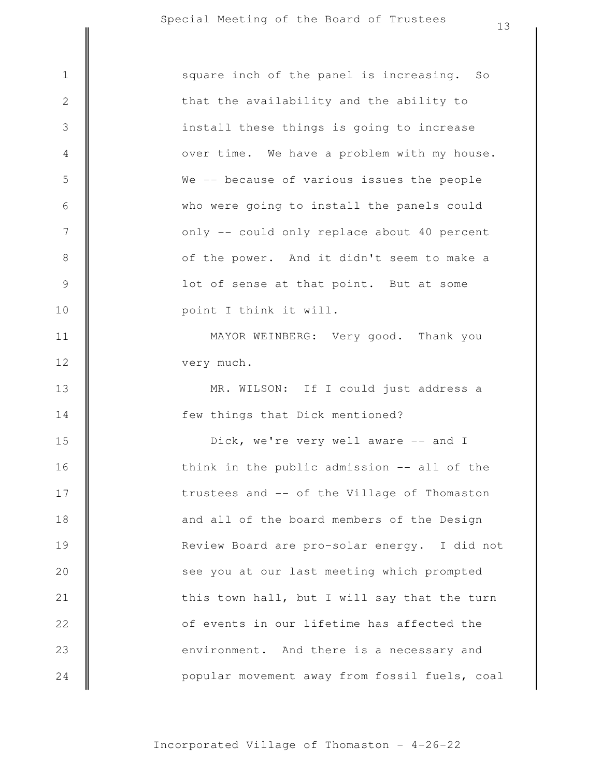|                  | ⊥ ⊃                                           |
|------------------|-----------------------------------------------|
| $\mathbf 1$      | square inch of the panel is increasing. So    |
| $\sqrt{2}$       | that the availability and the ability to      |
| $\mathfrak{Z}$   | install these things is going to increase     |
| $\overline{4}$   | over time. We have a problem with my house.   |
| 5                | We -- because of various issues the people    |
| 6                | who were going to install the panels could    |
| $\boldsymbol{7}$ | only -- could only replace about 40 percent   |
| $\,8\,$          | of the power. And it didn't seem to make a    |
| $\mathcal{G}$    | lot of sense at that point. But at some       |
| 10               | point I think it will.                        |
| 11               | MAYOR WEINBERG: Very good. Thank you          |
| 12               | very much.                                    |
| 13               | MR. WILSON: If I could just address a         |
| 14               | few things that Dick mentioned?               |
| 15               | Dick, we're very well aware -- and I          |
| 16               | think in the public admission -- all of the   |
| 17               | trustees and -- of the Village of Thomaston   |
| 18               | and all of the board members of the Design    |
| 19               | Review Board are pro-solar energy. I did not  |
| 20               | see you at our last meeting which prompted    |
| 21               | this town hall, but I will say that the turn  |
| 22               | of events in our lifetime has affected the    |
| 23               | environment. And there is a necessary and     |
| 24               | popular movement away from fossil fuels, coal |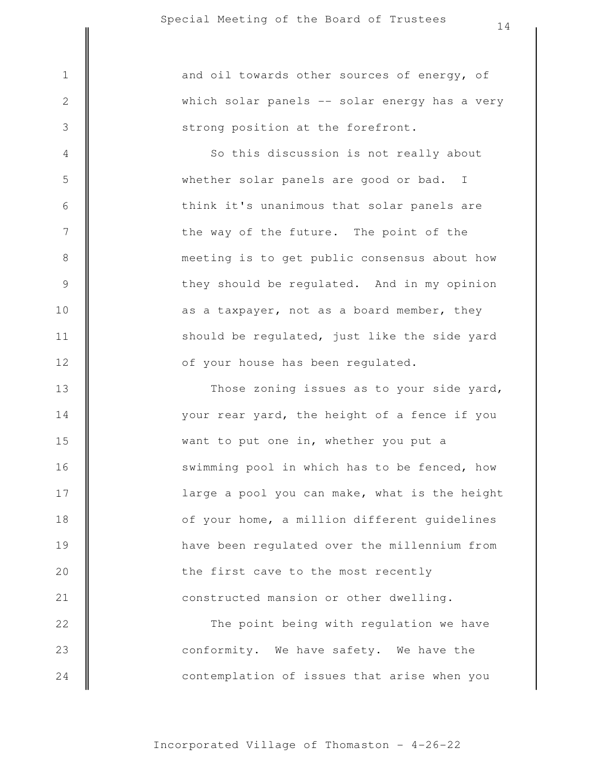3

4

5

6

7

8

9

10

11

12

strong position at the forefront. which solar panels -- solar energy has a very 1 || and oil towards other sources of energy, of

> of your house has been regulated. should be regulated, just like the side yard as a taxpayer, not as a board member, they they should be regulated. And in my opinion meeting is to get public consensus about how the way of the future. The point of the think it's unanimous that solar panels are whether solar panels are good or bad. I So this discussion is not really about

contemplation of issues that arise when you conformity. We have safety. We have the The point being with regulation we have constructed mansion or other dwelling. the first cave to the most recently have been regulated over the millennium from of your home, a million different guidelines large a pool you can make, what is the height swimming pool in which has to be fenced, how want to put one in, whether you put a your rear yard, the height of a fence if you Those zoning issues as to your side yard, 13 14 15 16 17 18 19 20 21 22 23 24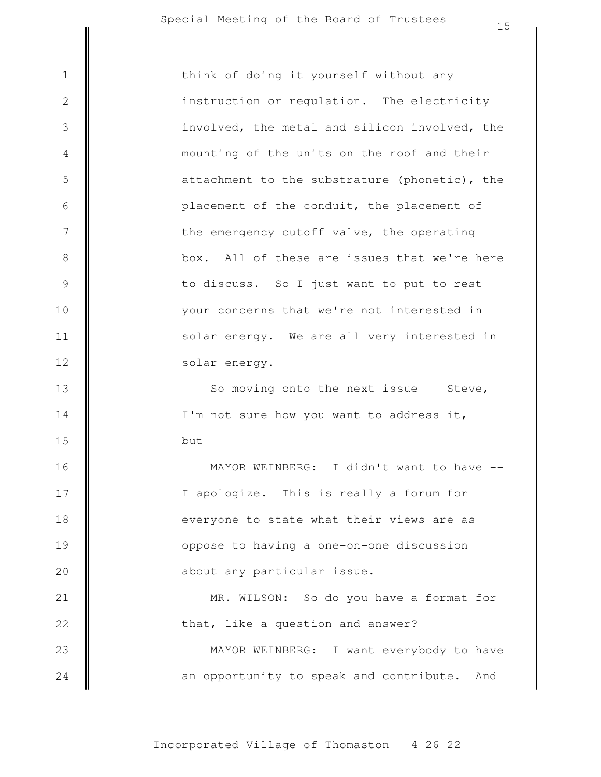| $\mathbf 1$    | think of doing it yourself without any        |
|----------------|-----------------------------------------------|
| $\sqrt{2}$     | instruction or regulation. The electricity    |
| 3              | involved, the metal and silicon involved, the |
| $\overline{4}$ | mounting of the units on the roof and their   |
| 5              | attachment to the substrature (phonetic), the |
| 6              | placement of the conduit, the placement of    |
| $\overline{7}$ | the emergency cutoff valve, the operating     |
| $8\,$          | box. All of these are issues that we're here  |
| $\mathsf 9$    | to discuss. So I just want to put to rest     |
| 10             | your concerns that we're not interested in    |
| 11             | solar energy. We are all very interested in   |
| 12             | solar energy.                                 |
| 13             | So moving onto the next issue -- Steve,       |
| 14             | I'm not sure how you want to address it,      |
| 15             | but $--$                                      |
| 16             | MAYOR WEINBERG: I didn't want to have         |
| 17             | I apologize. This is really a forum for       |
| 18             | everyone to state what their views are as     |
| 19             | oppose to having a one-on-one discussion      |
| 20             | about any particular issue.                   |
| 21             | MR. WILSON: So do you have a format for       |
| 22             | that, like a question and answer?             |
| 23             | MAYOR WEINBERG: I want everybody to have      |
| 24             | an opportunity to speak and contribute. And   |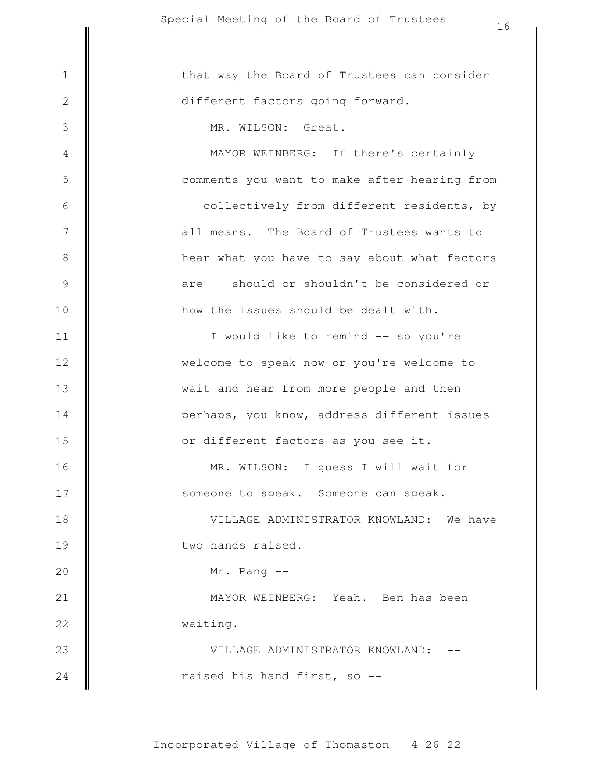raised his hand first, so -- VILLAGE ADMINISTRATOR KNOWLAND: - waiting. MAYOR WEINBERG: Yeah. Ben has been Mr. Pang - two hands raised. VILLAGE ADMINISTRATOR KNOWLAND: We have someone to speak. Someone can speak. MR. WILSON: I guess I will wait for or different factors as you see it. perhaps, you know, address different issues wait and hear from more people and then welcome to speak now or you're welcome to I would like to remind -- so you're how the issues should be dealt with. are -- should or shouldn't be considered or hear what you have to say about what factors all means. The Board of Trustees wants to -- collectively from different residents, by comments you want to make after hearing from MAYOR WEINBERG: If there's certainly MR. WILSON: Great. different factors going forward. 1 | that way the Board of Trustees can consider 2 3 4 5 6 7 8 9 10 11 12 13 14 15 16 17 18 19 20 21 22 23 24

16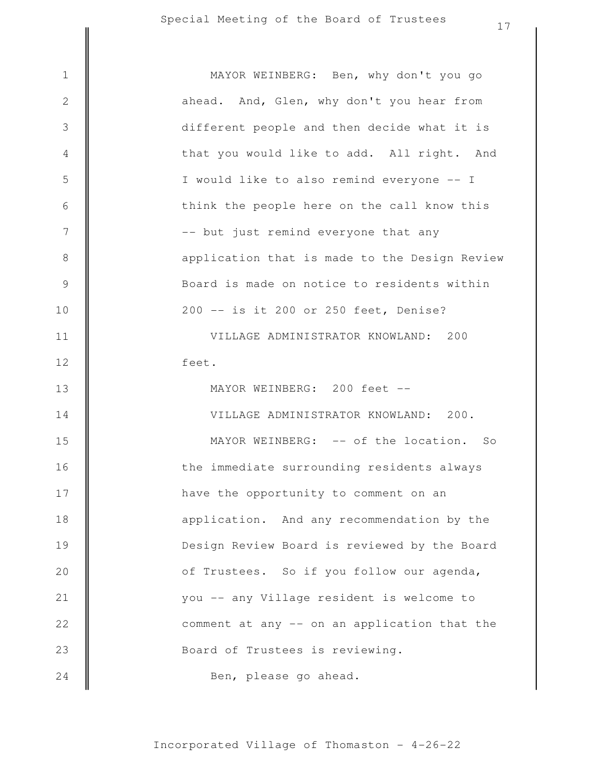Ben, please go ahead. Board of Trustees is reviewing. comment at any -- on an application that the you -- any Village resident is welcome to of Trustees. So if you follow our agenda, Design Review Board is reviewed by the Board application. And any recommendation by the have the opportunity to comment on an the immediate surrounding residents always MAYOR WEINBERG: -- of the location. So VILLAGE ADMINISTRATOR KNOWLAND: 200. MAYOR WEINBERG: 200 feet - feet. VILLAGE ADMINISTRATOR KNOWLAND: 200 200 -- is it 200 or 250 feet, Denise? Board is made on notice to residents within application that is made to the Design Review -- but just remind everyone that any think the people here on the call know this I would like to also remind everyone -- I that you would like to add. All right. And different people and then decide what it is ahead. And, Glen, why don't you hear from 1 || MAYOR WEINBERG: Ben, why don't you go 2 3 4 5 6 7 8 9 10 11 12 13 14 15 16 17 18 19 20 21 22 23 24

17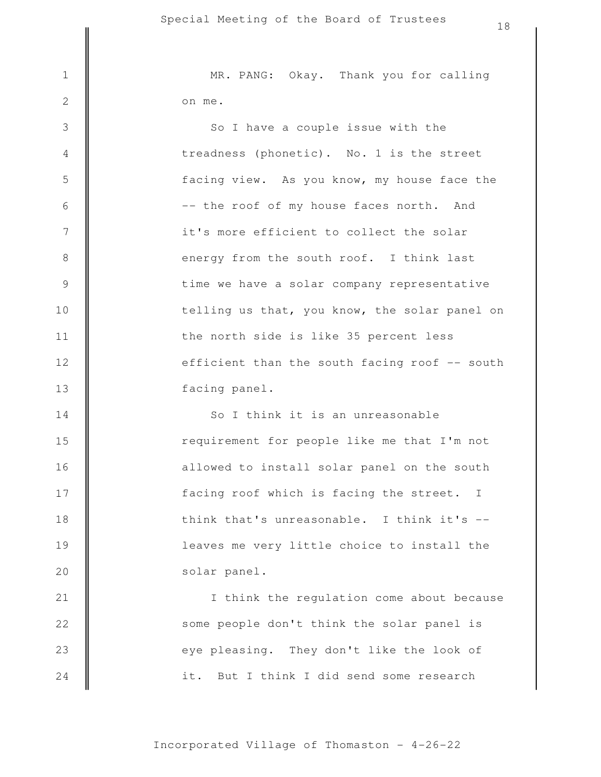3

4

5

6

7

8

9

10

11

12

13

22

23

24

on me. 1 || MR. PANG: Okay. Thank you for calling

> facing panel. efficient than the south facing roof -- south the north side is like 35 percent less telling us that, you know, the solar panel on time we have a solar company representative energy from the south roof. I think last it's more efficient to collect the solar -- the roof of my house faces north. And facing view. As you know, my house face the treadness (phonetic). No. 1 is the street So I have a couple issue with the

solar panel. leaves me very little choice to install the think that's unreasonable. I think it's - facing roof which is facing the street. I allowed to install solar panel on the south requirement for people like me that I'm not So I think it is an unreasonable 14 15 16 17 18 19 20 21

it. But I think I did send some research eye pleasing. They don't like the look of some people don't think the solar panel is I think the regulation come about because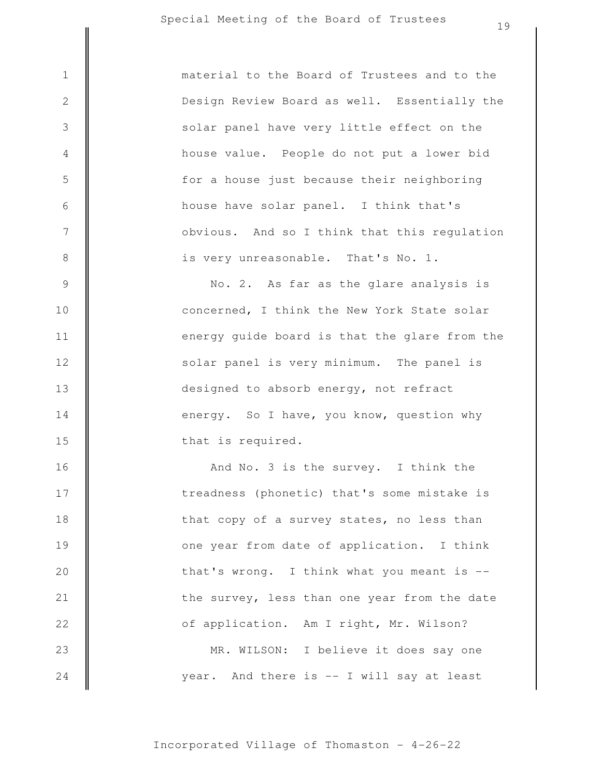3

4

5

6

7

8

9

10

11

12

13

14

15

16

17

18

19

20

21

22

23

24

is very unreasonable. That's No. 1. obvious. And so I think that this regulation house have solar panel. I think that's for a house just because their neighboring house value. People do not put a lower bid solar panel have very little effect on the Design Review Board as well. Essentially the 1 **dec** material to the Board of Trustees and to the

that is required. energy. So I have, you know, question why designed to absorb energy, not refract solar panel is very minimum. The panel is energy guide board is that the glare from the concerned, I think the New York State solar No. 2. As far as the glare analysis is

year. And there is -- I will say at least MR. WILSON: I believe it does say one of application. Am I right, Mr. Wilson? the survey, less than one year from the date that's wrong. I think what you meant is  $$ one year from date of application. I think that copy of a survey states, no less than treadness (phonetic) that's some mistake is And No. 3 is the survey. I think the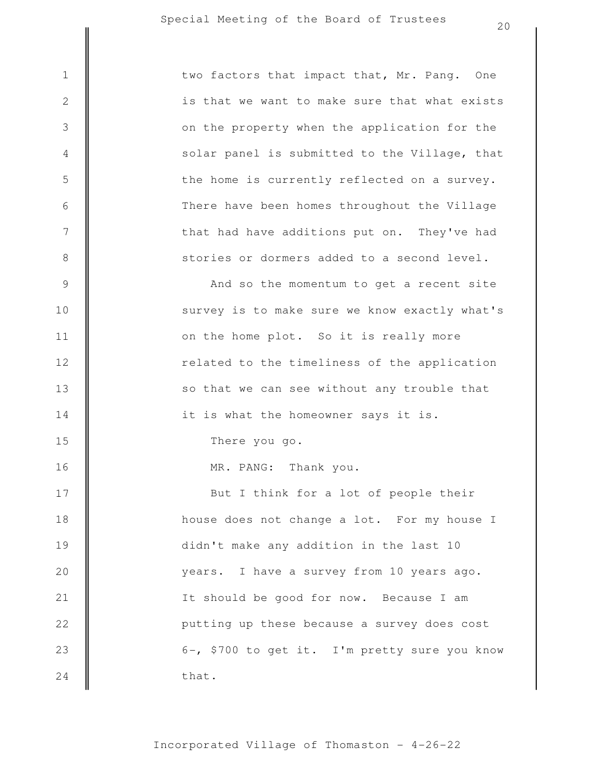21

22

23

24

|                | two factors that impact that, Mr. Pang. One   |
|----------------|-----------------------------------------------|
| $\overline{c}$ | is that we want to make sure that what exists |
| $\overline{3}$ | on the property when the application for the  |
| $\overline{4}$ | solar panel is submitted to the Village, that |
|                | the home is currently reflected on a survey.  |
| 5<br>6<br>7    | There have been homes throughout the Village  |
|                | that had have additions put on. They've had   |
| 8              | stories or dormers added to a second level.   |

years. I have a survey from 10 years ago. didn't make any addition in the last 10 house does not change a lot. For my house I But I think for a lot of people their MR. PANG: Thank you. There you go. it is what the homeowner says it is. so that we can see without any trouble that related to the timeliness of the application on the home plot. So it is really more survey is to make sure we know exactly what's And so the momentum to get a recent site 9 10 11 12 13 14 15 16 17 18 19 20

that. 6-, \$700 to get it. I'm pretty sure you know putting up these because a survey does cost It should be good for now. Because I am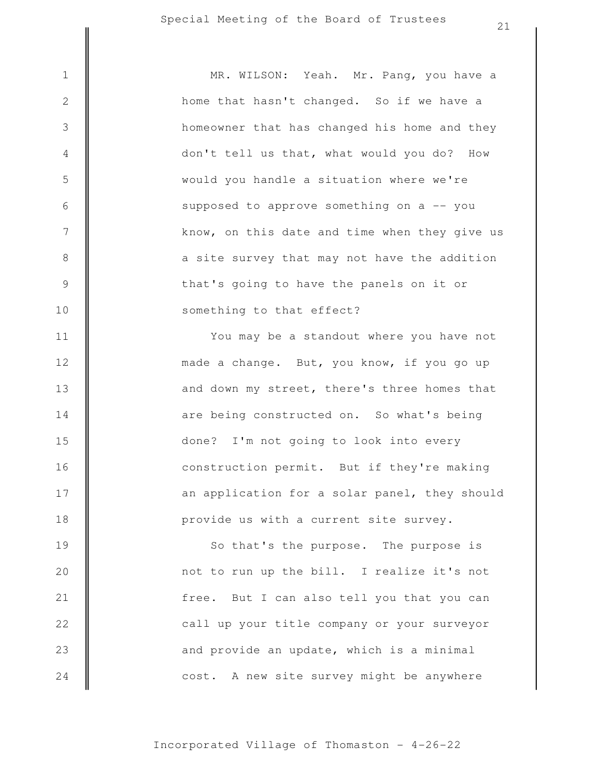3

4

5

6

7

8

9

10

11

12

13

14

15

16

17

18

something to that effect? that's going to have the panels on it or a site survey that may not have the addition know, on this date and time when they give us supposed to approve something on a -- you would you handle a situation where we're don't tell us that, what would you do? How homeowner that has changed his home and they home that hasn't changed. So if we have a 1 || MR. WILSON: Yeah. Mr. Pang, you have a

> provide us with a current site survey. an application for a solar panel, they should construction permit. But if they're making done? I'm not going to look into every are being constructed on. So what's being and down my street, there's three homes that made a change. But, you know, if you go up You may be a standout where you have not

cost. A new site survey might be anywhere and provide an update, which is a minimal call up your title company or your surveyor free. But I can also tell you that you can not to run up the bill. I realize it's not So that's the purpose. The purpose is 19 20 21 22 23 24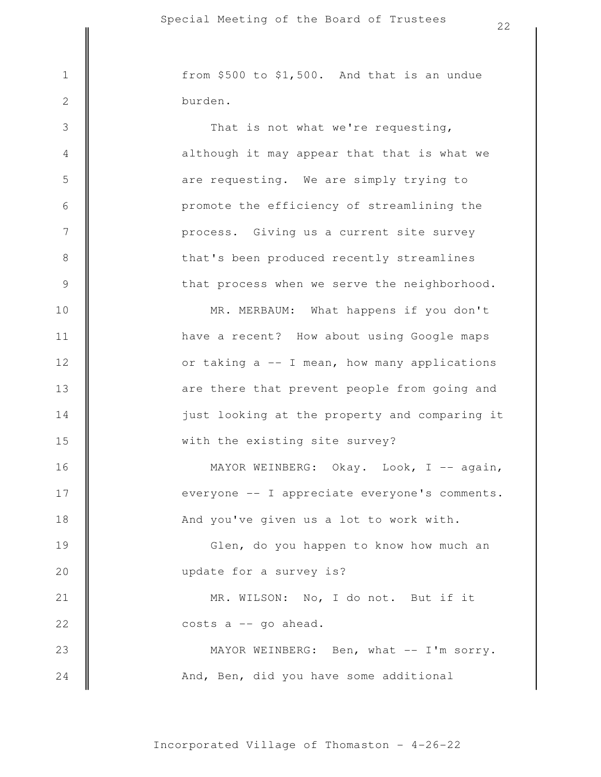3

4

5

6

7

8

9

10

11

12

13

14

15

16

17

18

21

22

23

24

burden.  $1 \parallel$  from \$500 to \$1,500. And that is an undue

> that process when we serve the neighborhood. that's been produced recently streamlines process. Giving us a current site survey promote the efficiency of streamlining the are requesting. We are simply trying to although it may appear that that is what we That is not what we're requesting,

with the existing site survey? just looking at the property and comparing it are there that prevent people from going and or taking a -- I mean, how many applications have a recent? How about using Google maps MR. MERBAUM: What happens if you don't

And you've given us a lot to work with. everyone -- I appreciate everyone's comments. MAYOR WEINBERG: Okay. Look, I -- again,

update for a survey is? Glen, do you happen to know how much an 19 20

> costs a -- go ahead. MR. WILSON: No, I do not. But if it

And, Ben, did you have some additional MAYOR WEINBERG: Ben, what -- I'm sorry.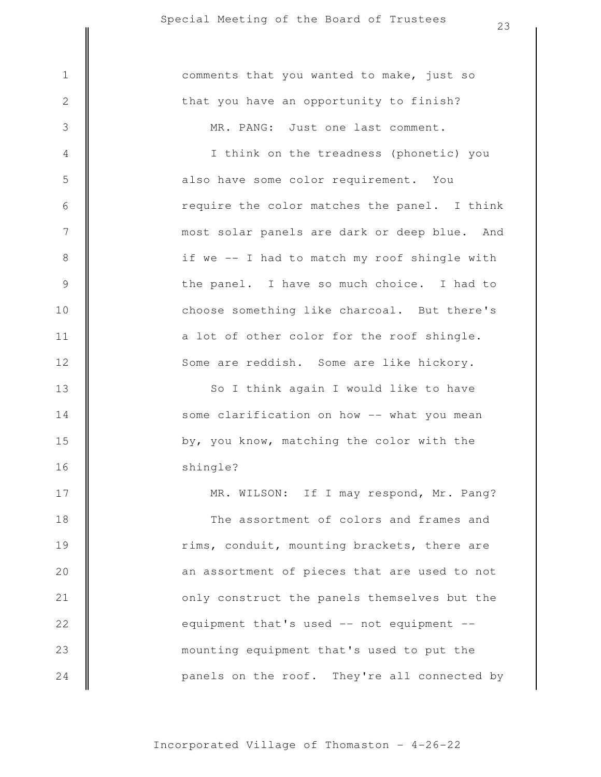|                  | ر ے                                          |
|------------------|----------------------------------------------|
| $\mathbf 1$      | comments that you wanted to make, just so    |
| $\sqrt{2}$       | that you have an opportunity to finish?      |
| $\mathsf 3$      | MR. PANG: Just one last comment.             |
| $\overline{4}$   | I think on the treadness (phonetic) you      |
| 5                | also have some color requirement. You        |
| $\sqrt{6}$       | require the color matches the panel. I think |
| $\boldsymbol{7}$ | most solar panels are dark or deep blue. And |
| $\,8\,$          | if we -- I had to match my roof shingle with |
| $\mathcal{G}$    | the panel. I have so much choice. I had to   |
| 10               | choose something like charcoal. But there's  |
| 11               | a lot of other color for the roof shingle.   |
| 12               | Some are reddish. Some are like hickory.     |
| 13               | So I think again I would like to have        |
| 14               | some clarification on how -- what you mean   |
| 15               | by, you know, matching the color with the    |
| 16               | shingle?                                     |
| 17               | MR. WILSON: If I may respond, Mr. Pang?      |
| 18               | The assortment of colors and frames and      |
| 19               | rims, conduit, mounting brackets, there are  |
| 20               | an assortment of pieces that are used to not |
| 21               | only construct the panels themselves but the |
| 22               | equipment that's used -- not equipment --    |
| 23               | mounting equipment that's used to put the    |

panels on the roof. They're all connected by

Incorporated Village of Thomaston - 4-26-22

24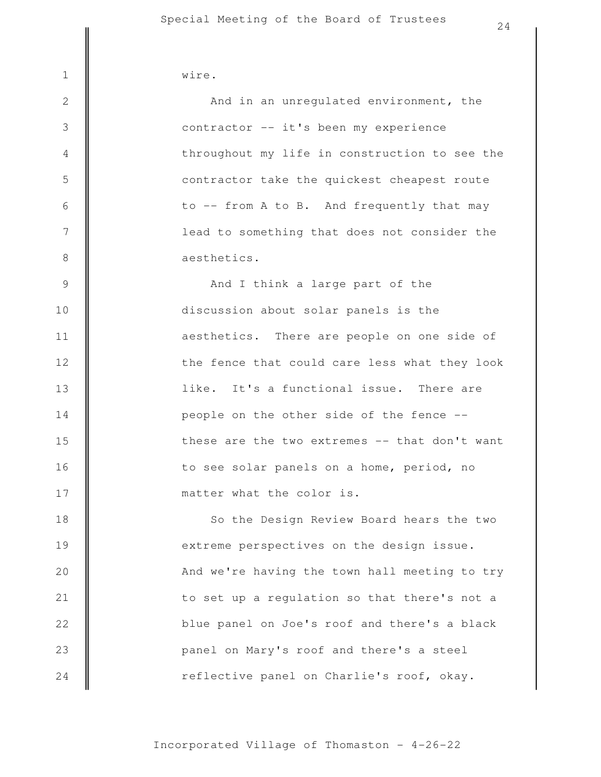| __<br>$\sim$ $\sim$<br>W 1<br>. .<br>- |
|----------------------------------------|
|                                        |

3

4

5

6

7

8

9

10

11

12

13

14

15

16

17

aesthetics. lead to something that does not consider the to -- from A to B. And frequently that may contractor take the quickest cheapest route throughout my life in construction to see the contractor -- it's been my experience And in an unregulated environment, the

24

matter what the color is. to see solar panels on a home, period, no these are the two extremes -- that don't want people on the other side of the fence - like. It's a functional issue. There are the fence that could care less what they look aesthetics. There are people on one side of discussion about solar panels is the And I think a large part of the

reflective panel on Charlie's roof, okay. panel on Mary's roof and there's a steel blue panel on Joe's roof and there's a black to set up a regulation so that there's not a And we're having the town hall meeting to try extreme perspectives on the design issue. So the Design Review Board hears the two 18 19 20 21 22 23 24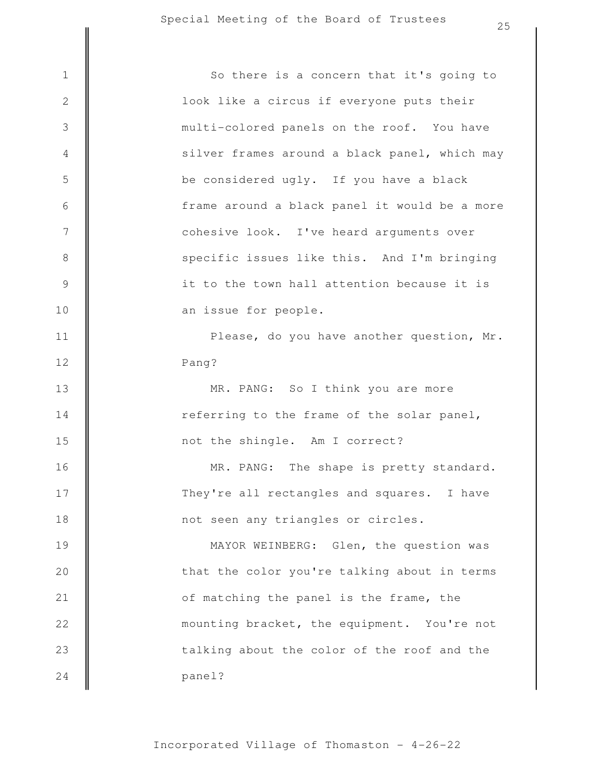panel? talking about the color of the roof and the mounting bracket, the equipment. You're not of matching the panel is the frame, the that the color you're talking about in terms MAYOR WEINBERG: Glen, the question was not seen any triangles or circles. They're all rectangles and squares. I have MR. PANG: The shape is pretty standard. not the shingle. Am I correct? referring to the frame of the solar panel, MR. PANG: So I think you are more Pang? Please, do you have another question, Mr. an issue for people. it to the town hall attention because it is specific issues like this. And I'm bringing cohesive look. I've heard arguments over frame around a black panel it would be a more be considered ugly. If you have a black silver frames around a black panel, which may multi-colored panels on the roof. You have look like a circus if everyone puts their 1 || So there is a concern that it's going to 2 3 4 5 6 7 8 9 10 11 12 13 14 15 16 17 18 19 20 21 22 23 24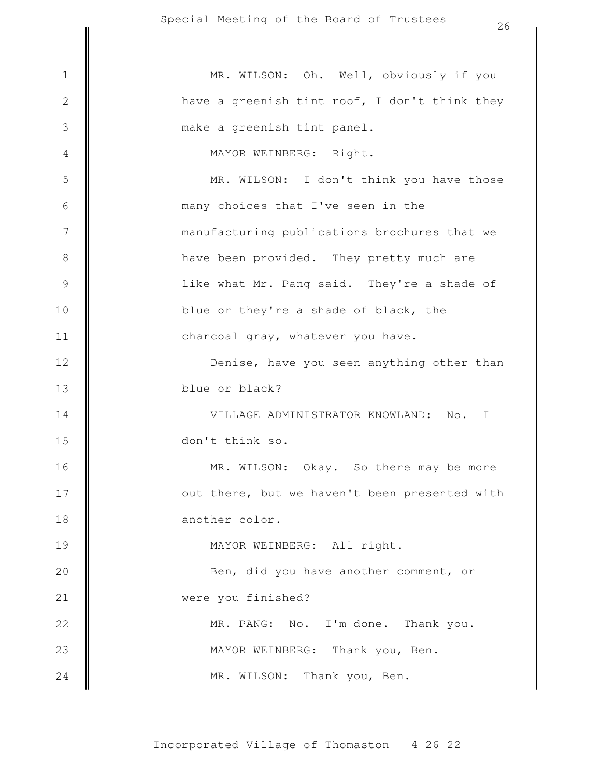|                 | 26                                                    |
|-----------------|-------------------------------------------------------|
| $\mathbf 1$     | MR. WILSON: Oh. Well, obviously if you                |
| $\mathbf{2}$    | have a greenish tint roof, I don't think they         |
| 3               | make a greenish tint panel.                           |
| $\overline{4}$  | MAYOR WEINBERG: Right.                                |
| 5               | MR. WILSON: I don't think you have those              |
| 6               | many choices that I've seen in the                    |
| $7\phantom{.0}$ |                                                       |
|                 | manufacturing publications brochures that we          |
| $8\,$           | have been provided. They pretty much are              |
| $\mathcal{G}$   | like what Mr. Pang said. They're a shade of           |
| 10              | blue or they're a shade of black, the                 |
| 11              | charcoal gray, whatever you have.                     |
| 12              | Denise, have you seen anything other than             |
| 13              | blue or black?                                        |
| 14              | VILLAGE ADMINISTRATOR KNOWLAND:<br>No.<br>$\mathbf I$ |
| 15              | don't think so.                                       |
| 16              | MR. WILSON: Okay. So there may be more                |
| 17              | out there, but we haven't been presented with         |
| 18              | another color.                                        |
| 19              | MAYOR WEINBERG: All right.                            |
| 20              | Ben, did you have another comment, or                 |
| 21              | were you finished?                                    |
| 22              | MR. PANG: No. I'm done. Thank you.                    |
| 23              | MAYOR WEINBERG: Thank you, Ben.                       |
| 24              | Thank you, Ben.<br>MR. WILSON:                        |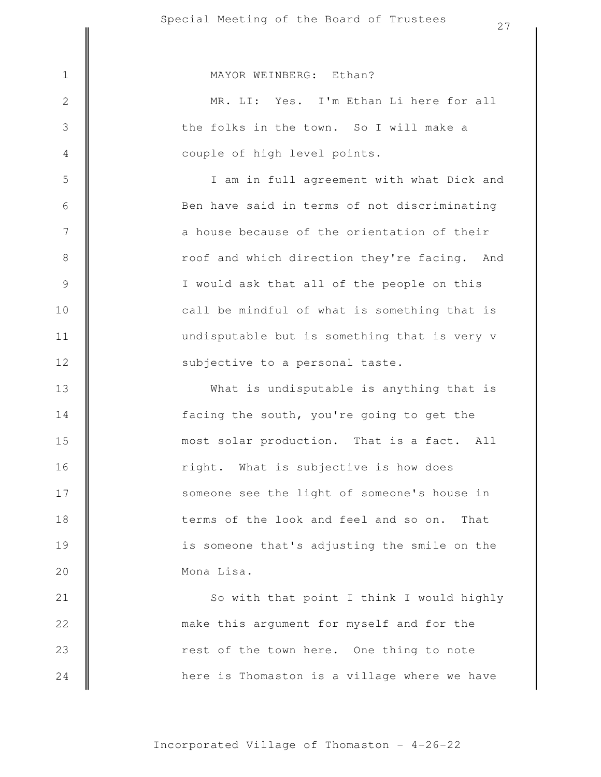1 || MAYOR WEINBERG: Ethan?

2

3

4

5

6

7

8

9

10

11

12

13

14

15

16

17

18

19

20

21

22

23

24

couple of high level points. the folks in the town. So I will make a MR. LI: Yes. I'm Ethan Li here for all

subjective to a personal taste. undisputable but is something that is very v call be mindful of what is something that is I would ask that all of the people on this roof and which direction they're facing. And a house because of the orientation of their Ben have said in terms of not discriminating I am in full agreement with what Dick and

Mona Lisa. is someone that's adjusting the smile on the terms of the look and feel and so on. That someone see the light of someone's house in right. What is subjective is how does most solar production. That is a fact. All facing the south, you're going to get the What is undisputable is anything that is

here is Thomaston is a village where we have rest of the town here. One thing to note make this argument for myself and for the So with that point I think I would highly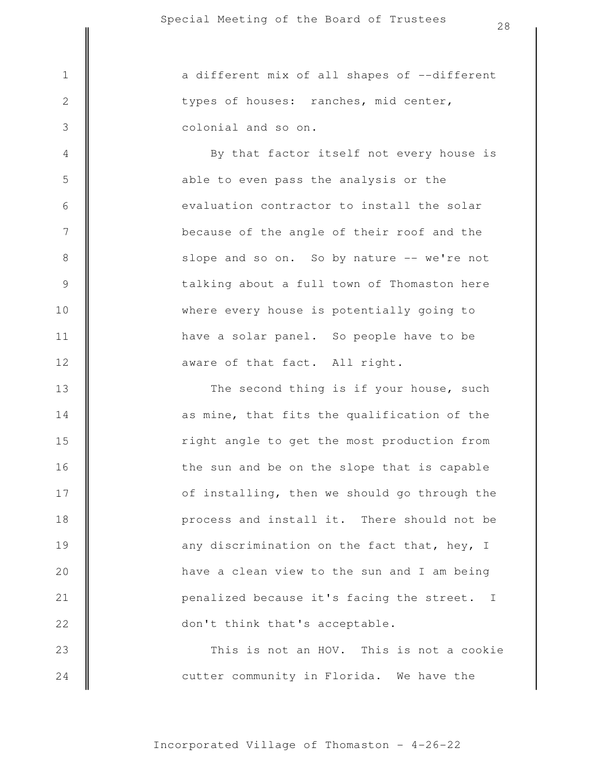3

4

5

6

7

8

9

10

11

12

24

colonial and so on. types of houses: ranches, mid center, 1 || a different mix of all shapes of --different

> aware of that fact. All right. have a solar panel. So people have to be where every house is potentially going to talking about a full town of Thomaston here slope and so on. So by nature -- we're not because of the angle of their roof and the evaluation contractor to install the solar able to even pass the analysis or the By that factor itself not every house is

This is not an HOV. This is not a cookie don't think that's acceptable. penalized because it's facing the street. I have a clean view to the sun and I am being any discrimination on the fact that, hey, I process and install it. There should not be of installing, then we should go through the the sun and be on the slope that is capable right angle to get the most production from as mine, that fits the qualification of the The second thing is if your house, such 13 14 15 16 17 18 19 20 21 22 23

cutter community in Florida. We have the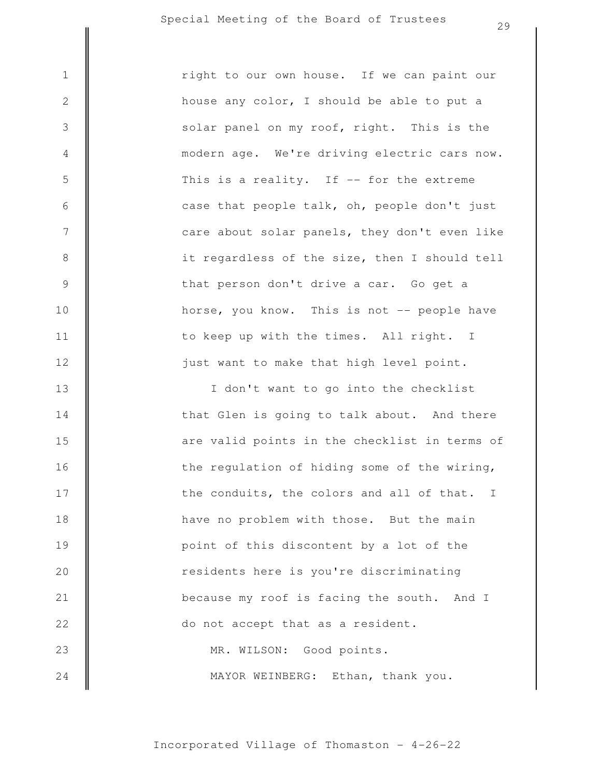3

4

5

6

7

8

9

10

11

12

just want to make that high level point. to keep up with the times. All right. I horse, you know. This is not -- people have that person don't drive a car. Go get a it regardless of the size, then I should tell care about solar panels, they don't even like case that people talk, oh, people don't just This is a reality. If  $-$  for the extreme modern age. We're driving electric cars now. solar panel on my roof, right. This is the house any color, I should be able to put a 1 right to our own house. If we can paint our

MAYOR WEINBERG: Ethan, thank you. MR. WILSON: Good points. do not accept that as a resident. because my roof is facing the south. And I residents here is you're discriminating point of this discontent by a lot of the have no problem with those. But the main the conduits, the colors and all of that. I the regulation of hiding some of the wiring, are valid points in the checklist in terms of that Glen is going to talk about. And there I don't want to go into the checklist 13 14 15 16 17 18 19 20 21 22 23 24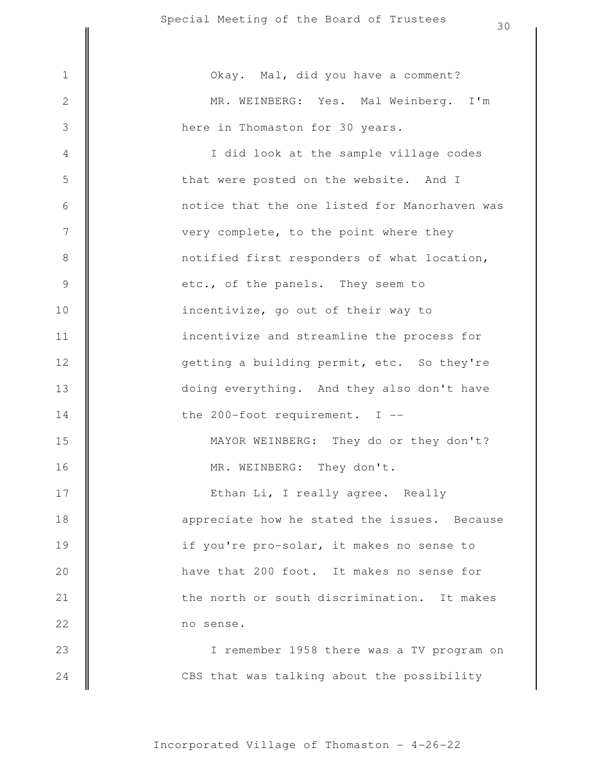CBS that was talking about the possibility I remember 1958 there was a TV program on no sense. the north or south discrimination. It makes have that 200 foot. It makes no sense for if you're pro-solar, it makes no sense to appreciate how he stated the issues. Because Ethan Li, I really agree. Really MR. WEINBERG: They don't. MAYOR WEINBERG: They do or they don't? the 200-foot requirement. I - doing everything. And they also don't have getting a building permit, etc. So they're incentivize and streamline the process for incentivize, go out of their way to etc., of the panels. They seem to notified first responders of what location, very complete, to the point where they notice that the one listed for Manorhaven was that were posted on the website. And I I did look at the sample village codes here in Thomaston for 30 years. MR. WEINBERG: Yes. Mal Weinberg. I'm 1 | | Okay. Mal, did you have a comment? 2 3 4 5 6 7 8 9 10 11 12 13 14 15 16 17 18 19 20 21 22 23 24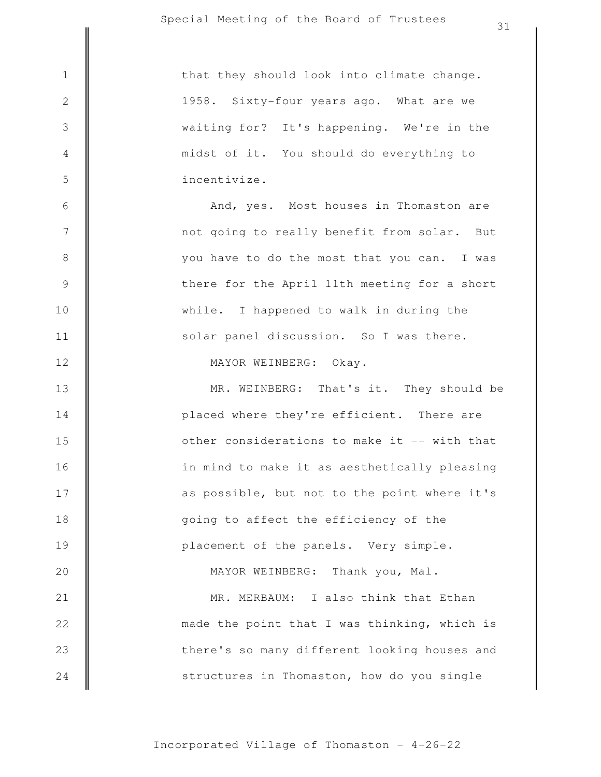3

4

5

6

7

8

9

10

11

12

13

14

15

16

17

18

19

20

21

22

23

24

incentivize. midst of it. You should do everything to waiting for? It's happening. We're in the 1958. Sixty-four years ago. What are we 1 | that they should look into climate change.

> solar panel discussion. So I was there. while. I happened to walk in during the there for the April 11th meeting for a short you have to do the most that you can. I was not going to really benefit from solar. But And, yes. Most houses in Thomaston are

MAYOR WEINBERG: Okay.

placement of the panels. Very simple. going to affect the efficiency of the as possible, but not to the point where it's in mind to make it as aesthetically pleasing other considerations to make it -- with that placed where they're efficient. There are MR. WEINBERG: That's it. They should be

MR. MERBAUM: I also think that Ethan MAYOR WEINBERG: Thank you, Mal.

structures in Thomaston, how do you single there's so many different looking houses and made the point that I was thinking, which is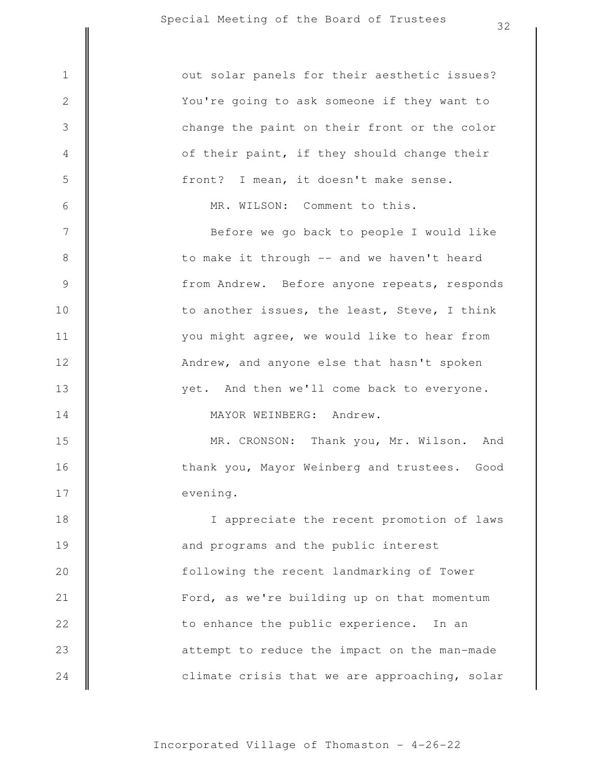|                | こと                                            |
|----------------|-----------------------------------------------|
| $1\,$          | out solar panels for their aesthetic issues?  |
| $\sqrt{2}$     | You're going to ask someone if they want to   |
| 3              | change the paint on their front or the color  |
| 4              | of their paint, if they should change their   |
| 5              | front? I mean, it doesn't make sense.         |
| $\epsilon$     | MR. WILSON: Comment to this.                  |
| $\overline{7}$ | Before we go back to people I would like      |
| $8\,$          | to make it through -- and we haven't heard    |
| $\mathsf 9$    | from Andrew. Before anyone repeats, responds  |
| 10             | to another issues, the least, Steve, I think  |
| 11             | you might agree, we would like to hear from   |
| 12             | Andrew, and anyone else that hasn't spoken    |
| 13             | yet. And then we'll come back to everyone.    |
| 14             | MAYOR WEINBERG: Andrew.                       |
| 15             | MR. CRONSON: Thank you, Mr. Wilson. And       |
| 16             | thank you, Mayor Weinberg and trustees. Good  |
| 17             | evening.                                      |
| 18             | I appreciate the recent promotion of laws     |
| 19             | and programs and the public interest          |
| 20             | following the recent landmarking of Tower     |
| 21             | Ford, as we're building up on that momentum   |
| 22             | to enhance the public experience. In an       |
| 23             | attempt to reduce the impact on the man-made  |
| 24             | climate crisis that we are approaching, solar |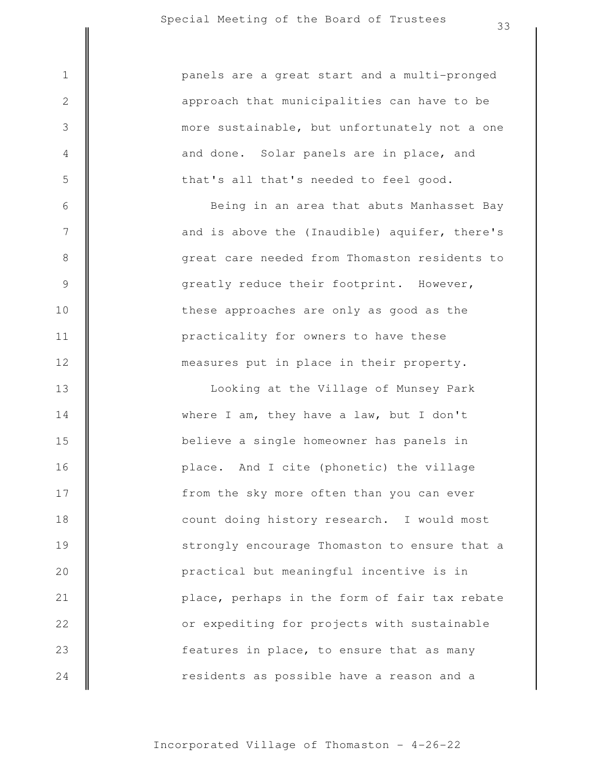|                | CC.                                           |
|----------------|-----------------------------------------------|
| $\mathbf 1$    | panels are a great start and a multi-pronged  |
| $\sqrt{2}$     | approach that municipalities can have to be   |
| 3              | more sustainable, but unfortunately not a one |
| $\overline{4}$ | and done. Solar panels are in place, and      |
| $\mathsf S$    | that's all that's needed to feel good.        |
| $\sqrt{6}$     | Being in an area that abuts Manhasset Bay     |
| $\overline{7}$ | and is above the (Inaudible) aquifer, there's |
| $\,8\,$        | great care needed from Thomaston residents to |
| $\mathsf 9$    | greatly reduce their footprint. However,      |
| 10             | these approaches are only as good as the      |
| 11             | practicality for owners to have these         |
| 12             | measures put in place in their property.      |
| 13             | Looking at the Village of Munsey Park         |
| 14             | where I am, they have a law, but I don't      |
| 15             | believe a single homeowner has panels in      |
| 16             | place. And I cite (phonetic) the village      |
| 17             | from the sky more often than you can ever     |
| 18             | count doing history research. I would most    |
| 19             | strongly encourage Thomaston to ensure that a |
| 20             | practical but meaningful incentive is in      |
| 21             | place, perhaps in the form of fair tax rebate |
| 22             | or expediting for projects with sustainable   |
| 23             | features in place, to ensure that as many     |
| 24             | residents as possible have a reason and a     |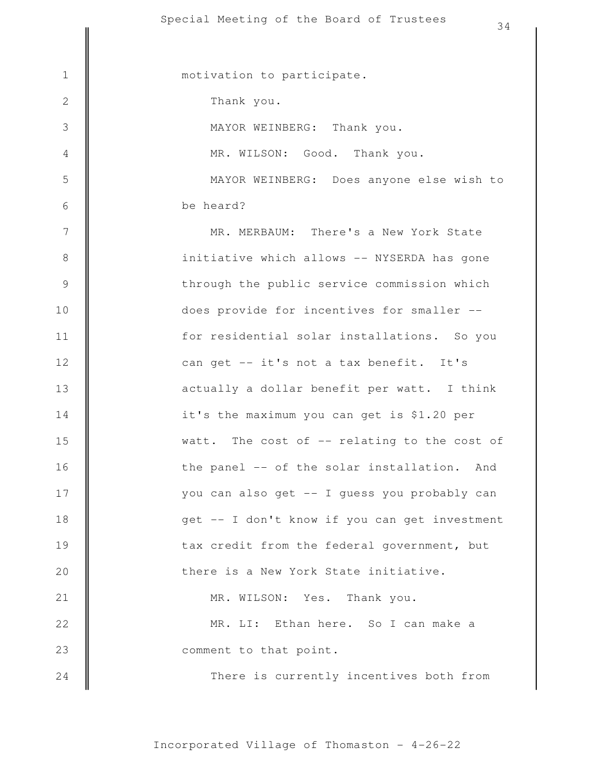There is currently incentives both from comment to that point. MR. LI: Ethan here. So I can make a MR. WILSON: Yes. Thank you. there is a New York State initiative. tax credit from the federal government, but get -- I don't know if you can get investment you can also get -- I guess you probably can the panel -- of the solar installation. And watt. The cost of -- relating to the cost of it's the maximum you can get is \$1.20 per actually a dollar benefit per watt. I think can get -- it's not a tax benefit. It's for residential solar installations. So you does provide for incentives for smaller - through the public service commission which initiative which allows -- NYSERDA has gone MR. MERBAUM: There's a New York State be heard? MAYOR WEINBERG: Does anyone else wish to MR. WILSON: Good. Thank you. MAYOR WEINBERG: Thank you. Thank you. 1 | motivation to participate. 2 3 4 5 6 7 8 9 10 11 12 13 14 15 16 17 18 19 20 21 22 23 24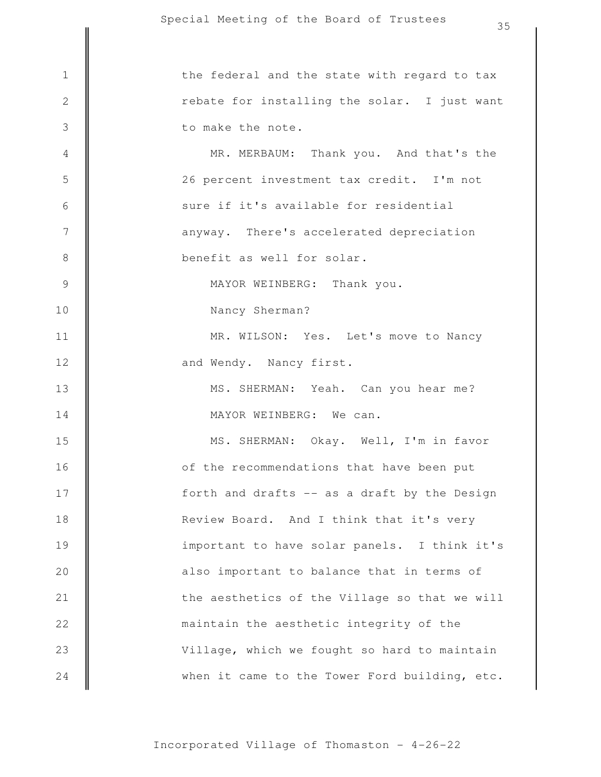when it came to the Tower Ford building, etc. Village, which we fought so hard to maintain maintain the aesthetic integrity of the the aesthetics of the Village so that we will also important to balance that in terms of important to have solar panels. I think it's Review Board. And I think that it's very forth and drafts -- as a draft by the Design of the recommendations that have been put MS. SHERMAN: Okay. Well, I'm in favor MAYOR WEINBERG: We can. MS. SHERMAN: Yeah. Can you hear me? and Wendy. Nancy first. MR. WILSON: Yes. Let's move to Nancy Nancy Sherman? MAYOR WEINBERG: Thank you. benefit as well for solar. anyway. There's accelerated depreciation sure if it's available for residential 26 percent investment tax credit. I'm not MR. MERBAUM: Thank you. And that's the to make the note. rebate for installing the solar. I just want 1 || the federal and the state with regard to tax 2 3 4 5 6 7 8 9 10 11 12 13 14 15 16 17 18 19 20 21 22 23 24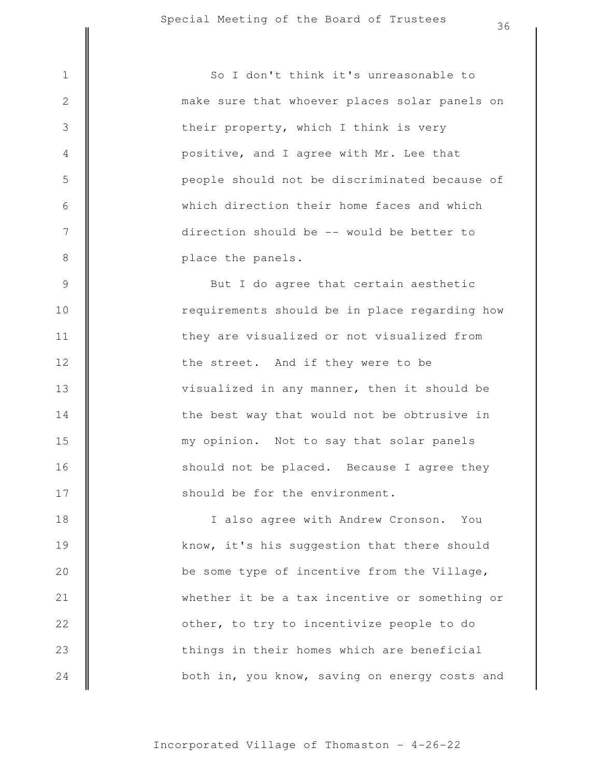3

4

5

6

7

8

place the panels. direction should be -- would be better to which direction their home faces and which people should not be discriminated because of positive, and I agree with Mr. Lee that their property, which I think is very make sure that whoever places solar panels on 1 || So I don't think it's unreasonable to

should be for the environment. should not be placed. Because I agree they my opinion. Not to say that solar panels the best way that would not be obtrusive in visualized in any manner, then it should be the street. And if they were to be they are visualized or not visualized from requirements should be in place regarding how But I do agree that certain aesthetic 9 10 11 12 13 14 15 16 17

both in, you know, saving on energy costs and things in their homes which are beneficial other, to try to incentivize people to do whether it be a tax incentive or something or be some type of incentive from the Village, know, it's his suggestion that there should I also agree with Andrew Cronson. You 18 19 20 21 22 23 24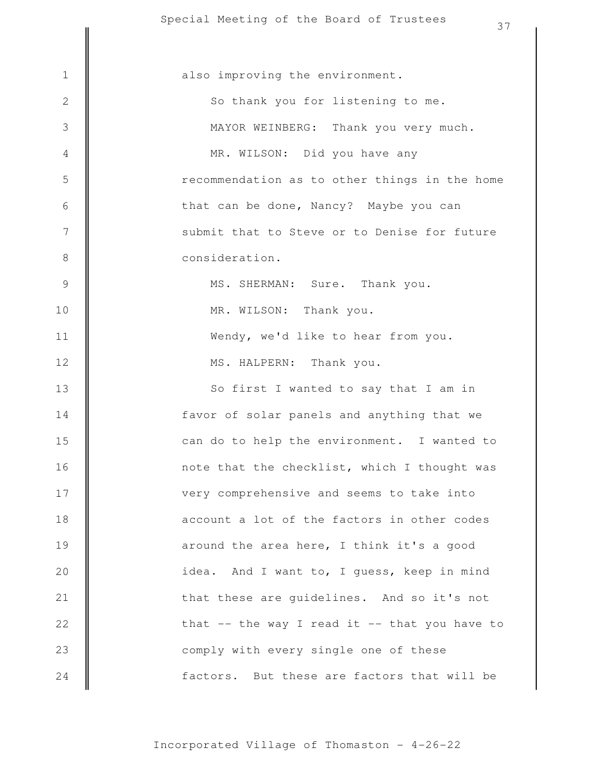|                | 37                                                |
|----------------|---------------------------------------------------|
|                |                                                   |
| $\mathbf 1$    | also improving the environment.                   |
| $\sqrt{2}$     | So thank you for listening to me.                 |
| $\mathfrak{Z}$ | MAYOR WEINBERG: Thank you very much.              |
| $\overline{4}$ | MR. WILSON: Did you have any                      |
| $\mathsf S$    | recommendation as to other things in the home     |
| $\sqrt{6}$     | that can be done, Nancy? Maybe you can            |
| $7\phantom{.}$ | submit that to Steve or to Denise for future      |
| $\,8\,$        | consideration.                                    |
| $\mathcal{G}$  | MS. SHERMAN: Sure. Thank you.                     |
| 10             | MR. WILSON: Thank you.                            |
| 11             | Wendy, we'd like to hear from you.                |
| 12             | MS. HALPERN: Thank you.                           |
| 13             | So first I wanted to say that I am in             |
| 14             | favor of solar panels and anything that we        |
| 15             | can do to help the environment. I wanted to       |
| 16             | note that the checklist, which I thought was      |
| 17             | very comprehensive and seems to take into         |
| 18             | account a lot of the factors in other codes       |
| 19             | around the area here, I think it's a good         |
| 20             | idea. And I want to, I quess, keep in mind        |
| 21             | that these are guidelines. And so it's not        |
| 22             | that $--$ the way I read it $--$ that you have to |
| 23             | comply with every single one of these             |
| 24             | factors. But these are factors that will be       |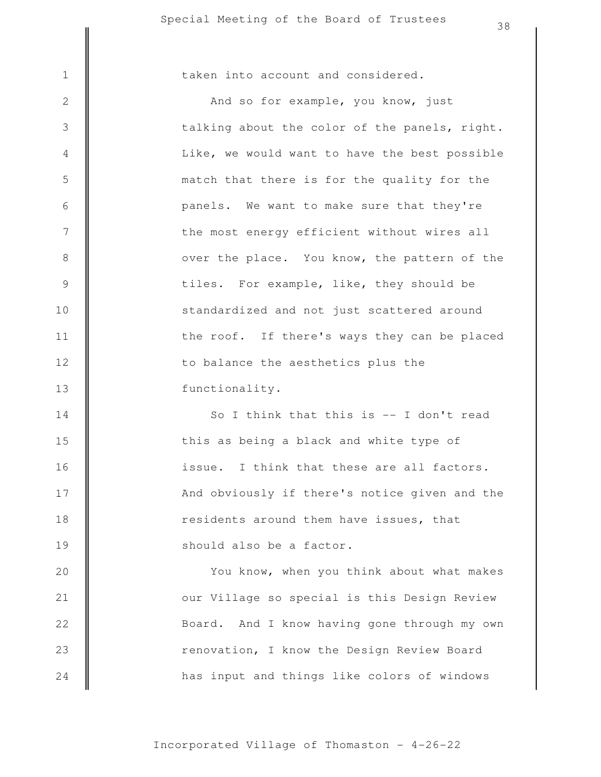3

4

5

6

7

8

9

10

11

12

13

1 | taken into account and considered.

functionality. to balance the aesthetics plus the the roof. If there's ways they can be placed standardized and not just scattered around tiles. For example, like, they should be over the place. You know, the pattern of the the most energy efficient without wires all panels. We want to make sure that they're match that there is for the quality for the Like, we would want to have the best possible talking about the color of the panels, right. And so for example, you know, just

should also be a factor. residents around them have issues, that And obviously if there's notice given and the issue. I think that these are all factors. this as being a black and white type of So I think that this is -- I don't read 14 15 16 17 18 19

has input and things like colors of windows renovation, I know the Design Review Board Board. And I know having gone through my own our Village so special is this Design Review You know, when you think about what makes 20 21 22 23 24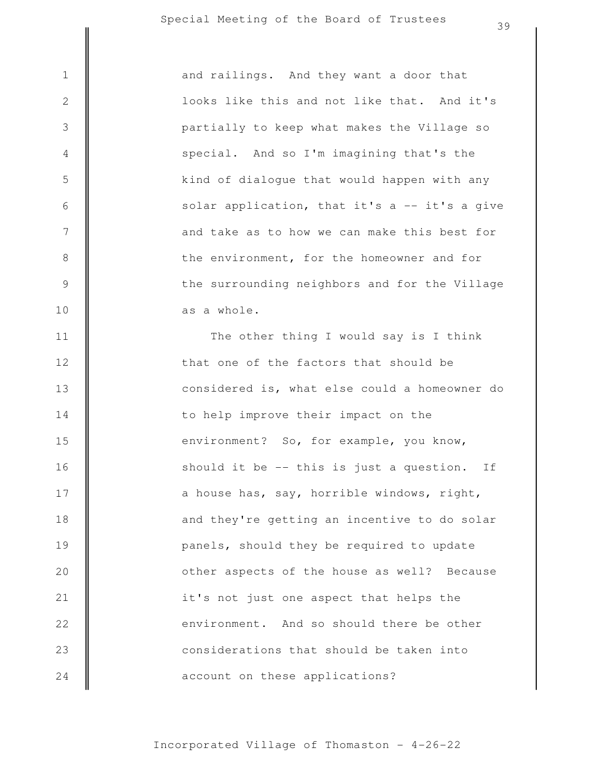3

4

5

6

7

8

9

10

as a whole. the surrounding neighbors and for the Village the environment, for the homeowner and for and take as to how we can make this best for solar application, that it's  $a$  -- it's a give kind of dialogue that would happen with any special. And so I'm imagining that's the partially to keep what makes the Village so looks like this and not like that. And it's 1 || and railings. And they want a door that

account on these applications? considerations that should be taken into environment. And so should there be other it's not just one aspect that helps the other aspects of the house as well? Because panels, should they be required to update and they're getting an incentive to do solar a house has, say, horrible windows, right, should it be -- this is just a question. If environment? So, for example, you know, to help improve their impact on the considered is, what else could a homeowner do that one of the factors that should be The other thing I would say is I think 11 12 13 14 15 16 17 18 19 20 21 22 23 24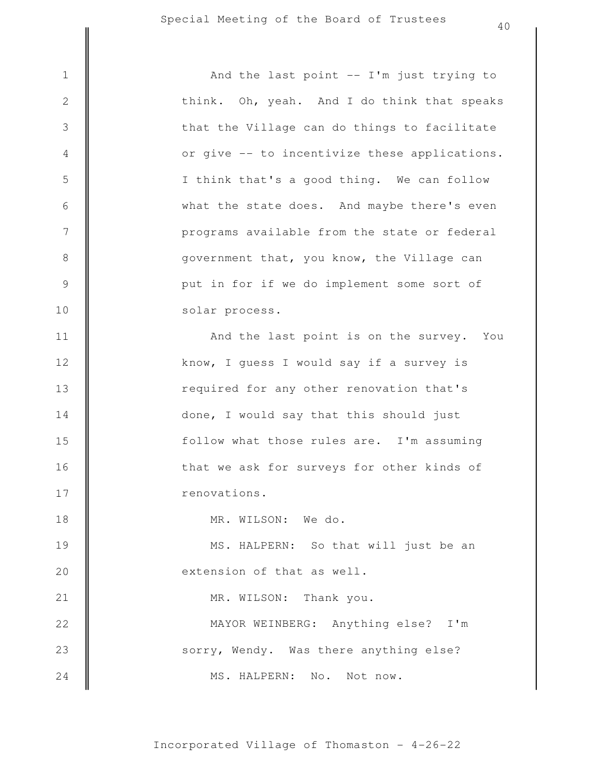MS. HALPERN: No. Not now. sorry, Wendy. Was there anything else? MAYOR WEINBERG: Anything else? I'm MR. WILSON: Thank you. extension of that as well. MS. HALPERN: So that will just be an MR. WILSON: We do. renovations. that we ask for surveys for other kinds of follow what those rules are. I'm assuming done, I would say that this should just required for any other renovation that's know, I guess I would say if a survey is And the last point is on the survey. You solar process. put in for if we do implement some sort of government that, you know, the Village can programs available from the state or federal what the state does. And maybe there's even I think that's a good thing. We can follow or give -- to incentivize these applications. that the Village can do things to facilitate think. Oh, yeah. And I do think that speaks 1 || And the last point -- I'm just trying to 2 3 4 5 6 7 8 9 10 11 12 13 14 15 16 17 18 19 20 21 22 23 24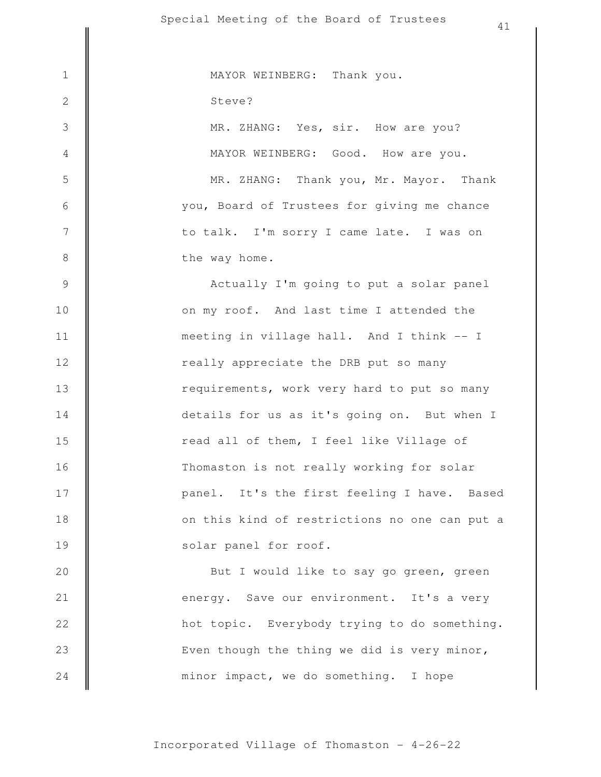minor impact, we do something. I hope Even though the thing we did is very minor, hot topic. Everybody trying to do something. energy. Save our environment. It's a very But I would like to say go green, green solar panel for roof. on this kind of restrictions no one can put a panel. It's the first feeling I have. Based Thomaston is not really working for solar read all of them, I feel like Village of details for us as it's going on. But when I requirements, work very hard to put so many really appreciate the DRB put so many meeting in village hall. And I think -- I on my roof. And last time I attended the Actually I'm going to put a solar panel the way home. to talk. I'm sorry I came late. I was on you, Board of Trustees for giving me chance MR. ZHANG: Thank you, Mr. Mayor. Thank MAYOR WEINBERG: Good. How are you. MR. ZHANG: Yes, sir. How are you? Steve? 1 || MAYOR WEINBERG: Thank you. 2 3 4 5 6 7 8 9 10 11 12 13 14 15 16 17 18 19 20 21 22 23 24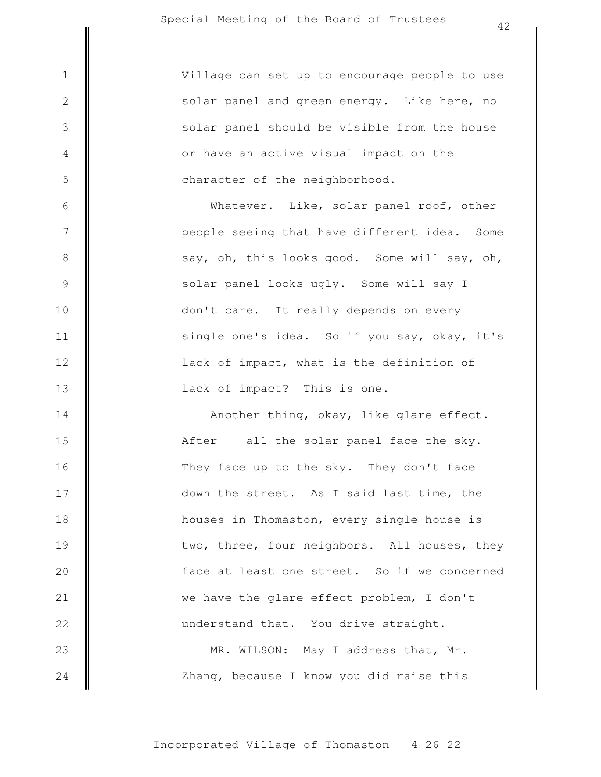3

4

5

6

7

8

9

10

11

12

13

character of the neighborhood. or have an active visual impact on the solar panel should be visible from the house solar panel and green energy. Like here, no 1 Village can set up to encourage people to use

> lack of impact? This is one. lack of impact, what is the definition of single one's idea. So if you say, okay, it's don't care. It really depends on every solar panel looks ugly. Some will say I say, oh, this looks good. Some will say, oh, people seeing that have different idea. Some Whatever. Like, solar panel roof, other

Zhang, because I know you did raise this MR. WILSON: May I address that, Mr. understand that. You drive straight. we have the glare effect problem, I don't face at least one street. So if we concerned two, three, four neighbors. All houses, they houses in Thomaston, every single house is down the street. As I said last time, the They face up to the sky. They don't face After -- all the solar panel face the sky. Another thing, okay, like glare effect. 14 15 16 17 18 19 20 21 22 23 24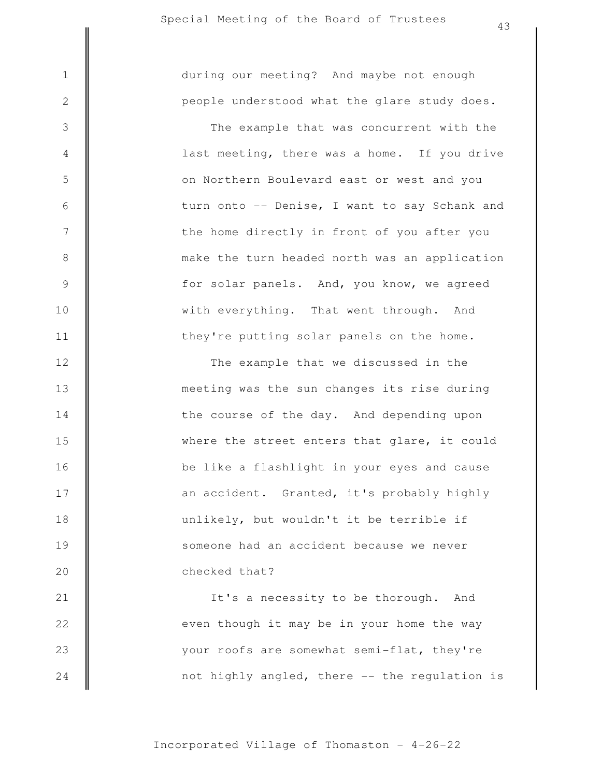3

4

5

6

7

8

9

10

11

12

13

14

15

16

17

18

19

20

people understood what the glare study does. 1 || during our meeting? And maybe not enough

> they're putting solar panels on the home. with everything. That went through. And for solar panels. And, you know, we agreed make the turn headed north was an application the home directly in front of you after you turn onto -- Denise, I want to say Schank and on Northern Boulevard east or west and you last meeting, there was a home. If you drive The example that was concurrent with the

checked that? someone had an accident because we never unlikely, but wouldn't it be terrible if an accident. Granted, it's probably highly be like a flashlight in your eyes and cause where the street enters that glare, it could the course of the day. And depending upon meeting was the sun changes its rise during The example that we discussed in the

not highly angled, there -- the regulation is your roofs are somewhat semi-flat, they're even though it may be in your home the way It's a necessity to be thorough. And 21 22 23 24

Incorporated Village of Thomaston - 4-26-22

43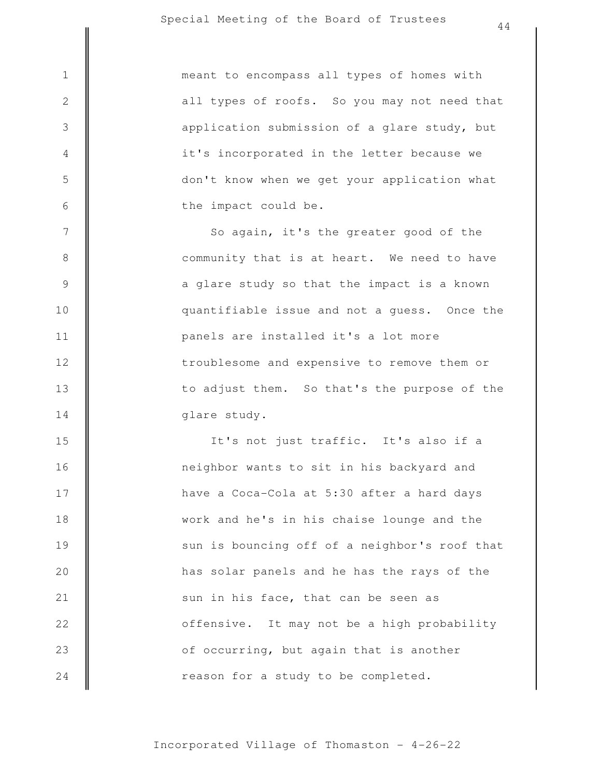|                  | 노노                                            |
|------------------|-----------------------------------------------|
| $1\,$            | meant to encompass all types of homes with    |
| $\mathbf{2}$     | all types of roofs. So you may not need that  |
| $\mathfrak{Z}$   | application submission of a glare study, but  |
| $\overline{4}$   | it's incorporated in the letter because we    |
| $\mathsf S$      | don't know when we get your application what  |
| $\sqrt{6}$       | the impact could be.                          |
| $\boldsymbol{7}$ | So again, it's the greater good of the        |
| $\,8\,$          | community that is at heart. We need to have   |
| $\mathsf 9$      | a glare study so that the impact is a known   |
| 10               | quantifiable issue and not a guess. Once the  |
| 11               | panels are installed it's a lot more          |
| 12               | troublesome and expensive to remove them or   |
| 13               | to adjust them. So that's the purpose of the  |
| 14               | glare study.                                  |
| 15               | It's not just traffic. It's also if a         |
| 16               | neighbor wants to sit in his backyard and     |
| 17               | have a Coca-Cola at 5:30 after a hard days    |
| 18               | work and he's in his chaise lounge and the    |
| 19               | sun is bouncing off of a neighbor's roof that |
| 20               | has solar panels and he has the rays of the   |
| 21               | sun in his face, that can be seen as          |
| 22               | offensive. It may not be a high probability   |
| 23               | of occurring, but again that is another       |

reason for a study to be completed.

24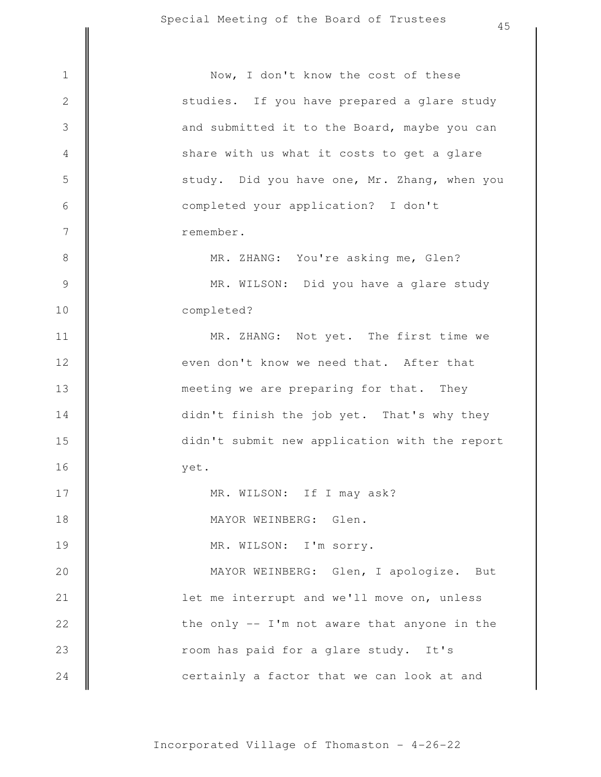|                  | 4 J                                           |
|------------------|-----------------------------------------------|
| $1\,$            | Now, I don't know the cost of these           |
| $\sqrt{2}$       | studies. If you have prepared a glare study   |
| $\mathfrak{Z}$   | and submitted it to the Board, maybe you can  |
| 4                | share with us what it costs to get a glare    |
| 5                | study. Did you have one, Mr. Zhang, when you  |
| $\sqrt{6}$       | completed your application? I don't           |
|                  |                                               |
| $\boldsymbol{7}$ | remember.                                     |
| $\,8\,$          | MR. ZHANG: You're asking me, Glen?            |
| $\mathcal{G}$    | MR. WILSON: Did you have a glare study        |
| 10               | completed?                                    |
| 11               | MR. ZHANG: Not yet. The first time we         |
| 12               | even don't know we need that. After that      |
| 13               | meeting we are preparing for that. They       |
| 14               | didn't finish the job yet. That's why they    |
| 15               | didn't submit new application with the report |
| 16               | yet.                                          |
| 17               | MR. WILSON: If I may ask?                     |
| 18               | MAYOR WEINBERG: Glen.                         |
| 19               | MR. WILSON: I'm sorry.                        |
| 20               | MAYOR WEINBERG: Glen, I apologize. But        |
| 21               | let me interrupt and we'll move on, unless    |
| 22               | the only -- I'm not aware that anyone in the  |
| 23               | room has paid for a glare study. It's         |
| 24               | certainly a factor that we can look at and    |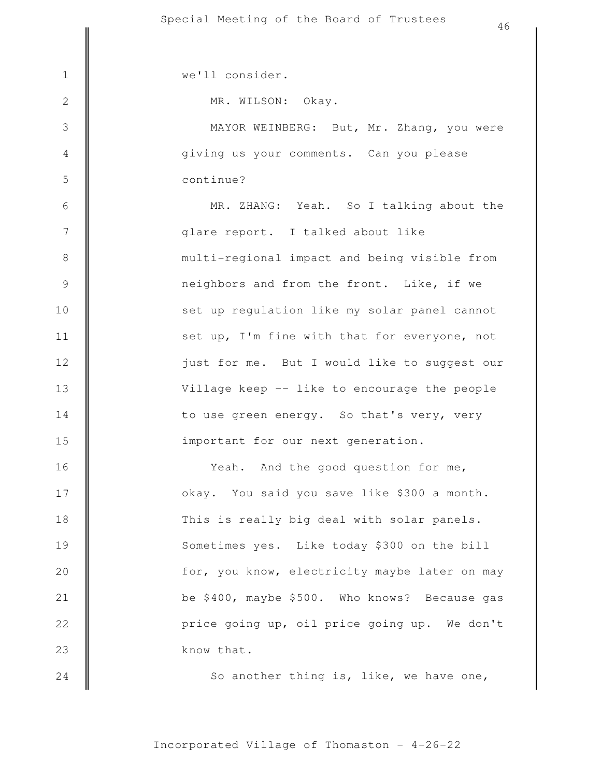3

4

5

6

7

8

9

10

11

12

13

14

15

24

1 | we'll consider.

MR. WILSON: Okay.

continue? giving us your comments. Can you please MAYOR WEINBERG: But, Mr. Zhang, you were

important for our next generation. to use green energy. So that's very, very Village keep -- like to encourage the people just for me. But I would like to suggest our set up, I'm fine with that for everyone, not set up regulation like my solar panel cannot neighbors and from the front. Like, if we multi-regional impact and being visible from glare report. I talked about like MR. ZHANG: Yeah. So I talking about the

know that. price going up, oil price going up. We don't be \$400, maybe \$500. Who knows? Because gas for, you know, electricity maybe later on may Sometimes yes. Like today \$300 on the bill This is really big deal with solar panels. okay. You said you save like \$300 a month. Yeah. And the good question for me, 16 17 18 19 20 21 22 23

Incorporated Village of Thomaston - 4-26-22

So another thing is, like, we have one,

46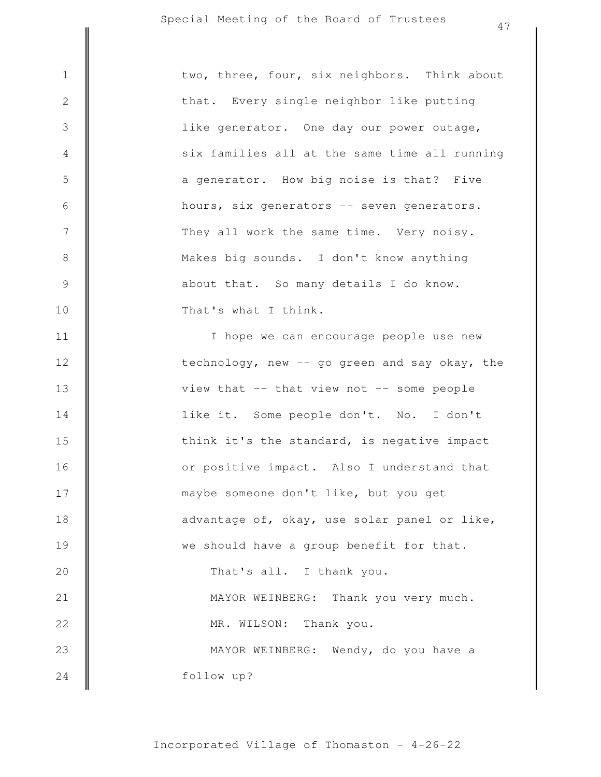|                  | 4/                                            |
|------------------|-----------------------------------------------|
| $1\,$            | two, three, four, six neighbors. Think about  |
| $\sqrt{2}$       | that. Every single neighbor like putting      |
| $\mathfrak{Z}$   | like generator. One day our power outage,     |
| $\overline{4}$   | six families all at the same time all running |
| 5                | a generator. How big noise is that? Five      |
| $\sqrt{6}$       | hours, six generators -- seven generators.    |
| $\boldsymbol{7}$ | They all work the same time. Very noisy.      |
| 8                | Makes big sounds. I don't know anything       |
| $\mathcal{G}$    | about that. So many details I do know.        |
| 10               | That's what I think.                          |
| 11               | I hope we can encourage people use new        |
| 12               | technology, new -- go green and say okay, the |
| 13               | view that -- that view not -- some people     |
| 14               | like it. Some people don't. No. I don't       |
| 15               | think it's the standard, is negative impact   |
| 16               | or positive impact. Also I understand that    |
| 17               | maybe someone don't like, but you get         |
| 18               | advantage of, okay, use solar panel or like,  |
| 19               | we should have a group benefit for that.      |
| 20               | That's all. I thank you.                      |
| 21               | MAYOR WEINBERG: Thank you very much.          |
| 22               | MR. WILSON: Thank you.                        |
| 23               | MAYOR WEINBERG: Wendy, do you have a          |
| 24               | follow up?                                    |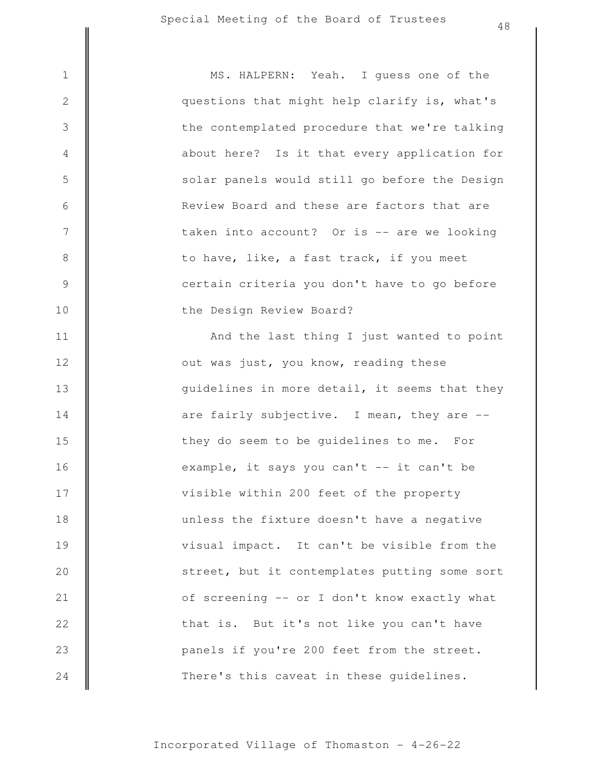| $\mathbf 1$      | MS. HALPERN: Yeah. I guess one of the         |
|------------------|-----------------------------------------------|
| $\sqrt{2}$       | questions that might help clarify is, what's  |
| $\mathfrak{Z}$   | the contemplated procedure that we're talking |
| $\overline{4}$   | about here? Is it that every application for  |
| 5                | solar panels would still go before the Design |
| $\sqrt{6}$       | Review Board and these are factors that are   |
| $\boldsymbol{7}$ | taken into account? Or is -- are we looking   |
| $\,8\,$          | to have, like, a fast track, if you meet      |
| $\mathcal{G}$    | certain criteria you don't have to go before  |
| 10               | the Design Review Board?                      |
| 11               | And the last thing I just wanted to point     |
| 12               | out was just, you know, reading these         |
| 13               | guidelines in more detail, it seems that they |
| 14               | are fairly subjective. I mean, they are --    |
| 15               | they do seem to be guidelines to me. For      |
| 16               | example, it says you can't -- it can't be     |
| 17               | visible within 200 feet of the property       |
| 18               | unless the fixture doesn't have a negative    |
| 19               | visual impact. It can't be visible from the   |
| 20               | street, but it contemplates putting some sort |
| 21               | of screening -- or I don't know exactly what  |

Incorporated Village of Thomaston - 4-26-22

There's this caveat in these guidelines.

panels if you're 200 feet from the street.

that is. But it's not like you can't have

22

23

24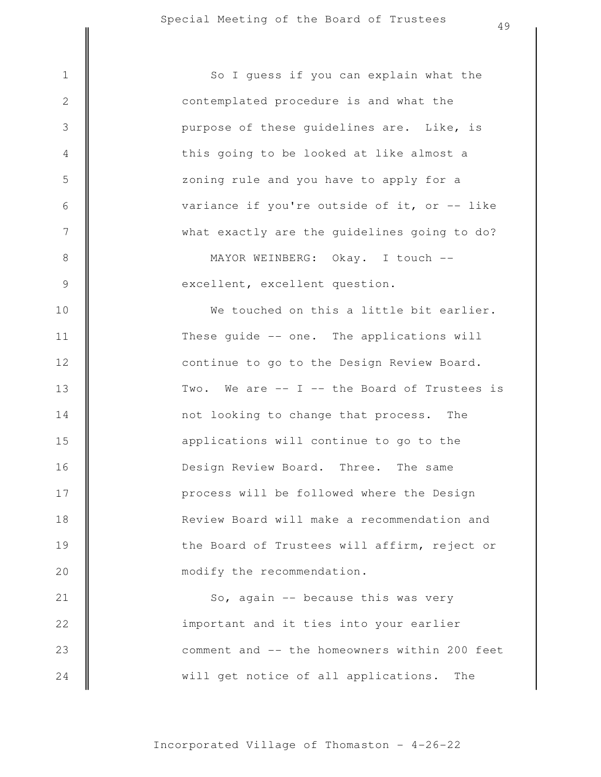will get notice of all applications. The comment and -- the homeowners within 200 feet important and it ties into your earlier So, again -- because this was very modify the recommendation. the Board of Trustees will affirm, reject or Review Board will make a recommendation and process will be followed where the Design Design Review Board. Three. The same applications will continue to go to the not looking to change that process. The Two. We are -- I -- the Board of Trustees is continue to go to the Design Review Board. These guide -- one. The applications will We touched on this a little bit earlier. excellent, excellent question. MAYOR WEINBERG: Okay. I touch - what exactly are the guidelines going to do? variance if you're outside of it, or -- like zoning rule and you have to apply for a this going to be looked at like almost a purpose of these guidelines are. Like, is contemplated procedure is and what the 1 | So I guess if you can explain what the 2 3 4 5 6 7 8 9 10 11 12 13 14 15 16 17 18 19 20 21 22 23 24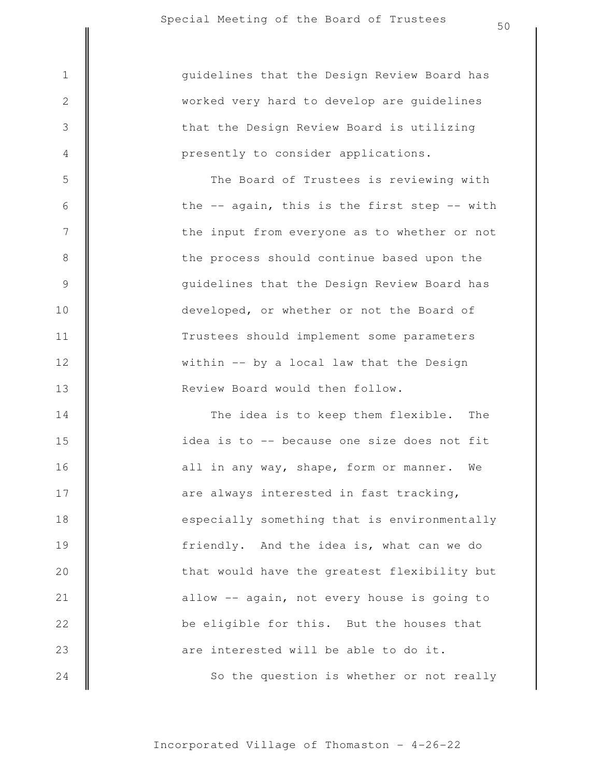3

4

5

6

7

8

9

10

11

12

13

presently to consider applications. that the Design Review Board is utilizing worked very hard to develop are guidelines 1 guidelines that the Design Review Board has

> Review Board would then follow. within -- by a local law that the Design Trustees should implement some parameters developed, or whether or not the Board of guidelines that the Design Review Board has the process should continue based upon the the input from everyone as to whether or not the -- again, this is the first step -- with The Board of Trustees is reviewing with

So the question is whether or not really are interested will be able to do it. be eligible for this. But the houses that allow -- again, not every house is going to that would have the greatest flexibility but friendly. And the idea is, what can we do especially something that is environmentally are always interested in fast tracking, all in any way, shape, form or manner. We idea is to -- because one size does not fit The idea is to keep them flexible. The 14 15 16 17 18 19 20 21 22 23 24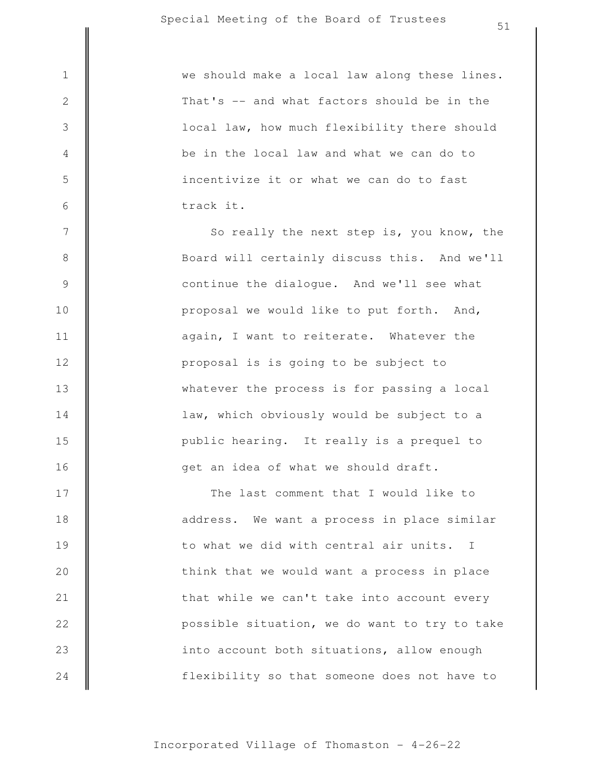7

8

9

10

11

12

13

14

15

16

|                                            | we should make a local law along these lines. |
|--------------------------------------------|-----------------------------------------------|
|                                            | That's -- and what factors should be in the   |
| $\begin{array}{c} 2 \\ 3 \end{array}$      | local law, how much flexibility there should  |
|                                            | be in the local law and what we can do to     |
|                                            | incentivize it or what we can do to fast      |
| $\begin{array}{c} 4 \\ 5 \\ 6 \end{array}$ | track it.                                     |
| $\overline{7}$                             | So really the next step is you know the       |

get an idea of what we should draft. public hearing. It really is a prequel to law, which obviously would be subject to a whatever the process is for passing a local proposal is is going to be subject to again, I want to reiterate. Whatever the proposal we would like to put forth. And, continue the dialogue. And we'll see what Board will certainly discuss this. And we'll So really the next step is, you know, the

flexibility so that someone does not have to into account both situations, allow enough possible situation, we do want to try to take that while we can't take into account every think that we would want a process in place to what we did with central air units. I address. We want a process in place similar The last comment that I would like to 17 18 19 20 21 22 23 24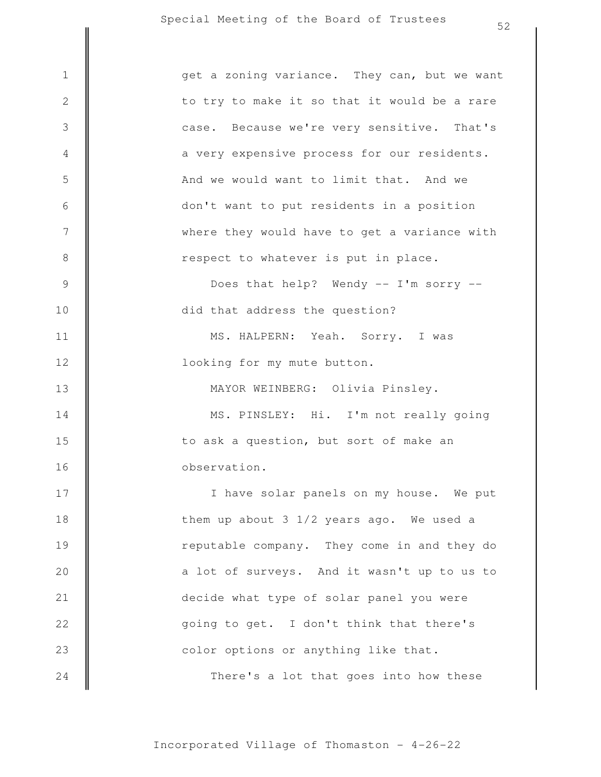|                  | ے ب                                          |
|------------------|----------------------------------------------|
| $1\,$            | get a zoning variance. They can, but we want |
| $\sqrt{2}$       | to try to make it so that it would be a rare |
| $\mathfrak{Z}$   | case. Because we're very sensitive. That's   |
|                  |                                              |
| 4                | a very expensive process for our residents.  |
| 5                | And we would want to limit that. And we      |
| $\sqrt{6}$       | don't want to put residents in a position    |
| $\boldsymbol{7}$ | where they would have to get a variance with |
| $\,8\,$          | respect to whatever is put in place.         |
| $\mathcal{G}$    | Does that help? Wendy -- I'm sorry --        |
| 10               | did that address the question?               |
| 11               | MS. HALPERN: Yeah. Sorry. I was              |
| 12               | looking for my mute button.                  |
| 13               | MAYOR WEINBERG: Olivia Pinsley.              |
| 14               | MS. PINSLEY: Hi. I'm not really going        |
| 15               | to ask a question, but sort of make an       |
| 16               | observation.                                 |
| 17               | I have solar panels on my house. We put      |
| 18               | them up about 3 1/2 years ago. We used a     |
| 19               | reputable company. They come in and they do  |
| 20               | a lot of surveys. And it wasn't up to us to  |
| 21               | decide what type of solar panel you were     |
| 22               | going to get. I don't think that there's     |
| 23               | color options or anything like that.         |
| 24               | There's a lot that goes into how these       |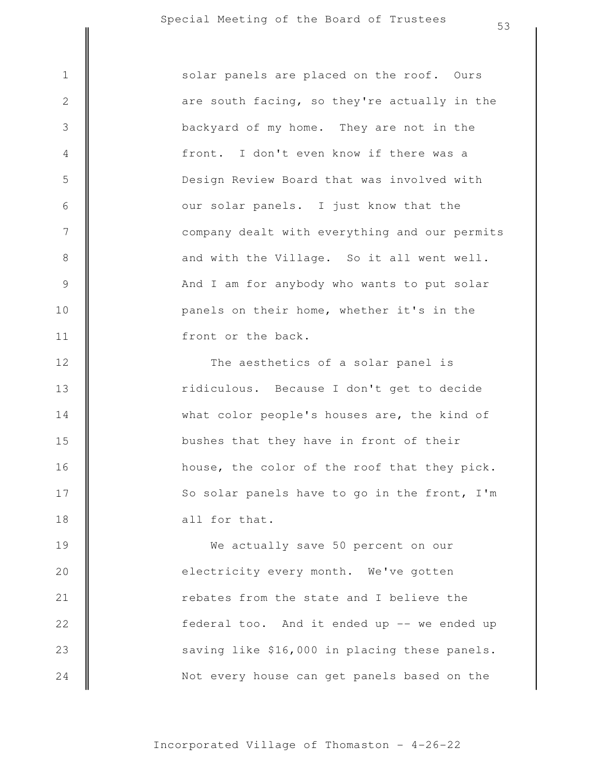3

4

5

6

7

8

9

10

11

12

13

14

15

16

17

18

front or the back. panels on their home, whether it's in the And I am for anybody who wants to put solar and with the Village. So it all went well. company dealt with everything and our permits our solar panels. I just know that the Design Review Board that was involved with front. I don't even know if there was a backyard of my home. They are not in the are south facing, so they're actually in the 1 || solar panels are placed on the roof. Ours

> all for that. So solar panels have to go in the front, I'm house, the color of the roof that they pick. bushes that they have in front of their what color people's houses are, the kind of ridiculous. Because I don't get to decide The aesthetics of a solar panel is

Not every house can get panels based on the saving like \$16,000 in placing these panels. federal too. And it ended up -- we ended up rebates from the state and I believe the electricity every month. We've gotten We actually save 50 percent on our 19 20 21 22 23 24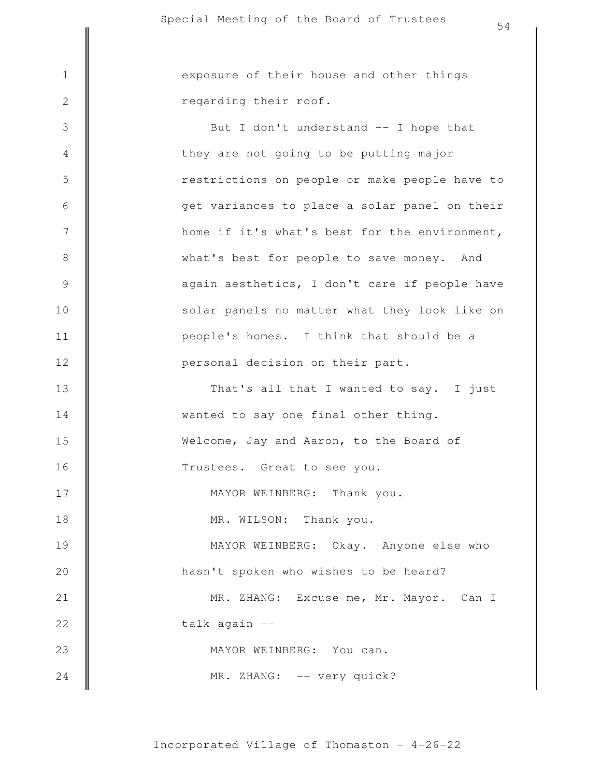3

4

5

6

7

8

9

10

11

12

13

14

15

16

17

18

24

regarding their roof. 1 || exposure of their house and other things

> Welcome, Jay and Aaron, to the Board of wanted to say one final other thing. That's all that I wanted to say. I just personal decision on their part. people's homes. I think that should be a solar panels no matter what they look like on again aesthetics, I don't care if people have what's best for people to save money. And home if it's what's best for the environment, get variances to place a solar panel on their restrictions on people or make people have to they are not going to be putting major But I don't understand -- I hope that

> > Trustees. Great to see you.

MAYOR WEINBERG: Thank you.

MR. WILSON: Thank you.

hasn't spoken who wishes to be heard? MAYOR WEINBERG: Okay. Anyone else who 19 20

MAYOR WEINBERG: You can. talk again -- MR. ZHANG: Excuse me, Mr. Mayor. Can I 21 22 23

MR. ZHANG: -- very quick?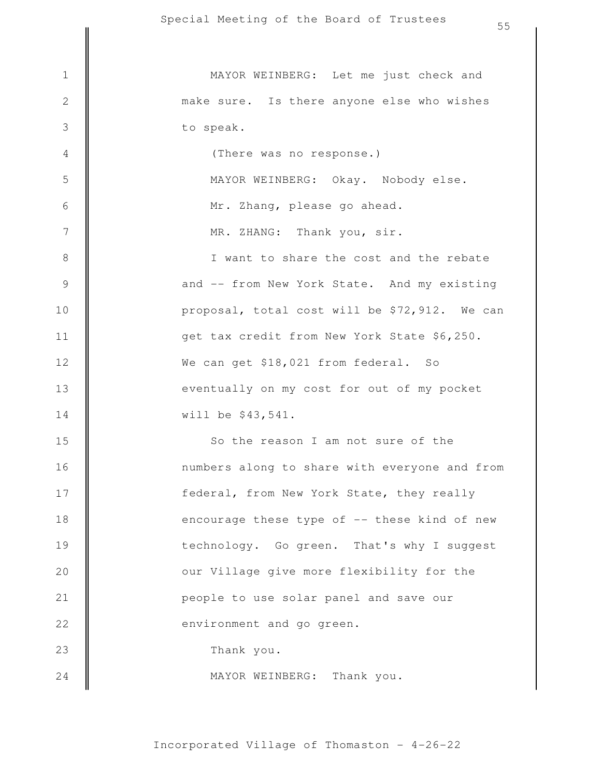|                | 55                                            |
|----------------|-----------------------------------------------|
|                |                                               |
| $\,1\,$        | MAYOR WEINBERG: Let me just check and         |
| $\mathbf{2}$   | make sure. Is there anyone else who wishes    |
| 3              | to speak.                                     |
| $\overline{4}$ | (There was no response.)                      |
| 5              | MAYOR WEINBERG: Okay. Nobody else.            |
| $\sqrt{6}$     | Mr. Zhang, please go ahead.                   |
| 7              | MR. ZHANG: Thank you, sir.                    |
| $\,8\,$        | I want to share the cost and the rebate       |
| $\mathsf 9$    | and -- from New York State. And my existing   |
| 10             | proposal, total cost will be \$72,912. We can |
| 11             | get tax credit from New York State \$6,250.   |
| 12             | We can get \$18,021 from federal. So          |
| 13             | eventually on my cost for out of my pocket    |
| 14             | will be \$43,541.                             |
| 15             | So the reason I am not sure of the            |
| 16             | numbers along to share with everyone and from |
| 17             | federal, from New York State, they really     |
| 18             | encourage these type of -- these kind of new  |
| 19             | technology. Go green. That's why I suggest    |
| 20             | our Village give more flexibility for the     |
| 21             | people to use solar panel and save our        |
| 22             | environment and go green.                     |
| 23             | Thank you.                                    |
| 24             | MAYOR WEINBERG: Thank you.                    |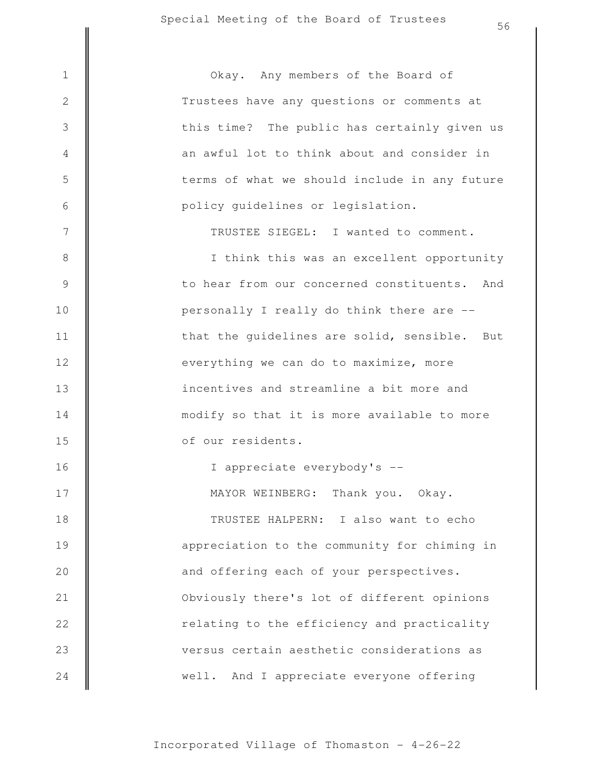3

4

5

6

7

8

9

10

11

12

13

14

15

16

17

18

19

20

21

22

23

24

policy guidelines or legislation. terms of what we should include in any future an awful lot to think about and consider in this time? The public has certainly given us Trustees have any questions or comments at 1 || Okay. Any members of the Board of

TRUSTEE SIEGEL: I wanted to comment.

of our residents. modify so that it is more available to more incentives and streamline a bit more and everything we can do to maximize, more that the guidelines are solid, sensible. But personally I really do think there are - to hear from our concerned constituents. And I think this was an excellent opportunity

> MAYOR WEINBERG: Thank you. Okay. I appreciate everybody's --

well. And I appreciate everyone offering versus certain aesthetic considerations as relating to the efficiency and practicality Obviously there's lot of different opinions and offering each of your perspectives. appreciation to the community for chiming in TRUSTEE HALPERN: I also want to echo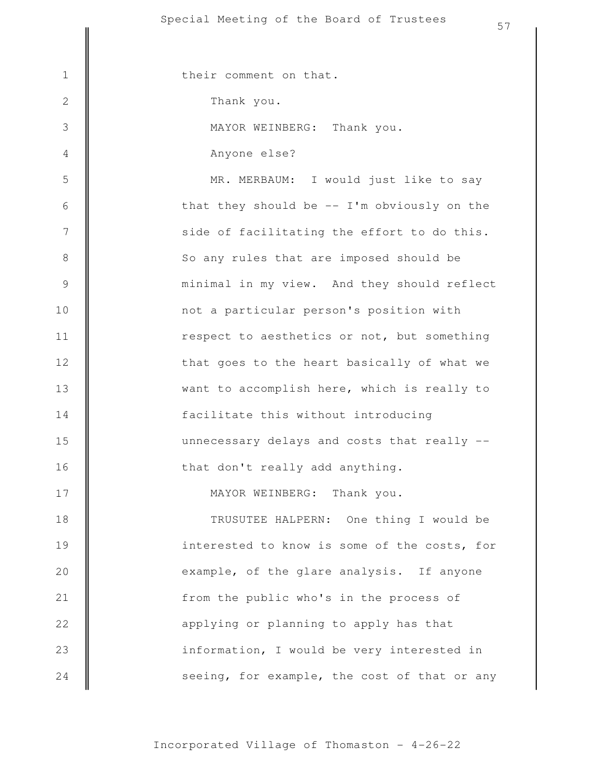1 || their comment on that.

Thank you.

2

3

4

17

MAYOR WEINBERG: Thank you.

Anyone else?

that don't really add anything. unnecessary delays and costs that really - facilitate this without introducing want to accomplish here, which is really to that goes to the heart basically of what we respect to aesthetics or not, but something not a particular person's position with minimal in my view. And they should reflect So any rules that are imposed should be side of facilitating the effort to do this. that they should be  $-$  I'm obviously on the MR. MERBAUM: I would just like to say 5 6 7 8 9 10 11 12 13 14 15 16

MAYOR WEINBERG: Thank you.

seeing, for example, the cost of that or any information, I would be very interested in applying or planning to apply has that from the public who's in the process of example, of the glare analysis. If anyone interested to know is some of the costs, for TRUSUTEE HALPERN: One thing I would be 18 19 20 21 22 23 24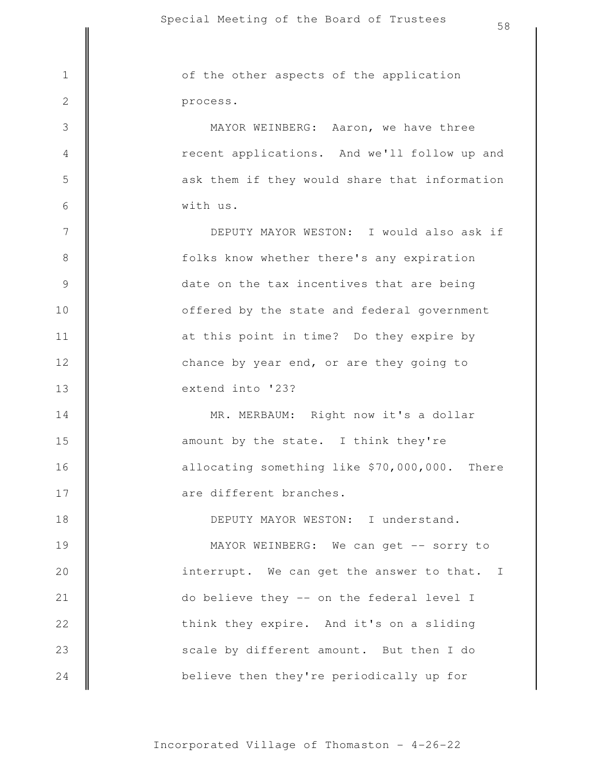believe then they're periodically up for scale by different amount. But then I do think they expire. And it's on a sliding do believe they -- on the federal level I interrupt. We can get the answer to that. I MAYOR WEINBERG: We can get -- sorry to DEPUTY MAYOR WESTON: I understand. are different branches. allocating something like \$70,000,000. There amount by the state. I think they're MR. MERBAUM: Right now it's a dollar extend into '23? chance by year end, or are they going to at this point in time? Do they expire by offered by the state and federal government date on the tax incentives that are being folks know whether there's any expiration DEPUTY MAYOR WESTON: I would also ask if with us. ask them if they would share that information recent applications. And we'll follow up and MAYOR WEINBERG: Aaron, we have three process. 1 of the other aspects of the application 2 3 4 5 6 7 8 9 10 11 12 13 14 15 16 17 18 19 20 21 22 23 24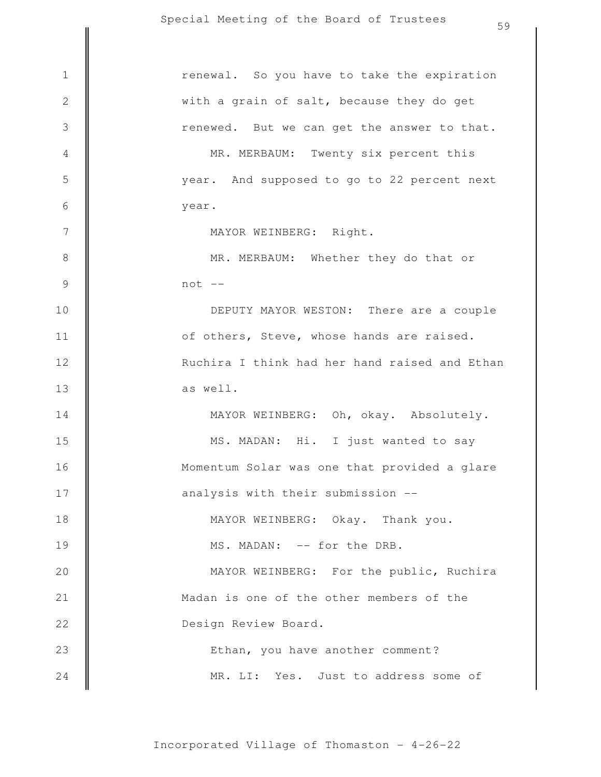|                | 59                                            |
|----------------|-----------------------------------------------|
| $\mathbf 1$    | renewal. So you have to take the expiration   |
|                |                                               |
| $\sqrt{2}$     | with a grain of salt, because they do get     |
| $\mathfrak{Z}$ | renewed. But we can get the answer to that.   |
| $\overline{4}$ | MR. MERBAUM: Twenty six percent this          |
| 5              | year. And supposed to go to 22 percent next   |
| $\sqrt{6}$     | year.                                         |
| $\overline{7}$ | MAYOR WEINBERG: Right.                        |
| $\,8\,$        | MR. MERBAUM: Whether they do that or          |
| $\mathcal{G}$  | $not --$                                      |
| 10             | DEPUTY MAYOR WESTON: There are a couple       |
| 11             | of others, Steve, whose hands are raised.     |
| 12             | Ruchira I think had her hand raised and Ethan |
| 13             | as well.                                      |
| 14             | MAYOR WEINBERG: Oh, okay. Absolutely.         |
| 15             | MS. MADAN: Hi. I just wanted to say           |
| 16             | Momentum Solar was one that provided a glare  |
| 17             | analysis with their submission --             |
| 18             | MAYOR WEINBERG: Okay. Thank you.              |
| 19             | MS. MADAN: -- for the DRB.                    |
| 20             | MAYOR WEINBERG: For the public, Ruchira       |
| 21             | Madan is one of the other members of the      |
| 22             | Design Review Board.                          |
| 23             | Ethan, you have another comment?              |
| 24             | MR. LI: Yes. Just to address some of          |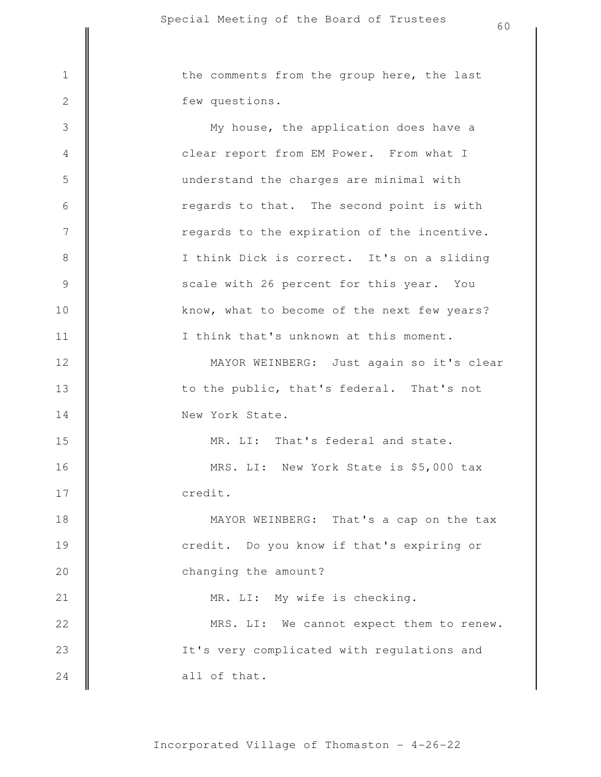few questions. 1 | the comments from the group here, the last

all of that. It's very complicated with regulations and MRS. LI: We cannot expect them to renew. MR. LI: My wife is checking. changing the amount? credit. Do you know if that's expiring or MAYOR WEINBERG: That's a cap on the tax credit. MRS. LI: New York State is \$5,000 tax MR. LI: That's federal and state. New York State. to the public, that's federal. That's not MAYOR WEINBERG: Just again so it's clear I think that's unknown at this moment. know, what to become of the next few years? scale with 26 percent for this year. You I think Dick is correct. It's on a sliding regards to the expiration of the incentive. regards to that. The second point is with understand the charges are minimal with clear report from EM Power. From what I My house, the application does have a 3 4 5 6 7 8 9 10 11 12 13 14 15 16 17 18 19 20 21 22 23 24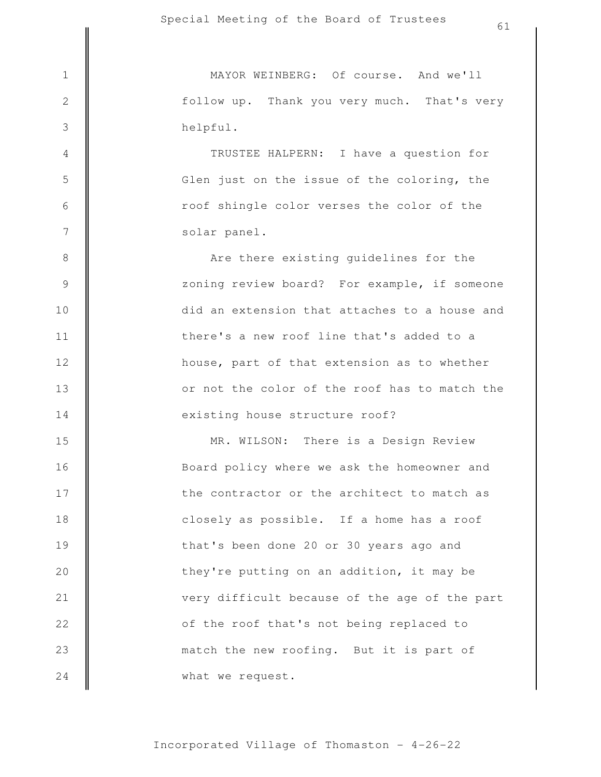3

4

5

6

7

8

9

10

11

12

13

14

helpful. follow up. Thank you very much. That's very 1 MAYOR WEINBERG: Of course. And we'll

> solar panel. roof shingle color verses the color of the Glen just on the issue of the coloring, the TRUSTEE HALPERN: I have a question for

existing house structure roof? or not the color of the roof has to match the house, part of that extension as to whether there's a new roof line that's added to a did an extension that attaches to a house and zoning review board? For example, if someone Are there existing guidelines for the

what we request. match the new roofing. But it is part of of the roof that's not being replaced to very difficult because of the age of the part they're putting on an addition, it may be that's been done 20 or 30 years ago and closely as possible. If a home has a roof the contractor or the architect to match as Board policy where we ask the homeowner and MR. WILSON: There is a Design Review 15 16 17 18 19 20 21 22 23 24

Incorporated Village of Thomaston - 4-26-22

61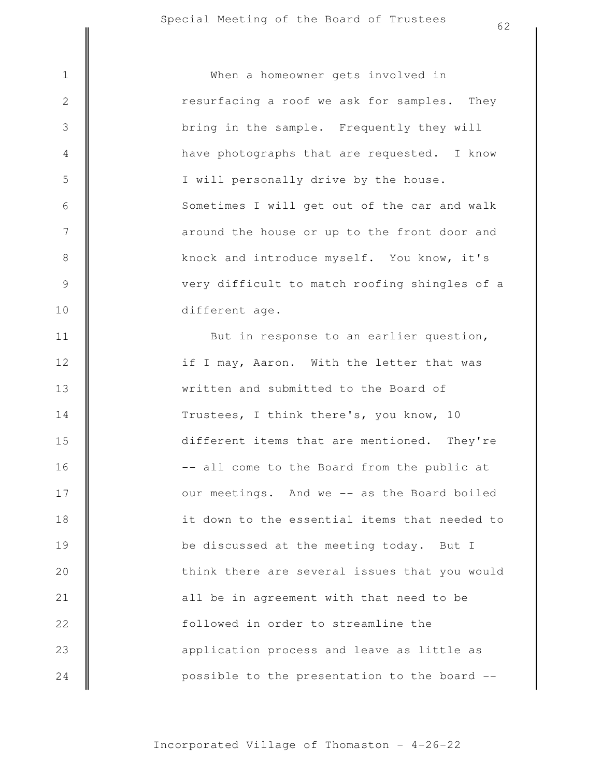But in response to an earlier question, different age. very difficult to match roofing shingles of a knock and introduce myself. You know, it's around the house or up to the front door and Sometimes I will get out of the car and walk I will personally drive by the house. have photographs that are requested. I know bring in the sample. Frequently they will resurfacing a roof we ask for samples. They 1 When a homeowner gets involved in

2

3

4

5

6

7

8

9

10

11

12

13

14

15

16

17

18

19

20

21

22

23

24

possible to the presentation to the board - application process and leave as little as followed in order to streamline the all be in agreement with that need to be think there are several issues that you would be discussed at the meeting today. But I it down to the essential items that needed to our meetings. And we -- as the Board boiled -- all come to the Board from the public at different items that are mentioned. They're Trustees, I think there's, you know, 10 written and submitted to the Board of if I may, Aaron. With the letter that was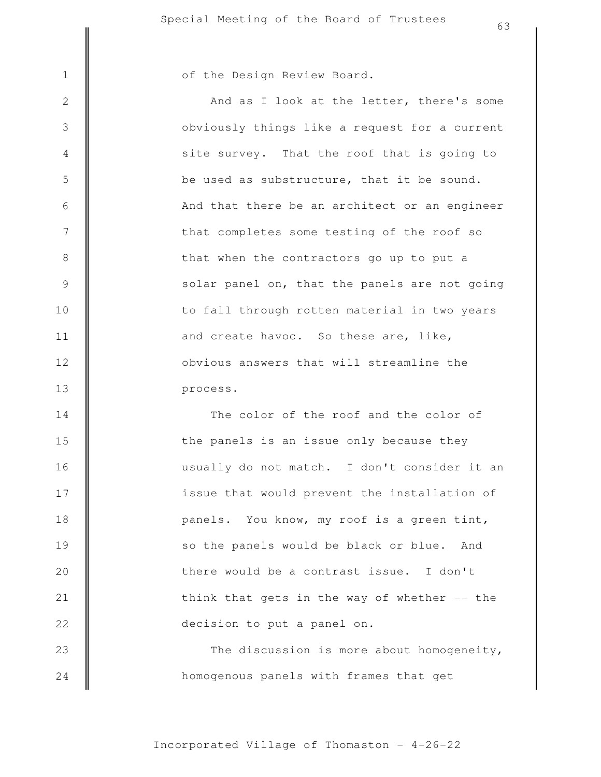3

4

5

6

7

8

9

10

11

12

13

## 1 | of the Design Review Board.

process. obvious answers that will streamline the and create havoc. So these are, like, to fall through rotten material in two years solar panel on, that the panels are not going that when the contractors go up to put a that completes some testing of the roof so And that there be an architect or an engineer be used as substructure, that it be sound. site survey. That the roof that is going to obviously things like a request for a current And as I look at the letter, there's some

homogenous panels with frames that get The discussion is more about homogeneity, decision to put a panel on. think that gets in the way of whether  $-$ - the there would be a contrast issue. I don't so the panels would be black or blue. And panels. You know, my roof is a green tint, issue that would prevent the installation of usually do not match. I don't consider it an the panels is an issue only because they The color of the roof and the color of 14 15 16 17 18 19 20 21 22 23 24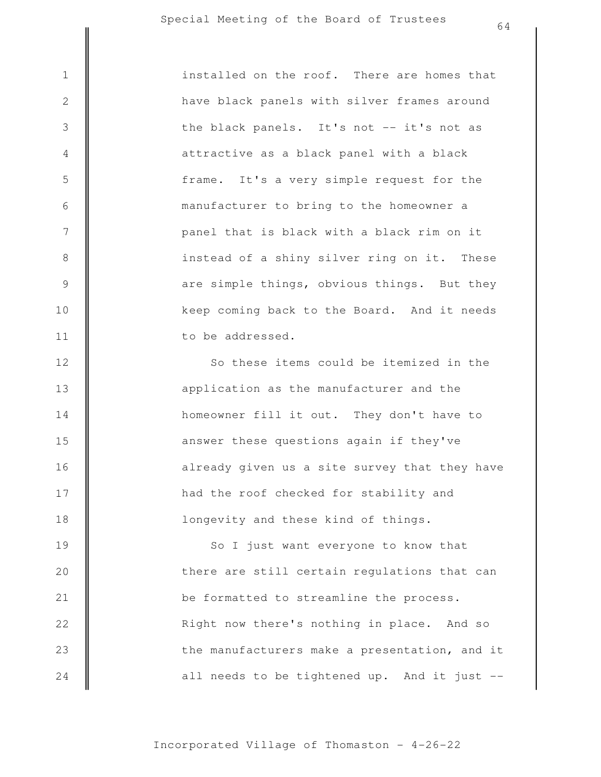3

4

5

6

7

8

9

10

11

12

13

14

15

16

17

18

to be addressed. keep coming back to the Board. And it needs are simple things, obvious things. But they instead of a shiny silver ring on it. These panel that is black with a black rim on it manufacturer to bring to the homeowner a frame. It's a very simple request for the attractive as a black panel with a black the black panels. It's not -- it's not as have black panels with silver frames around 1 **installed on the roof.** There are homes that

> longevity and these kind of things. had the roof checked for stability and already given us a site survey that they have answer these questions again if they've homeowner fill it out. They don't have to application as the manufacturer and the So these items could be itemized in the

all needs to be tightened up. And it just - the manufacturers make a presentation, and it Right now there's nothing in place. And so be formatted to streamline the process. there are still certain regulations that can So I just want everyone to know that 19 20 21 22 23 24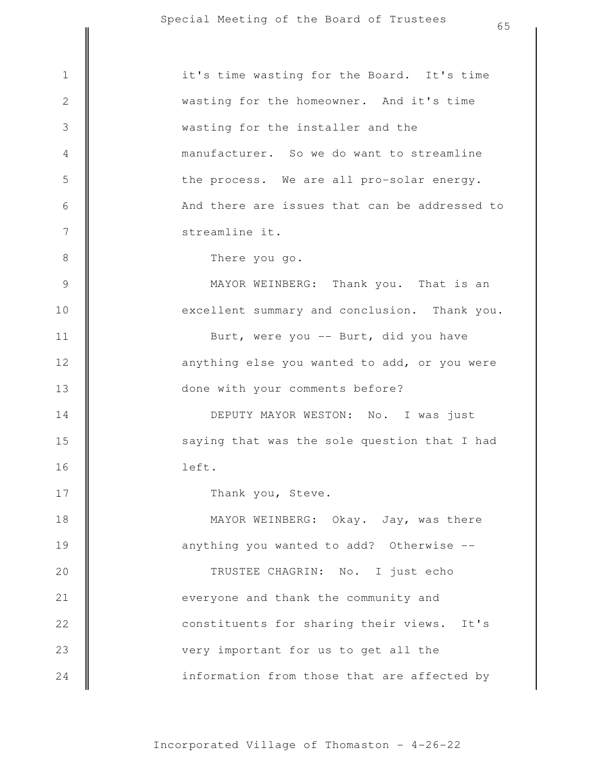|                | 65                                            |
|----------------|-----------------------------------------------|
|                |                                               |
| $1\,$          | it's time wasting for the Board. It's time    |
| $\sqrt{2}$     | wasting for the homeowner. And it's time      |
| $\mathfrak{Z}$ | wasting for the installer and the             |
| $\overline{4}$ | manufacturer. So we do want to streamline     |
| 5              | the process. We are all pro-solar energy.     |
| $\sqrt{6}$     | And there are issues that can be addressed to |
| $7\phantom{.}$ | streamline it.                                |
| $\,8\,$        | There you go.                                 |
| $\mathcal{G}$  | MAYOR WEINBERG: Thank you. That is an         |
| 10             | excellent summary and conclusion. Thank you.  |
| 11             | Burt, were you -- Burt, did you have          |
| 12             | anything else you wanted to add, or you were  |
| 13             | done with your comments before?               |
| 14             | DEPUTY MAYOR WESTON: No. I was just           |
| 15             | saying that was the sole question that I had  |
| 16             | left.                                         |
| 17             | Thank you, Steve.                             |
| 18             | MAYOR WEINBERG: Okay. Jay, was there          |
| 19             | anything you wanted to add? Otherwise --      |
| 20             | TRUSTEE CHAGRIN: No. I just echo              |
| 21             | everyone and thank the community and          |
| 22             | constituents for sharing their views. It's    |
| 23             | very important for us to get all the          |
| 24             | information from those that are affected by   |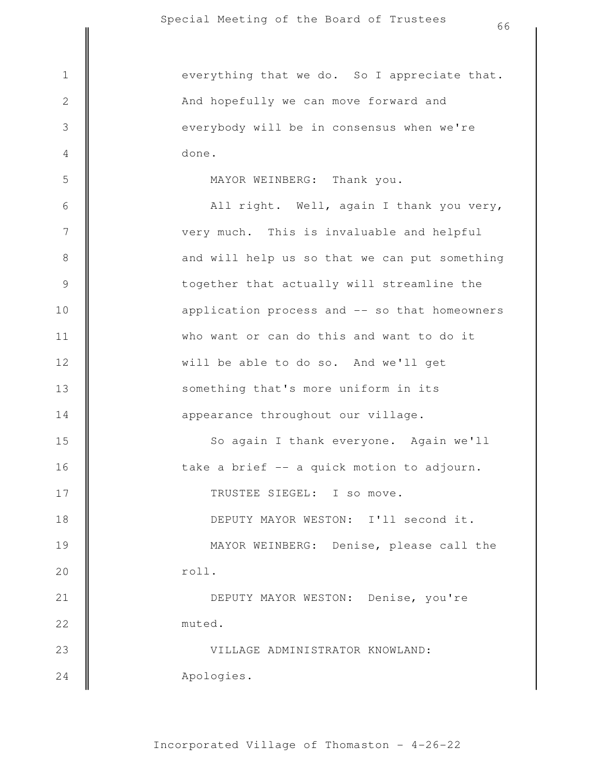3

4

5

done. everybody will be in consensus when we're And hopefully we can move forward and 1 || everything that we do. So I appreciate that.

MAYOR WEINBERG: Thank you.

Apologies. VILLAGE ADMINISTRATOR KNOWLAND: muted. DEPUTY MAYOR WESTON: Denise, you're roll. MAYOR WEINBERG: Denise, please call the DEPUTY MAYOR WESTON: I'll second it. TRUSTEE SIEGEL: I so move. take a brief -- a quick motion to adjourn. So again I thank everyone. Again we'll appearance throughout our village. something that's more uniform in its will be able to do so. And we'll get who want or can do this and want to do it application process and -- so that homeowners together that actually will streamline the and will help us so that we can put something very much. This is invaluable and helpful All right. Well, again I thank you very, 6 7 8 9 10 11 12 13 14 15 16 17 18 19 20 21 22 23 24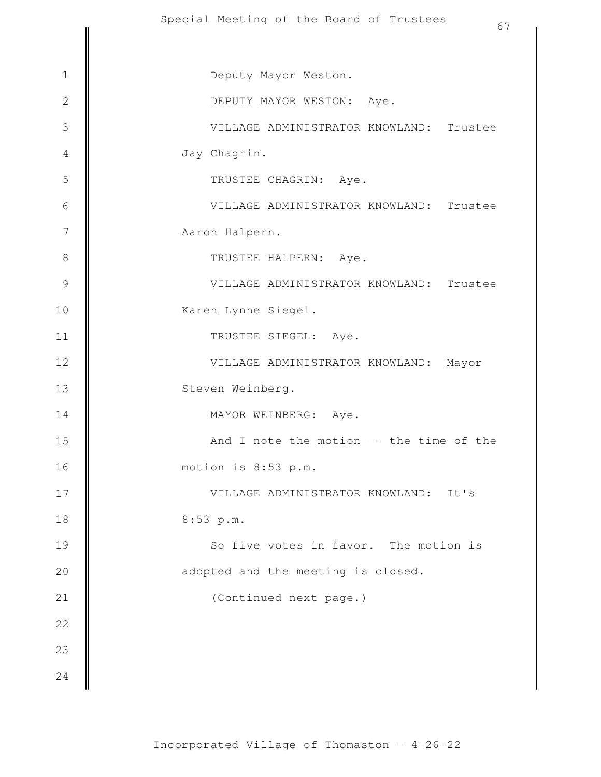|                | Special Meeting of the Board of Irustees<br>67 |
|----------------|------------------------------------------------|
|                |                                                |
| $\mathbf 1$    | Deputy Mayor Weston.                           |
| $\overline{2}$ | DEPUTY MAYOR WESTON: Aye.                      |
| $\mathcal{S}$  | VILLAGE ADMINISTRATOR KNOWLAND: Trustee        |
| $\overline{4}$ | Jay Chagrin.                                   |
| 5              | TRUSTEE CHAGRIN: Aye.                          |
| $\sqrt{6}$     | VILLAGE ADMINISTRATOR KNOWLAND: Trustee        |
| 7              | Aaron Halpern.                                 |
| $\,8\,$        | TRUSTEE HALPERN: Aye.                          |
| $\mathcal{G}$  | VILLAGE ADMINISTRATOR KNOWLAND: Trustee        |
| 10             | Karen Lynne Siegel.                            |
| 11             | TRUSTEE SIEGEL: Aye.                           |
| 12             | VILLAGE ADMINISTRATOR KNOWLAND:<br>Mayor       |
| 13             | Steven Weinberg.                               |
| 14             | MAYOR WEINBERG: Aye.                           |
| 15             | And I note the motion -- the time of the       |
| 16             | motion is 8:53 p.m.                            |
| 17             | VILLAGE ADMINISTRATOR KNOWLAND: It's           |
| 18             | 8:53 p.m.                                      |
| 19             | So five votes in favor. The motion is          |
| 20             | adopted and the meeting is closed.             |
| 21             | (Continued next page.)                         |
| 22             |                                                |
| 23             |                                                |
| 24             |                                                |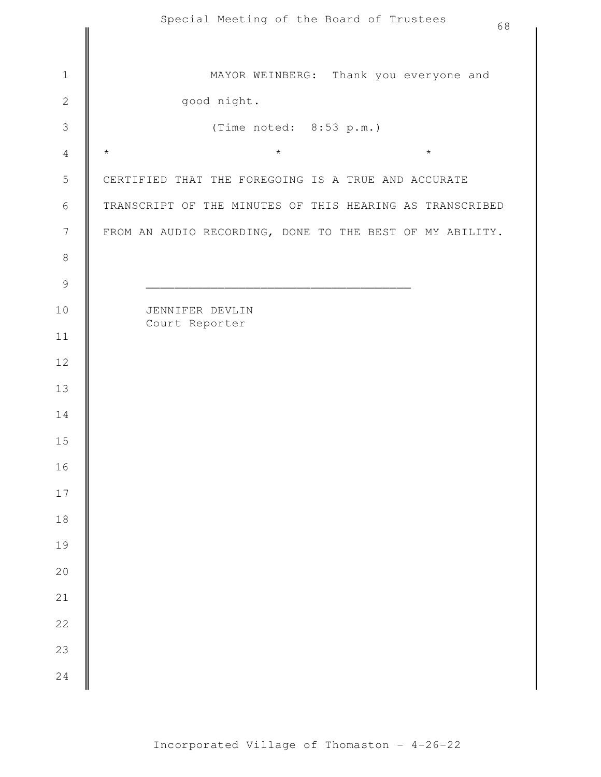|                  | Special Meeting of the Board of Trustees<br>68           |
|------------------|----------------------------------------------------------|
|                  |                                                          |
| $\,1\,$          | MAYOR WEINBERG: Thank you everyone and                   |
| $\mathbf{2}$     | good night.                                              |
| $\mathsf 3$      | (Time noted: 8:53 p.m.)                                  |
| $\sqrt{4}$       | $\star$<br>$\star$<br>$\star$                            |
| 5                | CERTIFIED THAT THE FOREGOING IS A TRUE AND ACCURATE      |
| $\epsilon$       | TRANSCRIPT OF THE MINUTES OF THIS HEARING AS TRANSCRIBED |
| $\boldsymbol{7}$ | FROM AN AUDIO RECORDING, DONE TO THE BEST OF MY ABILITY. |
| $\,8\,$          |                                                          |
| $\mathsf 9$      |                                                          |
| 10               | JENNIFER DEVLIN<br>Court Reporter                        |
| 11               |                                                          |
| 12               |                                                          |
| 13               |                                                          |
| 14               |                                                          |
| 15               |                                                          |
| 16               |                                                          |
| $17\,$           |                                                          |
| $1\,8$           |                                                          |
| 19               |                                                          |
| $2\,0$           |                                                          |
| $2\sqrt{1}$      |                                                          |
| $2\sqrt{2}$      |                                                          |
| 23               |                                                          |
| 24               |                                                          |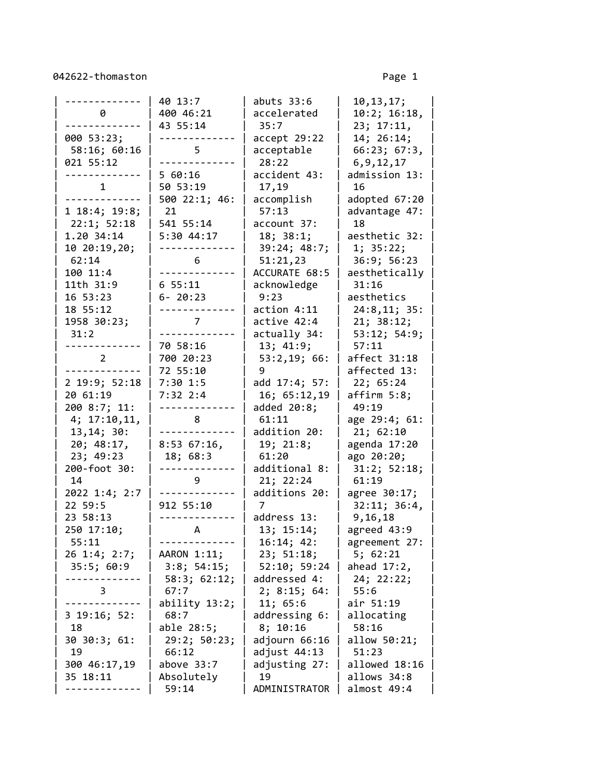042622-thomaston Page 1

|                   | 40 13:7        | abuts $33:6$   | 10, 13, 17;    |
|-------------------|----------------|----------------|----------------|
| 0                 | 400 46:21      | accelerated    | 10:2; 16:18,   |
|                   | 43 55:14       | 35:7           | 23; 17:11,     |
| 000 53:23;        |                | accept 29:22   | 14; 26:14;     |
| 58:16; 60:16      | 5              | acceptable     | 66:23; 67:3,   |
| 021 55:12         |                | 28:22          | 6, 9, 12, 17   |
|                   | 5 60:16        | accident 43:   | admission 13:  |
| $\mathbf{1}$      | 50 53:19       | 17,19          | 16             |
|                   | 500 22:1; 46:  | accomplish     | adopted 67:20  |
| 1 18:4; 19:8;     | 21             | 57:13          | advantage 47:  |
| 22:1; 52:18       | 541 55:14      | account 37:    | 18             |
| 1.20 34:14        | 5:30 44:17     | 18; 38:1;      | aesthetic 32:  |
| 10 20:19,20;      |                | 39:24; 48:7;   | 1; 35:22;      |
| 62:14             | 6              | 51:21,23       | 36:9; 56:23    |
| 100 11:4          |                | ACCURATE 68:5  | aesthetically  |
| 11th 31:9         | 6 55:11        | acknowledge    | 31:16          |
| 16 53:23          | $6 - 20:23$    | 9:23           | aesthetics     |
| 18 55:12          |                | action 4:11    | 24:8,11; 35:   |
| 1958 30:23;       | 7 <sup>7</sup> | active 42:4    | 21; 38:12;     |
| 31:2              |                | actually 34:   | 53:12; 54:9;   |
| $\frac{1}{2}$     | 70 58:16       | 13; 41:9;      | 57:11          |
| $\overline{2}$    | 700 20:23      | 53:2,19; 66:   | affect 31:18   |
|                   | 72 55:10       | 9              | affected 13:   |
| 2 19:9; 52:18     | $7:30$ 1:5     | add 17:4; 57:  | 22; 65:24      |
| 20 61:19          | $7:32$ $2:4$   | 16; 65:12,19   | affirm 5:8;    |
| 200 8:7; 11:      |                | added $20:8$ ; | 49:19          |
| 4; 17:10, 11,     | 8              | 61:11          | age 29:4; 61:  |
| 13, 14; 30:       |                | addition 20:   | 21; 62:10      |
| 20; 48:17,        | 8:5367:16      | 19; 21:8;      | agenda 17:20   |
| 23; 49:23         | 18; 68:3       | 61:20          | ago 20:20;     |
| 200-foot 30:      |                | additional 8:  | 31:2; 52:18;   |
| 14                | 9              | 21; 22:24      | 61:19          |
| 2022 1:4; 2:7     |                | additions 20:  | agree 30:17;   |
| 22 59:5           | 912 55:10      | 7              | 32:11; 36:4,   |
| 23 58:13          |                | address 13:    | 9,16,18        |
| 250 17:10;        | $\mathsf{A}$   | 13; 15:14;     | agreed 43:9    |
| 55:11             |                | 16:14; 42:     | agreement 27:  |
| 26 1:4; 2:7;      | AARON 1:11;    | 23; 51:18;     | 5; 62:21       |
| 35:5; 60:9        | 3:8; 54:15;    | 52:10; 59:24   | ahead $17:2$ , |
|                   | 58:3; 62:12;   | addressed 4:   | 24; 22:22;     |
| 3                 | 67:7           | 2; 8:15; 64:   | 55:6           |
|                   | ability 13:2;  | 11; 65:6       | air 51:19      |
| $3\ 19:16; \ 52:$ | 68:7           | addressing 6:  | allocating     |
| 18                | able 28:5;     | 8; 10:16       | 58:16          |
| 30 30:3; 61:      | 29:2; 50:23;   | adjourn 66:16  | allow 50:21;   |
| 19                | 66:12          | adjust 44:13   | 51:23          |
| 300 46:17,19      | above $33:7$   | adjusting 27:  | allowed 18:16  |
| 35 18:11          | Absolutely     | 19             | allows 34:8    |
|                   | 59:14          | ADMINISTRATOR  | almost 49:4    |
|                   |                |                |                |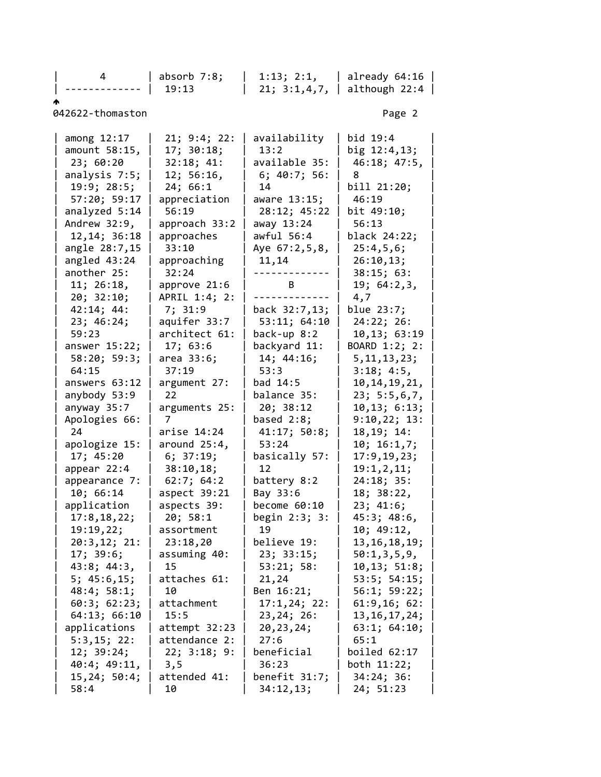| 4                  | $absorb$ $7:8;$     | 1:13; 2:1,             | already 64:16      |  |
|--------------------|---------------------|------------------------|--------------------|--|
|                    | 19:13               | 21; 3:1,4,7,<br>$\Box$ | although $22:4$    |  |
|                    |                     |                        |                    |  |
| 042622-thomaston   |                     |                        | Page 2             |  |
|                    |                     |                        |                    |  |
| among 12:17        | 21; 9:4; 22:        | availability           | bid 19:4           |  |
| amount 58:15,      | 17; 30:18;          | 13:2                   | big 12:4,13;       |  |
| 23; 60:20          | 32:18; 41:          | available 35:          | 46:18; 47:5,       |  |
| analysis 7:5;      | 12; 56:16,          | 6; 40:7; 56:           | 8                  |  |
| 19:9; 28:5;        | 24; 66:1            | 14                     | bill 21:20;        |  |
| 57:20; 59:17       | appreciation        | aware 13:15;           | 46:19              |  |
| analyzed 5:14      | 56:19               | 28:12; 45:22           | bit 49:10;         |  |
| Andrew 32:9,       | approach 33:2       | away 13:24             | 56:13              |  |
| 12, 14; 36: 18     | approaches          | awful $56:4$           | black 24:22;       |  |
| angle 28:7,15      | 33:10               | Aye 67:2,5,8,          | 25:4,5,6;          |  |
| angled 43:24       | approaching         | 11,14                  | 26:10,13;          |  |
| another 25:        | 32:24               |                        | 38:15; 63:         |  |
| 11; 26:18,         | approve 21:6        | B                      | 19; 64:2,3,        |  |
| 20; 32:10;         | APRIL 1:4; 2:       |                        | 4,7                |  |
| 42:14; 44:         | 7; 31:9             | back 32:7,13;          | blue 23:7;         |  |
| 23; 46:24;         | aquifer 33:7        | 53:11; 64:10           | 24:22; 26:         |  |
| 59:23              | architect 61:       | back-up $8:2$          | 10,13; 63:19       |  |
| answer $15:22;$    | 17; 63:6            | backyard 11:           | BOARD 1:2; 2:      |  |
|                    |                     |                        |                    |  |
| 58:20; 59:3;       | area 33:6;<br>37:19 | 14; 44:16;<br>53:3     | 5, 11, 13, 23;     |  |
| 64:15              |                     |                        | 3:18; 4:5,         |  |
| answers 63:12      | argument 27:        | bad 14:5               | 10, 14, 19, 21,    |  |
| anybody 53:9       | 22                  | balance 35:            | 23; 5:5,6,7,       |  |
| anyway 35:7        | arguments 25:       | 20; 38:12              | 10, 13; 6:13;      |  |
| Apologies 66:      | 7                   | based $2:8$ ;          | 9:10,22; 13:       |  |
| 24                 | arise 14:24         | 41:17; 50:8;           | 18, 19; 14:        |  |
| apologize 15:      | around $25:4$ ,     | 53:24                  | 10; 16:1,7;        |  |
| 17; 45:20          | 6; 37:19;           | basically 57:          | 17:9, 19, 23;      |  |
| appear $22:4$      | 38:10,18;           | 12                     | 19:1,2,11;         |  |
| appearance 7:      | 62:7; 64:2          | battery 8:2            | 24:18; 35:         |  |
| 10; 66:14          | aspect 39:21        | Bay 33:6               | 18; 38:22,         |  |
| application        | aspects 39:         | become 60:10           | 23; 41:6;          |  |
| 17:8, 18, 22;      | 20; 58:1            | begin $2:3$ ; $3:$     | 45:3; 48:6,        |  |
| 19:19,22;          | assortment          | 19                     | 10; 49:12,         |  |
| 20:3,12; 21:       | 23:18,20            | believe 19:            | 13, 16, 18, 19;    |  |
| 17; 39:6;          | assuming 40:        | 23; 33:15;             | 50:1,3,5,9,        |  |
| 43:8; 44:3,        | 15                  | 53:21; 58:             | 10,13; 51:8;       |  |
| 5; 45:6, 15;       | attaches 61:        | 21,24                  | $53:5$ ; $54:15$ ; |  |
| 48:4; 58:1;        | 10                  | Ben 16:21;             | 56:1; 59:22;       |  |
| 60:3; 62:23;       | attachment          | 17:1,24;22:            | 61:9,16;62:        |  |
| 64:13; 66:10       | 15:5                | 23, 24; 26:            | 13, 16, 17, 24;    |  |
| applications       | attempt 32:23       | 20, 23, 24;            | 63:1; 64:10;       |  |
| 5:3,15; 22:        | attendance 2:       | 27:6                   | 65:1               |  |
| 12; 39:24;         | 22; 3:18; 9:        | beneficial             | boiled 62:17       |  |
| $40:4$ ; $49:11$ , | 3,5                 | 36:23                  | both 11:22;        |  |
| 15, 24; 50:4;      | attended 41:        | benefit $31:7$ ;       | 34:24;36:          |  |
| 58:4               | 10                  | 34:12,13;              | 24; 51:23          |  |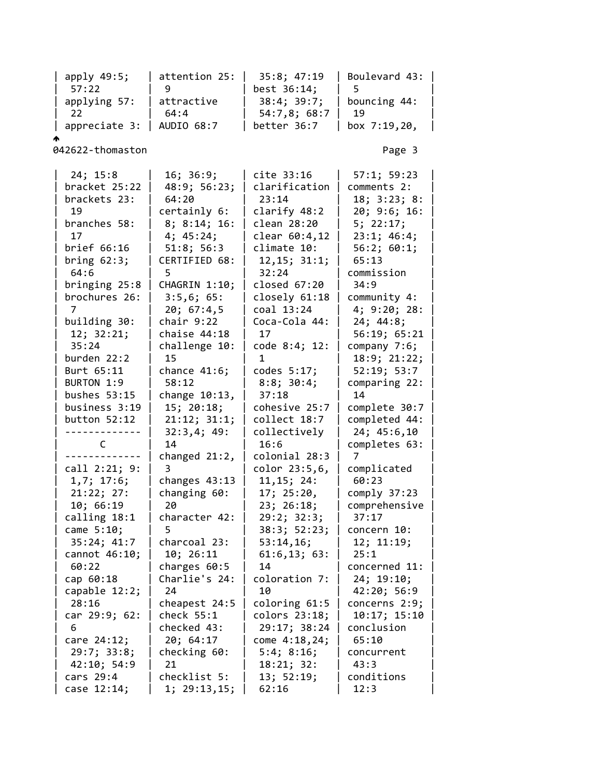| apply 49:5; | attention 25: | 35:8; 47:19 | Boulevard 43: | | 57:22 | 9 | best 36:14; | 5 | applying 57:  $\vert$  attractive  $\vert$  38:4; 39:7;  $\vert$  bouncing 44: | 22 | 64:4 | 54:7,8; 68:7 | 19 | | appreciate 3: | AUDIO 68:7 | better 36:7 | box 7:19,20, | ሖ 042622-thomaston Page 3 | 24; 15:8 | 16; 36:9; | cite 33:16 | 57:1; 59:23 | bracket  $25:22$  | 48:9; 56:23; | clarification | comments 2: brackets 23: | 64:20 | 23:14 | 18; 3:23; 8: | 19 | certainly 6: | clarify 48:2 | 20; 9:6; 16: | | branches 58: | 8; 8:14; 16: | clean 28:20 | 5; 22:17; | | 17 | 4; 45:24; | clear 60:4,12 | 23:1; 46:4; | | brief 66:16 | 51:8; 56:3 | climate 10: | 56:2; 60:1; | | bring 62:3; | CERTIFIED 68: | 12,15; 31:1; | 65:13 | | 64:6 | 5 | 32:24 | commission | | bringing 25:8 | CHAGRIN 1:10; | closed 67:20 | 34:9 |  $b$ rochures 26: | 3:5,6; 65: | closely 61:18 | community 4: | 7 | 20; 67:4,5 | coal 13:24 | 4; 9:20; 28: | | building 30: | chair 9:22 | Coca-Cola 44: | 24; 44:8; | | 12; 32:21; | chaise 44:18 | 17 | 56:19; 65:21 | | 35:24 | challenge 10: | code 8:4; 12: | company 7:6; | | burden 22:2 | 15 | 1 | 18:9; 21:22; | Burt 65:11 | chance 41:6; | codes 5:17; | 52:19; 53:7 | | BURTON 1:9 | 58:12 | 8:8; 30:4; | comparing 22: | bushes  $53:15$  change  $10:13$ , |  $37:18$  | 14 | business 3:19 | 15; 20:18; | cohesive 25:7 | complete 30:7 | | button 52:12 | 21:12; 31:1; | collect 18:7 | completed 44: | | ------------- | 32:3,4; 49: | collectively | 24; 45:6,10 | | C | 14 | 16:6 | completes 63: | | ------------- | changed 21:2, | colonial 28:3 | 7 |  $\text{call 2:21; 9: } 3$   $\text{color 23:5,6, } 1 \text{ complicated}$ | 1,7; 17:6; | changes 43:13 | 11,15; 24: | 60:23 | | 21:22; 27: | changing 60: | 17; 25:20, | comply 37:23 | | 10; 66:19 | 20 | 23; 26:18; | comprehensive | | calling 18:1 | character 42: | 29:2; 32:3; | 37:17 | | came 5:10; | 5 | 38:3; 52:23; | concern 10: | | 35:24; 41:7 | charcoal 23: | 53:14,16; | 12; 11:19; | | cannot 46:10; | 10; 26:11 | 61:6,13; 63: | 25:1 | | 60:22 | charges 60:5 | 14 | concerned 11: | | cap 60:18 | Charlie's 24: | coloration 7: | 24; 19:10; | capable 12:2; 24 | 10 | 42:20; 56:9 | 28:16 | cheapest 24:5 | coloring 61:5 | concerns 2:9; | | car 29:9; 62: | check 55:1 | colors 23:18; | 10:17; 15:10 | | 6 | checked 43: | 29:17; 38:24 | conclusion | | care 24:12; | 20; 64:17 | come 4:18,24; | 65:10 | | 29:7; 33:8; | checking 60: | 5:4; 8:16; | concurrent | | 42:10; 54:9 | 21 | 18:21; 32: | 43:3 | | cars 29:4 | checklist 5: | 13; 52:19; | conditions | | case 12:14; | 1; 29:13,15; | 62:16 | 12:3 |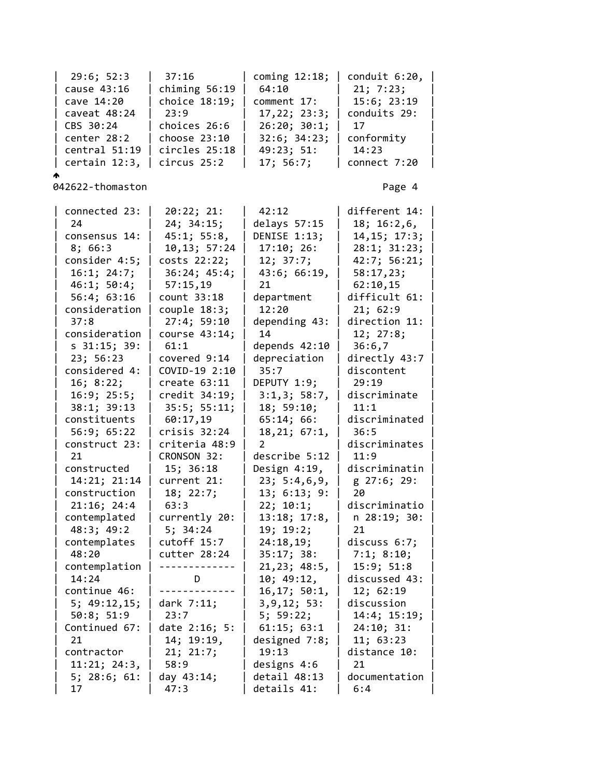| 29:6; 52:3<br>cause 43:16<br>cave 14:20<br>caveat 48:24<br>CBS 30:24<br>center 28:2<br>central 51:19<br>certain 12:3,                                                                                                                                                                                                                                                                                                                                                                                                                                     | 37:16<br>chiming $56:19$<br>choice 18:19;<br>23:9<br>choices 26:6<br>choose 23:10<br>circles 25:18<br>circus 25:2                                                                                                                                                                                                                                                                                                                                                                                                                | coming $12:18$ ;<br>64:10<br>comment 17:<br>17, 22; 23:3;<br>26:20; 30:1;<br>32:6; 34:23;<br>49:23; 51:<br>17; 56:7;                                                                                                                                                                                                                                                                                                                                                                                                                        | conduit 6:20,<br>21; 7:23;<br>15:6; 23:19<br>conduits 29:<br>17<br>conformity<br>14:23<br>connect 7:20                                                                                                                                                                                                                                                                                                                                                                                                                                |  |
|-----------------------------------------------------------------------------------------------------------------------------------------------------------------------------------------------------------------------------------------------------------------------------------------------------------------------------------------------------------------------------------------------------------------------------------------------------------------------------------------------------------------------------------------------------------|----------------------------------------------------------------------------------------------------------------------------------------------------------------------------------------------------------------------------------------------------------------------------------------------------------------------------------------------------------------------------------------------------------------------------------------------------------------------------------------------------------------------------------|---------------------------------------------------------------------------------------------------------------------------------------------------------------------------------------------------------------------------------------------------------------------------------------------------------------------------------------------------------------------------------------------------------------------------------------------------------------------------------------------------------------------------------------------|---------------------------------------------------------------------------------------------------------------------------------------------------------------------------------------------------------------------------------------------------------------------------------------------------------------------------------------------------------------------------------------------------------------------------------------------------------------------------------------------------------------------------------------|--|
| 042622-thomaston                                                                                                                                                                                                                                                                                                                                                                                                                                                                                                                                          |                                                                                                                                                                                                                                                                                                                                                                                                                                                                                                                                  |                                                                                                                                                                                                                                                                                                                                                                                                                                                                                                                                             | Page 4                                                                                                                                                                                                                                                                                                                                                                                                                                                                                                                                |  |
| connected 23:<br>24<br>consensus 14:<br>8;66:3<br>consider 4:5;<br>16:1; 24:7;<br>46:1; 50:4;<br>56:4; 63:16<br>consideration<br>37:8<br>consideration<br>$s$ 31:15; 39:<br>23; 56:23<br>considered 4:<br>16; 8:22;<br>16:9; 25:5;<br>38:1; 39:13<br>constituents<br>56:9; 65:22<br>construct 23:<br>21<br>constructed<br>14:21; 21:14<br>construction<br>21:16; 24:4<br>contemplated<br>48:3; 49:2<br>contemplates<br>48:20<br>contemplation<br>14:24<br>continue 46:<br>5; 49:12,15;<br>50:8; 51:9<br>Continued 67:<br>21<br>contractor<br>11:21; 24:3, | 20:22; 21:<br>24; 34:15;<br>45:1; 55:8,<br>10,13; 57:24<br>costs 22:22;<br>36:24; 45:4;<br>57:15,19<br>count 33:18<br>$couple$ 18:3;<br>27:4; 59:10<br>course 43:14;<br>61:1<br>covered 9:14<br>COVID-19 2:10<br>create 63:11<br>credit 34:19;<br>$35:5$ ; $55:11$ ;<br>60:17,19<br>$crisis$ 32:24<br>criteria 48:9<br>CRONSON 32:<br>15; 36:18<br>current 21:<br>18; 22:7;<br>63:3<br>currently 20:<br>5; 34:24<br>cutoff 15:7<br>cutter 28:24<br>D<br>dark $7:11;$<br>23:7<br>date 2:16; 5:<br>14; 19:19,<br>21; 21:7;<br>58:9 | 42:12<br>delays $57:15$<br>DENISE 1:13;<br>17:10; 26:<br>12; 37:7;<br>43:6; 66:19,<br>21<br>department<br>12:20<br>depending 43:<br>14<br>depends 42:10<br>depreciation<br>35:7<br>DEPUTY 1:9;<br>3:1,3; 58:7,<br>18; 59:10;<br>65:14; 66:<br>18, 21; 67:1,<br>2<br>describe 5:12<br>Design 4:19,<br>23; 5:4,6,9,<br>13; 6:13; 9:<br>22; 10:1;<br>13:18; 17:8,<br>19; 19:2;<br>24:18,19;<br>35:17; 38:<br>21,23; 48:5,<br>10; 49:12,<br>16, 17; 50:1,<br>3, 9, 12; 53:<br>5; 59:22;<br>61:15; 63:1<br>designed 7:8;<br>19:13<br>designs 4:6 | different 14:<br>18; 16:2,6,<br>14, 15; 17:3;<br>28:1; 31:23;<br>42:7; 56:21;<br>58:17,23;<br>62:10,15<br>difficult 61:<br>21; 62:9<br>direction 11:<br>12; 27:8;<br>36:6,7<br>directly 43:7<br>discontent<br>29:19<br>discriminate<br>11:1<br>discriminated<br>36:5<br>discriminates<br>11:9<br>discriminatin<br>g 27:6; 29:<br>20<br>discriminatio<br>n 28:19; 30:<br>21<br>discuss $6:7;$<br>7:1; 8:10;<br>15:9; 51:8<br>discussed 43:<br>12; 62:19<br>discussion<br>14:4; 15:19;<br>24:10; 31:<br>11; 63:23<br>distance 10:<br>21 |  |
| 5; 28:6; 61:<br>17                                                                                                                                                                                                                                                                                                                                                                                                                                                                                                                                        | day 43:14;<br>47:3                                                                                                                                                                                                                                                                                                                                                                                                                                                                                                               | detail 48:13<br>details 41:                                                                                                                                                                                                                                                                                                                                                                                                                                                                                                                 | documentation<br>6:4                                                                                                                                                                                                                                                                                                                                                                                                                                                                                                                  |  |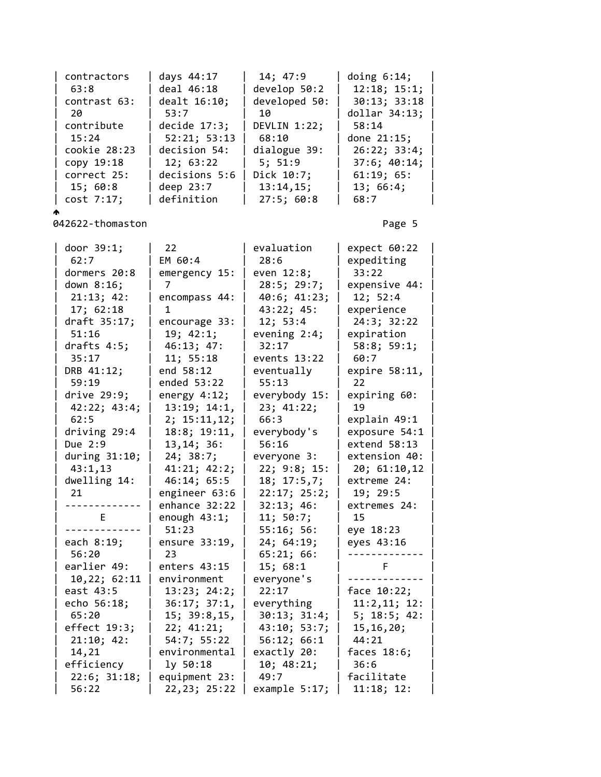| contractors      | days 44:17               | 14; 47:9                | doing $6:14$ ;          |  |
|------------------|--------------------------|-------------------------|-------------------------|--|
| 63:8             | deal 46:18               | develop 50:2            | 12:18; 15:1;            |  |
| contrast 63:     | dealt 16:10;             | developed 50:           | 30:13; 33:18            |  |
| 20               | 53:7                     | 10                      | $dollar$ 34:13;         |  |
| contribute       | decide $17:3;$           | DEVLIN 1:22;            | 58:14                   |  |
| 15:24            | 52:21; 53:13             | 68:10                   | done 21:15;             |  |
| cookie 28:23     | decision 54:             | dialogue 39:            | 26:22; 33:4;            |  |
| copy 19:18       | 12; 63:22                | 5; 51:9                 | 37:6; 40:14;            |  |
| correct 25:      | decisions 5:6            | Dick 10:7;              | 61:19; 65:              |  |
| 15; 60:8         | deep 23:7                | 13:14,15;               | 13; 66:4;               |  |
| cost 7:17;       | definition               | $27:5$ ; 60:8           | 68:7                    |  |
|                  |                          |                         |                         |  |
| 042622-thomaston |                          |                         | Page 5                  |  |
| door 39:1;       | 22 <sub>1</sub>          | evaluation              | expect 60:22            |  |
| 62:7             | EM 60:4                  | 28:6                    | expediting              |  |
| dormers 20:8     | emergency 15:            | even 12:8;              | 33:22                   |  |
| down 8:16;       | 7                        | 28:5; 29:7;             | expensive 44:           |  |
| 21:13; 42:       | encompass 44:            | 40:6; 41:23;            | 12; 52:4                |  |
| 17; 62:18        | 1                        | 43:22; 45:              | experience              |  |
| draft 35:17;     | encourage 33:            | 12; 53:4                | 24:3; 32:22             |  |
| 51:16            | 19; 42:1;                | evening $2:4$ ;         | expiration              |  |
| drafts $4:5;$    | 46:13; 47:               | 32:17                   | 58:8; 59:1;             |  |
| 35:17            | 11; 55:18                | events 13:22            | 60:7                    |  |
| DRB 41:12;       | end 58:12                | eventually              | expire 58:11,           |  |
| 59:19            | ended 53:22              | 55:13                   | 22                      |  |
| drive $29:9;$    | energy $4:12;$           | everybody 15:           | expiring 60:            |  |
| 42:22; 43:4;     | 13:19; 14:1,             | 23; 41:22;              | 19                      |  |
| 62:5             | 2; 15:11, 12;            | 66:3                    | explain 49:1            |  |
| driving 29:4     | 18:8; 19:11,             | everybody's             | exposure 54:1           |  |
| Due 2:9          | 13, 14; 36:              | 56:16                   | extend 58:13            |  |
| during $31:10$ ; | 24; 38:7;                | everyone 3:             | extension 40:           |  |
| 43:1,13          | 41:21; 42:2;             | 22; 9:8; 15:            | 20; 61:10,12            |  |
| dwelling 14:     | 46:14; 65:5              | 18; 17:5,7;             | extreme 24:             |  |
| 21               | engineer 63:6            | 22:17; 25:2;            | 19; 29:5                |  |
| -------------    | enhance 32:22            | 32:13; 46:<br>11; 50:7; | extremes 24:            |  |
| E                | enough $43:1$ ;<br>51:23 | 55:16; 56:              | 15                      |  |
| each 8:19;       | ensure 33:19,            | 24; 64:19;              | eye 18:23<br>eyes 43:16 |  |
| 56:20            | 23                       | 65:21; 66:              |                         |  |
| earlier 49:      | enters 43:15             | 15; 68:1                | F                       |  |
| 10,22; 62:11     | environment              | everyone's              |                         |  |
| east 43:5        | 13:23; 24:2;             | 22:17                   | face $10:22;$           |  |
| echo 56:18;      | 36:17; 37:1,             | everything              | 11:2,11; 12:            |  |
| 65:20            | 15; 39:8, 15,            | 30:13; 31:4;            | 5; 18:5; 42:            |  |
| effect 19:3;     | 22; 41:21;               | 43:10; 53:7;            | 15, 16, 20;             |  |
| 21:10; 42:       | 54:7; 55:22              | 56:12; 66:1             | 44:21                   |  |
| 14,21            | environmental            | exactly 20:             | faces $18:6;$           |  |
| efficiency       | ly 50:18                 | 10; 48:21;              | 36:6                    |  |
| 22:6; 31:18;     | equipment 23:            | 49:7                    | facilitate              |  |
| 56:22            | 22,23; 25:22             | example 5:17;           | 11:18; 12:              |  |
|                  |                          |                         |                         |  |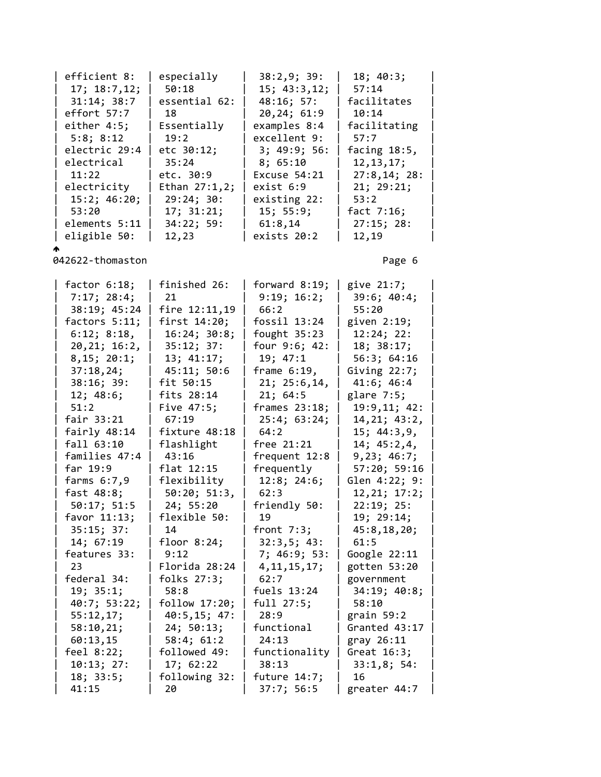| efficient 8:   | especially       | 38:2,9;39:   | 18; 40:3;       |
|----------------|------------------|--------------|-----------------|
| 17; 18:7,12;   | 50:18            | 15; 43:3,12; | 57:14           |
| 31:14; 38:7    | essential 62:    | 48:16; 57:   | facilitates     |
| effort 57:7    | 18               | 20,24; 61:9  | 10:14           |
| either $4:5$ ; | Essentially      | examples 8:4 | facilitating    |
| 5:8; 8:12      | 19:2             | excellent 9: | 57:7            |
| electric 29:4  | etc 30:12;       | 3; 49:9; 56: | facing $18:5$ , |
| electrical     | 35:24            | 8; 65:10     | 12, 13, 17;     |
| 11:22          | etc. 30:9        | Excuse 54:21 | 27:8,14;28:     |
| electricity    | Ethan $27:1,2$ ; | exist 6:9    | 21; 29:21;      |
| 15:2; 46:20;   | 29:24; 30:       | existing 22: | 53:2            |
| 53:20          | 17; 31:21;       | 15; 55:9;    | fact $7:16$ ;   |
| elements 5:11  | 34:22; 59:       | 61:8,14      | 27:15; 28:      |
| eligible 50:   | 12,23            | exists 20:2  | 12,19           |

 $\triangle$ 

| factor $6:18$ ; | finished 26:  | forward $8:19;$ | give 21:7;      |
|-----------------|---------------|-----------------|-----------------|
| 7:17; 28:4;     | 21            | 9:19; 16:2;     | 39:6; 40:4;     |
| 38:19; 45:24    | fire 12:11,19 | 66:2            | 55:20           |
| factors $5:11;$ | first 14:20;  | fossil 13:24    | given 2:19;     |
| 6:12; 8:18,     | 16:24; 30:8;  | fought $35:23$  | 12:24; 22:      |
| 20, 21; 16:2,   | 35:12; 37:    | four 9:6; 42:   | 18; 38:17;      |
| 8, 15; 20:1;    | 13; 41:17;    | 19; 47:1        | 56:3; 64:16     |
| 37:18,24;       | 45:11; 50:6   | frame $6:19$ ,  | Giving $22:7$ ; |
| 38:16; 39:      | fit 50:15     | 21; 25:6, 14,   | 41:6; 46:4      |
| 12; 48:6;       | fits 28:14    | 21; 64:5        | glare $7:5$ ;   |
| 51:2            | Five 47:5;    | frames $23:18;$ | 19:9,11; 42:    |
| fair 33:21      | 67:19         | 25:4; 63:24;    | 14, 21; 43: 2,  |
| fairly 48:14    | fixture 48:18 | 64:2            | 15; 44:3,9,     |
| fall 63:10      | flashlight    | free 21:21      | 14; 45:2,4,     |
| families 47:4   | 43:16         | frequent 12:8   | 9,23; 46:7;     |
| far 19:9        | flat 12:15    | frequently      | 57:20; 59:16    |
| farms $6:7,9$   | flexibility   | 12:8; 24:6;     | Glen 4:22; 9:   |
| fast 48:8;      | 50:20; 51:3,  | 62:3            | 12, 21; 17:2;   |
| 50:17; 51:5     | 24; 55:20     | friendly 50:    | 22:19; 25:      |
| favor $11:13$ ; | flexible 50:  | 19              | 19; 29:14;      |
| 35:15; 37:      | 14            | front $7:3$ ;   | 45:8,18,20;     |
| 14; 67:19       | floor $8:24;$ | 32:3,5; 43:     | 61:5            |
| features 33:    | 9:12          | 7; 46:9; 53:    | Google 22:11    |
| 23              | Florida 28:24 | 4, 11, 15, 17;  | gotten 53:20    |
| federal 34:     | folks 27:3;   | 62:7            | government      |
| 19; 35:1;       | 58:8          | fuels $13:24$   | 34:19; 40:8;    |
| 40:7; 53:22;    | follow 17:20; | full 27:5;      | 58:10           |
| 55:12,17;       | 40:5, 15; 47: | 28:9            | grain $59:2$    |
| 58:10,21;       | 24; 50:13;    | functional      | Granted 43:17   |
| 60:13,15        | 58:4; 61:2    | 24:13           | gray 26:11      |
| feel $8:22;$    | followed 49:  | functionality   | Great $16:3;$   |
| 10:13; 27:      | 17; 62:22     | 38:13           | 33:1,8;54:      |
| 18; 33:5;       | following 32: | future 14:7;    | 16              |
| 41:15           | 20            | 37:7; 56:5      | greater 44:7    |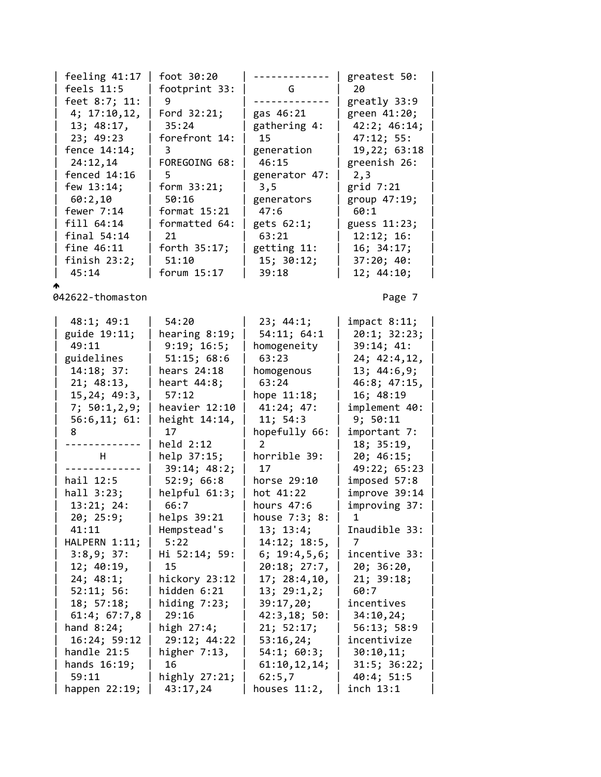| feeling 41:17  | foot 30:20      |               | greatest 50: |
|----------------|-----------------|---------------|--------------|
| feels 11:5     | footprint 33:   | G             | 20           |
| feet 8:7; 11:  | 9               |               | greatly 33:9 |
| 4; 17:10,12,   | Ford $32:21$ ;  | gas 46:21     | green 41:20; |
| 13; 48:17,     | 35:24           | gathering 4:  | 42:2; 46:14; |
| 23; 49:23      | forefront 14:   | 15            | 47:12; 55:   |
| fence 14:14;   | 3               | generation    | 19,22; 63:18 |
| 24:12,14       | FOREGOING 68:   | 46:15         | greenish 26: |
| fenced $14:16$ |                 | generator 47: | 2,3          |
| few $13:14$ ;  | form $33:21$ ;  | 3,5           | grid $7:21$  |
| 60:2,10        | 50:16           | generators    | group 47:19; |
| fewer $7:14$   | format $15:21$  | 47:6          | 60:1         |
| fill 64:14     | formatted 64:   | gets 62:1;    | guess 11:23; |
| $final$ 54:14  | 21              | 63:21         | 12:12; 16:   |
| fine $46:11$   | forth $35:17$ ; | getting 11:   | 16; 34:17;   |
| finish $23:2;$ | 51:10           | 15; 30:12;    | 37:20; 40:   |
| 45:14          | forum $15:17$   | 39:18         | 12; 44:10;   |

₳

| 48:1; 49:1     | 54:20            | 23; 44:1;     | impat 8:11;   |  |
|----------------|------------------|---------------|---------------|--|
| guide 19:11;   | hearing 8:19;    | 54:11; 64:1   | 20:1; 32:23;  |  |
| 49:11          | 9:19; 16:5;      | homogeneity   | 39:14; 41:    |  |
| guidelines     | 51:15; 68:6      | 63:23         | 24; 42:4, 12, |  |
| 14:18; 37:     | hears 24:18      | homogenous    | 13; 44:6,9;   |  |
| 21; 48:13,     |                  | 63:24         |               |  |
|                | heart $44:8;$    |               | 46:8; 47:15,  |  |
| 15, 24; 49:3,  | 57:12            | hope 11:18;   | 16; 48:19     |  |
| 7; 50:1, 2, 9; | heavier 12:10    | 41:24; 47:    | implement 40: |  |
| 56:6,11;61:    | height $14:14$ , | 11; 54:3      | 9; 50:11      |  |
| 8              | 17               | hopefully 66: | important 7:  |  |
| .              | held 2:12        |               | 18; 35:19,    |  |
| H.             | help 37:15;      | horrible 39:  | 20; 46:15;    |  |
|                | 39:14; 48:2;     | 17            | 49:22; 65:23  |  |
| hail 12:5      | 52:9; 66:8       | horse 29:10   | imposed 57:8  |  |
| hall 3:23;     | helpful 61:3;    | hot 41:22     | improve 39:14 |  |
| 13:21; 24:     | 66:7             | hours $47:6$  | improving 37: |  |
| 20; 25:9;      | helps 39:21      | house 7:3; 8: | 1.            |  |
| 41:11          | Hempstead's      | 13; 13:4;     | Inaudible 33: |  |
| HALPERN 1:11;  | 5:22             | 14:12; 18:5,  | 7             |  |
| 3:8,9;37:      | Hi 52:14; 59:    | 6; 19:4,5,6;  | incentive 33: |  |
| 12; 40:19,     | 15               | 20:18; 27:7,  | 20; 36:20,    |  |
| 24; 48:1;      | hickory 23:12    | 17; 28:4,10,  | 21; 39:18;    |  |
| 52:11; 56:     | hidden 6:21      | 13; 29:1,2;   | 60:7          |  |
| 18; 57:18;     | hiding $7:23$ ;  | 39:17,20;     | incentives    |  |
| 61:4; 67:7,8   | 29:16            | 42:3,18;50:   | 34:10,24;     |  |
| hand $8:24;$   | high 27:4;       | 21; 52:17;    | 56:13; 58:9   |  |
| 16:24; 59:12   | 29:12; 44:22     | 53:16,24;     | incentivize   |  |
| handle 21:5    | higher $7:13$ ,  | 54:1; 60:3;   | 30:10,11;     |  |
| hands 16:19;   | 16               | 61:10,12,14;  | 31:5; 36:22;  |  |
| 59:11          | highly $27:21$ ; | 62:5,7        | 40:4; 51:5    |  |
| happen 22:19;  | 43:17,24         | houses 11:2,  | inch 13:1     |  |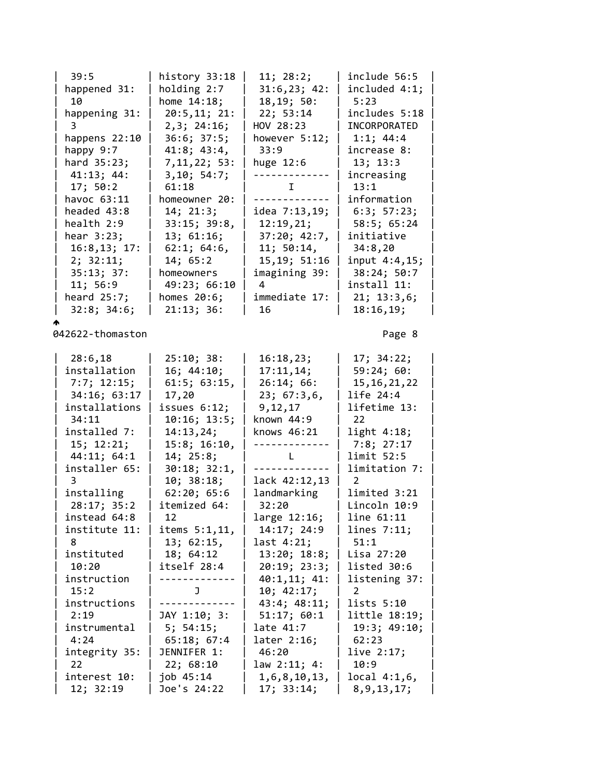| 39:5                          | history 33:18   | 11; 28:2;          | include 56:5              |  |
|-------------------------------|-----------------|--------------------|---------------------------|--|
| happened 31:                  | holding 2:7     | 31:6,23; 42:       | included 4:1;             |  |
| 10                            | home $14:18$ ;  | 18, 19; 50:        | 5:23                      |  |
| happening 31:                 | 20:5,11; 21:    | 22; 53:14          | includes 5:18             |  |
| 3                             | 2,3; 24:16;     | HOV 28:23          | INCORPORATED              |  |
| happens 22:10                 | 36:6; 37:5;     | however 5:12;      | 1:1; 44:4                 |  |
| happy 9:7                     | 41:8; 43:4,     | 33:9               | increase 8:               |  |
| hard 35:23;                   | 7, 11, 22; 53:  | huge 12:6          | 13; 13:3                  |  |
| 41:13; 44:                    | 3, 10; 54:7;    |                    | increasing                |  |
| 17; 50:2                      | 61:18           | Ι.                 | 13:1                      |  |
| havoc 63:11                   | homeowner 20:   | . <u>.</u>         | information               |  |
| headed 43:8                   | 14; 21:3;       | idea 7:13,19;      | 6:3; 57:23;               |  |
| health 2:9                    | 33:15; 39:8,    | 12:19,21;          | 58:5; 65:24               |  |
| hear $3:23$ ;                 | 13; 61:16;      | 37:20; 42:7,       | initiative                |  |
| 16:8,13; 17:                  | 62:1; 64:6,     | 11; 50:14,         | 34:8,20                   |  |
| 2; 32:11;                     | 14; 65:2        | 15, 19; 51: 16     | input 4:4,15;             |  |
|                               | homeowners      |                    |                           |  |
| 35:13; 37:                    |                 | imagining 39:<br>4 | 38:24; 50:7               |  |
| 11; 56:9                      | 49:23; 66:10    |                    | install 11:               |  |
| heard 25:7;                   | homes 20:6;     | immediate 17:      | 21; 13:3,6;               |  |
| 32:8; 34:6;                   | 21:13; 36:      | 16                 | 18:16,19;                 |  |
|                               |                 |                    |                           |  |
| 042622-thomaston              |                 |                    | Page 8                    |  |
| 28:6,18                       | 25:10; 38:      | 16:18,23;          | 17; 34:22;                |  |
| installation                  | 16; 44:10;      | 17:11,14;          | 59:24;60:                 |  |
| 7:7; 12:15;                   | 61:5; 63:15,    | 26:14; 66:         | 15, 16, 21, 22            |  |
|                               |                 |                    |                           |  |
| 34:16; 63:17<br>installations | 17,20           | 23; 67:3,6,        | life 24:4<br>lifetime 13: |  |
|                               | issues $6:12$ ; | 9,12,17            | 22                        |  |
| 34:11                         | 10:16; 13:5;    | known 44:9         |                           |  |
| installed 7:                  | 14:13,24;       | knows 46:21        | light 4:18;               |  |
| 15; 12:21;                    | 15:8; 16:10,    |                    | 7:8; 27:17                |  |
| 44:11; 64:1                   | 14; 25:8;       | L.                 | limit 52:5                |  |
| installer 65:                 | 30:18; 32:1,    |                    | limitation 7:             |  |
| 3                             | 10; 38:18;      | lack 42:12,13      | 2                         |  |
| installing                    | 62:20; 65:6     | landmarking        | limited 3:21              |  |
| 28:17; 35:2                   | itemized 64:    | 32:20              | Lincoln 10:9              |  |
| instead 64:8                  | 12              | large 12:16;       | line 61:11                |  |
| institute 11:                 | items 5:1,11,   | 14:17; 24:9        | lines $7:11;$             |  |
| 8                             | 13; 62:15,      | last 4:21;         | 51:1                      |  |
| instituted                    | 18; 64:12       | 13:20; 18:8;       | Lisa 27:20                |  |
| 10:20                         | itself 28:4     | 20:19; 23:3;       | listed 30:6               |  |
| instruction                   |                 | 40:1,11; 41:       | listening 37:             |  |
| 15:2                          | J               | 10; 42:17;         | 2                         |  |
| instructions                  |                 | 43:4; 48:11;       | lists 5:10                |  |
| 2:19                          | JAY 1:10; 3:    | 51:17; 60:1        | little 18:19;             |  |
| instrumental                  | 5; 54:15;       | late 41:7          | 19:3; 49:10;              |  |
| 4:24                          | 65:18; 67:4     | later 2:16;        | 62:23                     |  |
| integrity 35:                 | JENNIFER 1:     | 46:20              | live 2:17;                |  |
| 22                            | 22; 68:10       | law 2:11; 4:       | 10:9                      |  |
| interest 10:                  | job 45:14       | 1,6,8,10,13,       | local 4:1,6,              |  |
| 12; 32:19                     | Joe's 24:22     | 17; 33:14;         | 8, 9, 13, 17;             |  |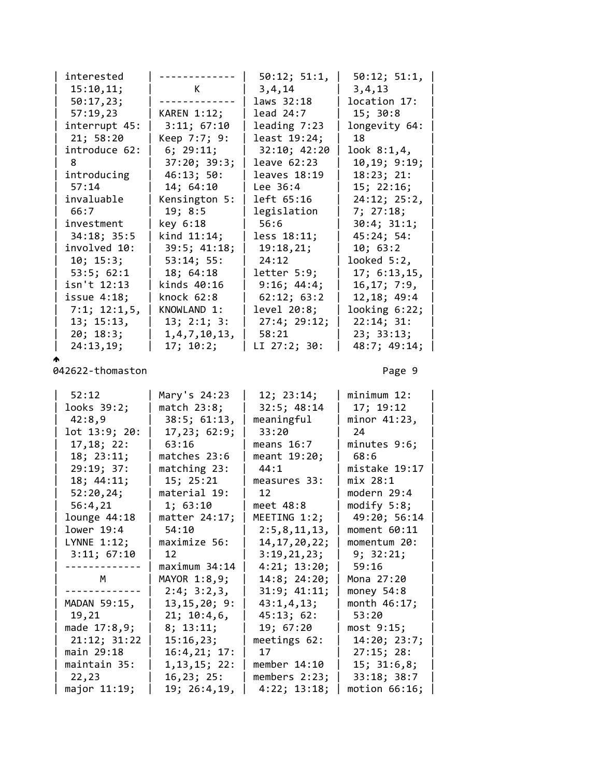| interested     | ------           | 50:12; 51:1,   | 50:12; 51:1,  |  |
|----------------|------------------|----------------|---------------|--|
| 15:10,11;      | $\mathsf K$      | 3, 4, 14       | 3,4,13        |  |
| 50:17,23;      |                  | laws 32:18     | location 17:  |  |
| 57:19,23       | KAREN 1:12;      | lead 24:7      | 15; 30:8      |  |
| interrupt 45:  | 3:11; 67:10      | leading $7:23$ | longevity 64: |  |
| 21; 58:20      | Keep 7:7; 9:     | least 19:24;   | 18            |  |
| introduce 62:  | 6; 29:11;        | 32:10; 42:20   | look 8:1,4,   |  |
| 8              | 37:20; 39:3;     | leave 62:23    | 10, 19; 9:19; |  |
| introducing    | 46:13; 50:       | leaves 18:19   | 18:23; 21:    |  |
| 57:14          | 14; 64:10        | Lee 36:4       | 15; 22:16;    |  |
| invaluable     | Kensington 5:    | left 65:16     | 24:12; 25:2,  |  |
| 66:7           | 19; 8:5          | legislation    | 7; 27:18;     |  |
| investment     | key 6:18         | 56:6           | 30:4; 31:1;   |  |
| 34:18; 35:5    | kind 11:14;      | less 18:11;    | 45:24;54:     |  |
| involved 10:   | 39:5; 41:18;     | 19:18,21;      | 10; 63:2      |  |
| 10; 15:3;      | 53:14; 55:       | 24:12          | looked 5:2,   |  |
| 53:5; 62:1     | 18; 64:18        | letter 5:9;    | 17; 6:13,15,  |  |
| isn't 12:13    | kinds 40:16      | 9:16; 44:4;    | 16, 17; 7:9,  |  |
| issue $4:18$ ; | knock 62:8       | 62:12; 63:2    | 12,18; 49:4   |  |
| 7:1; 12:1,5,   | KNOWLAND 1:      | level 20:8;    | looking 6:22; |  |
| 13; 15:13,     | 13; 2:1; 3:      | 27:4; 29:12;   | 22:14; 31:    |  |
| 20; 18:3;      | 1, 4, 7, 10, 13, | 58:21          | 23; 33:13;    |  |
| 24:13,19;      | 17; 10:2;        | LI 27:2; 30:   | 48:7; 49:14;  |  |
|                |                  |                |               |  |

| 52:12         | Mary's 24:23       | 12; 23:14;      | minimum 12:   |  |
|---------------|--------------------|-----------------|---------------|--|
| looks 39:2;   | match 23:8;        | 32:5; 48:14     | 17; 19:12     |  |
| 42:8,9        | $38:5$ ; $61:13$ , | meaningful      | minor 41:23,  |  |
| lot 13:9; 20: | 17,23; 62:9;       | 33:20           | 24            |  |
| 17, 18; 22:   | 63:16              | means $16:7$    | minutes 9:6;  |  |
| 18; 23:11;    | matches 23:6       | meant 19:20;    | 68:6          |  |
| 29:19; 37:    | matching 23:       | 44:1            | mistake 19:17 |  |
| 18; 44:11;    | 15; 25:21          | measures 33:    | mix 28:1      |  |
| 52:20,24;     | material 19:       | 12              | modern 29:4   |  |
| 56:4,21       | 1; 63:10           | meet 48:8       | modify 5:8;   |  |
| lounge 44:18  | matter 24:17;      | MEETING 1:2;    | 49:20; 56:14  |  |
| lower 19:4    | 54:10              | 2:5,8,11,13,    | moment 60:11  |  |
| LYNNE 1:12;   | maximize 56:       | 14, 17, 20, 22; | momentum 20:  |  |
| 3:11; 67:10   | 12                 | 3:19,21,23;     | 9; 32:21;     |  |
|               | maximum 34:14      | 4:21; 13:20;    | 59:16         |  |
| M             | MAYOR 1:8,9;       | 14:8; 24:20;    | Mona 27:20    |  |
|               | 2:4; 3:2,3,        | 31:9; 41:11;    | money $54:8$  |  |
| MADAN 59:15,  | 13, 15, 20; 9:     | 43:1,4,13;      | month 46:17;  |  |
| 19,21         | 21; 10:4,6,        | 45:13; 62:      | 53:20         |  |
| made 17:8,9;  | 8; 13:11;          | 19; 67:20       | most 9:15;    |  |
| 21:12; 31:22  | 15:16,23;          | meetings 62:    | 14:20; 23:7;  |  |
| main 29:18    | 16:4,21; 17:       | 17              | 27:15; 28:    |  |
| maintain 35:  | 1, 13, 15; 22:     | member 14:10    | 15; 31:6,8;   |  |
| 22,23         | 16, 23; 25:        | members $2:23;$ | 33:18; 38:7   |  |
| major 11:19;  | 19; 26:4, 19,      | 4:22; 13:18;    | motion 66:16; |  |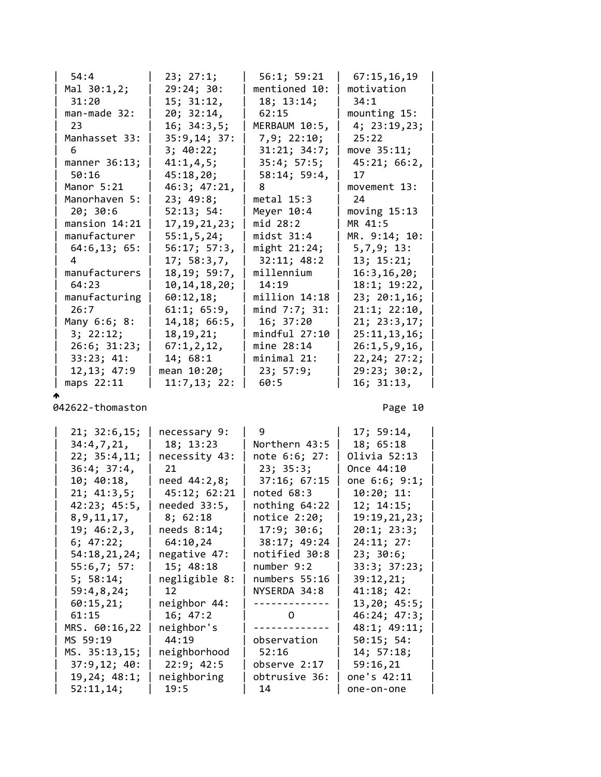| 54:4            | 23; 27:1;       | 56:1; 59:21   | 67:15,16,19     |  |
|-----------------|-----------------|---------------|-----------------|--|
| Mal 30:1,2;     | 29:24;30:       | mentioned 10: | motivation      |  |
| 31:20           | 15; 31:12,      | 18; 13:14;    | 34:1            |  |
| $man$ -made 32: | 20; 32:14,      | 62:15         | mounting 15:    |  |
| 23              | 16; 34:3,5;     | MERBAUM 10:5, | 4; 23:19,23;    |  |
| Manhasset 33:   | 35:9,14; 37:    | 7,9; 22:10;   | 25:22           |  |
| 6               | 3; 40:22;       | 31:21; 34:7;  | move 35:11;     |  |
| manner 36:13;   | 41:1,4,5;       | 35:4; 57:5;   | 45:21; 66:2,    |  |
| 50:16           | 45:18,20;       | 58:14; 59:4,  | 17              |  |
| Manor 5:21      | 46:3; 47:21,    |               | movement 13:    |  |
| Manorhaven 5:   | 23; 49:8;       | metal $15:3$  | 24              |  |
| 20; 30:6        | 52:13; 54:      | Meyer $10:4$  | moving $15:13$  |  |
| mansion $14:21$ | 17, 19, 21, 23; | mid 28:2      | MR 41:5         |  |
| manufacturer    | 55:1,5,24;      | $midst$ 31:4  | MR. 9:14; 10:   |  |
| 64:6,13;65:     | 56:17; 57:3,    | might 21:24;  | 5,7,9;13:       |  |
| Δ               | 17; 58:3,7,     | 32:11; 48:2   | 13; 15:21;      |  |
| manufacturers   | 18, 19; 59:7,   | millennium    | 16:3, 16, 20;   |  |
| 64:23           | 10, 14, 18, 20; | 14:19         | 18:1; 19:22,    |  |
| manufacturing   | 60:12,18;       | million 14:18 | 23; 20:1,16;    |  |
| 26:7            | 61:1; 65:9,     | mind 7:7; 31: | 21:1; 22:10,    |  |
| Many 6:6; 8:    | 14, 18; 66:5,   | 16; 37:20     | 21; 23:3,17;    |  |
| 3; 22:12;       | 18, 19, 21;     | mindful 27:10 | 25:11,13,16;    |  |
| 26:6; 31:23;    | 67:1,2,12,      | mine 28:14    | 26:1, 5, 9, 16, |  |
| 33:23; 41:      | 14; 68:1        | minimal 21:   | 22, 24; 27:2;   |  |
| 12, 13; 47:9    | mean 10:20;     | 23; 57:9;     | 29:23; 30:2,    |  |
| maps 22:11      | 11:7,13; 22:    | 60:5          | 16; 31:13,      |  |

ሖ

| 21; 32:6,15;   | necessary 9:  | $9 \left( \frac{1}{2} \right)$ | 17; 59:14,        |  |
|----------------|---------------|--------------------------------|-------------------|--|
| 34:4,7,21,     | 18; 13:23     | Northern 43:5                  | 18; 65:18         |  |
| 22; 35:4,11;   | necessity 43: | note 6:6; 27:                  | Olivia 52:13      |  |
| 36:4; 37:4,    | 21            | 23; 35:3;                      | Once 44:10        |  |
| 10; 40:18,     | need 44:2,8;  | 37:16; 67:15                   | one 6:6; 9:1;     |  |
| 21; 41:3,5;    | 45:12; 62:21  | noted 68:3                     | 10:20; 11:        |  |
| 42:23; 45:5,   | needed 33:5,  | nothing $64:22$                | 12; 14:15;        |  |
| 8, 9, 11, 17,  | 8; 62:18      | notice $2:20;$                 | 19:19,21,23;      |  |
| 19; 46:2,3,    | needs $8:14;$ | 17:9; 30:6;                    | $20:1$ ; $23:3$ ; |  |
| 6; 47:22;      | 64:10,24      | 38:17; 49:24                   | 24:11; 27:        |  |
| 54:18, 21, 24; | negative 47:  | notified 30:8                  | 23; 30:6;         |  |
| 55:6,7; 57:    | 15; 48:18     | number 9:2                     | 33:3; 37:23;      |  |
| 5; 58:14;      | negligible 8: | numbers 55:16                  | 39:12,21;         |  |
| 59:4,8,24;     | 12 and $\sim$ | NYSERDA 34:8                   | 41:18; 42:        |  |
| 60:15,21;      | neighbor 44:  | -------------                  | 13,20; 45:5;      |  |
| 61:15          | 16; 47:2      | $0 \qquad \qquad$              | 46:24; 47:3;      |  |
| MRS. 60:16,22  | neighbor's    |                                | 48:1; 49:11;      |  |
| MS 59:19       | 44:19         | observation                    | 50:15; 54:        |  |
| MS. 35:13,15;  | neighborhood  | 52:16                          | 14; 57:18;        |  |
| 37:9,12; 40:   | 22:9; 42:5    | observe 2:17                   | 59:16,21          |  |
| 19,24; 48:1;   | neighboring   | obtrusive 36:                  | one's 42:11       |  |
| 52:11,14;      | 19:5          | 14                             | one-on-one        |  |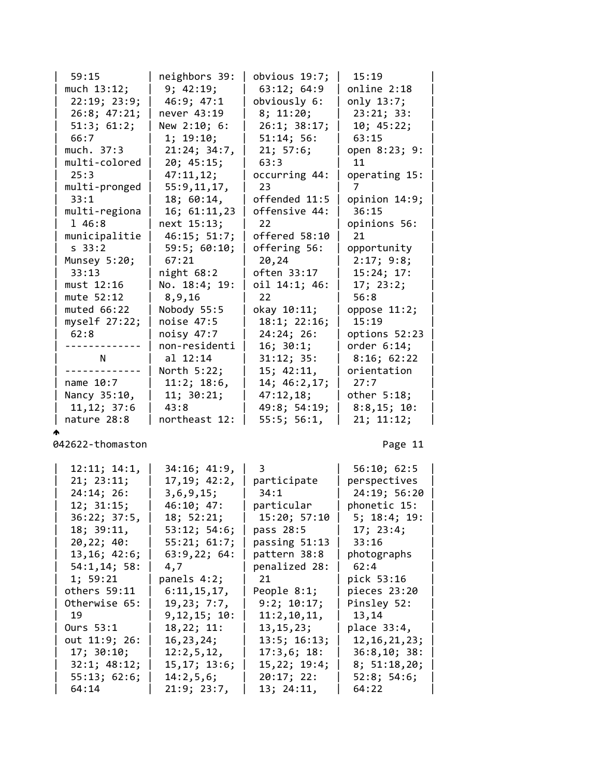| 59:15             | neighbors 39: | obvious 19:7;     | 15:19          |  |
|-------------------|---------------|-------------------|----------------|--|
| much $13:12;$     | 9; 42:19;     | 63:12; 64:9       | online 2:18    |  |
| 22:19; 23:9;      | 46:9; 47:1    | obviously 6:      | only 13:7;     |  |
| 26:8; 47:21;      | never 43:19   | 8; 11:20;         | 23:21; 33:     |  |
| 51:3; 61:2;       | New 2:10; 6:  | 26:1; 38:17;      | 10; 45:22;     |  |
| 66:7              | 1; 19:10;     | 51:14; 56:        | 63:15          |  |
| much. 37:3        | 21:24; 34:7,  | 21; 57:6;         | open 8:23; 9:  |  |
| multi-colored     | 20; 45:15;    | 63:3              | 11             |  |
| 25:3              | 47:11,12;     | occurring 44:     | operating 15:  |  |
| multi-pronged     | 55:9,11,17,   | 23                |                |  |
| 33:1              | 18; 60:14,    | offended 11:5     | opinion 14:9;  |  |
| multi-regiona     | 16; 61:11,23  | offensive 44:     | 36:15          |  |
| 1 46:8            | next 15:13;   | 22                | opinions 56:   |  |
| municipalitie     | 46:15; 51:7;  | offered 58:10     | 21             |  |
| S <sub>33:2</sub> | 59:5; 60:10;  | offering 56:      | opportunity    |  |
| Munsey 5:20;      | 67:21         | 20,24             | 2:17; 9:8;     |  |
| 33:13             | night $68:2$  | often 33:17       | 15:24; 17:     |  |
| must 12:16        | No. 18:4; 19: | oil 14:1; 46:     | 17; 23:2;      |  |
| mute 52:12        | 8,9,16        | 22                | 56:8           |  |
| muted $66:22$     | Nobody 55:5   | okay 10:11;       | oppose 11:2;   |  |
| myself $27:22;$   | noise $47:5$  | 18:1; 22:16;      | 15:19          |  |
| 62:8              | noisy 47:7    | 24:24;26:         | options 52:23  |  |
|                   | non-residenti | 16; 30:1;         | order $6:14$ ; |  |
| N                 | al 12:14      | 31:12; 35:        | 8:16; 62:22    |  |
|                   | North 5:22;   | 15; 42:11,        | orientation    |  |
| name 10:7         | 11:2; 18:6,   | 14; 46:2, 17;     | 27:7           |  |
| Nancy 35:10,      | 11; 30:21;    | 47:12,18;         | other 5:18;    |  |
| 11, 12; 37:6      | 43:8          | 49:8; 54:19;      | 8:8,15;10:     |  |
| nature 28:8       | northeast 12: | $55:5$ ; $56:1$ , | 21; 11:12;     |  |

ሖ

| 12:11; 14:1,  | 34:16; 41:9,   | $3 \sim 3$    | 56:10; 62:5       |  |
|---------------|----------------|---------------|-------------------|--|
| 21; 23:11;    | 17, 19; 42:2,  | participate   | perspectives      |  |
| 24:14; 26:    | 3, 6, 9, 15;   | 34:1          | 24:19; 56:20      |  |
| 12; 31:15;    | 46:10; 47:     | particular    | phonetic 15:      |  |
| 36:22; 37:5,  | 18; 52:21;     | 15:20; 57:10  | 5; 18:4; 19:      |  |
| 18; 39:11,    | 53:12; 54:6;   | pass 28:5     | 17; 23:4;         |  |
| 20, 22; 40:   | 55:21; 61:7;   | passing 51:13 | 33:16             |  |
| 13, 16; 42:6; | 63:9,22;64:    | pattern 38:8  | photographs       |  |
| 54:1,14;58:   | 4,7            | penalized 28: | 62:4              |  |
| 1; 59:21      | panels 4:2;    | 21 and $\sim$ | pick 53:16        |  |
| others 59:11  | 6:11,15,17,    | People 8:1;   | pieces 23:20      |  |
| Otherwise 65: | 19,23; 7:7,    | 9:2; 10:17;   | Pinsley 52:       |  |
|               | 9, 12, 15; 10: | 11:2,10,11,   | 13,14             |  |
| Ours 53:1     | 18, 22; 11:    | 13,15,23;     | place 33:4,       |  |
| out 11:9; 26: | 16,23,24;      | 13:5; 16:13;  | 12, 16, 21, 23;   |  |
| 17; 30:10;    | 12:2,5,12,     | 17:3,6; 18:   | 36:8,10; 38:      |  |
| 32:1; 48:12;  | 15, 17; 13:6;  | 15,22; 19:4;  | 8; 51:18,20;      |  |
| 55:13; 62:6;  | 14:2,5,6;      | 20:17; 22:    | $52:8$ ; $54:6$ ; |  |
| 64:14         | 21:9; 23:7,    | 13; 24:11,    | 64:22             |  |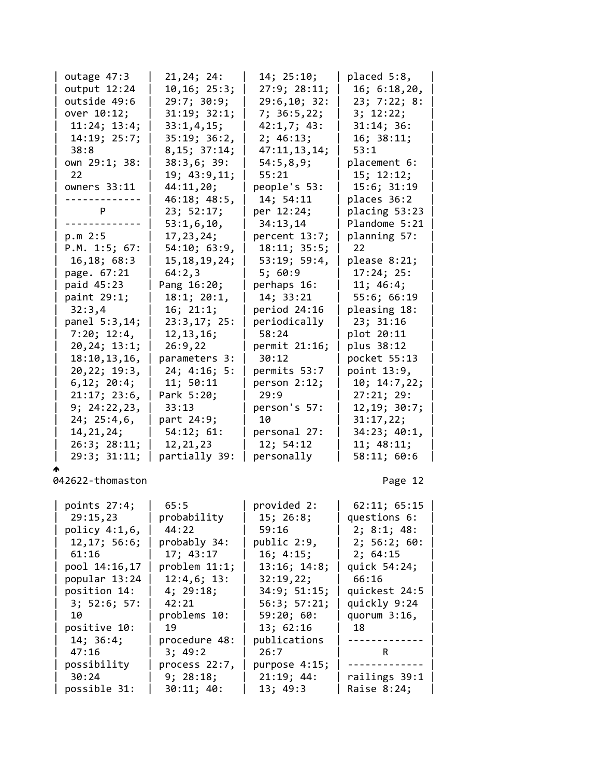| outage 47:3    | 21,24; 24:        | 14; 25:10;     | placed 5:8,     |  |
|----------------|-------------------|----------------|-----------------|--|
| output 12:24   | 10, 16; 25:3;     | 27:9; 28:11;   | 16; 6:18,20,    |  |
| outside 49:6   | 29:7; 30:9;       | 29:6, 10; 32:  | 23; 7:22; 8:    |  |
| over 10:12;    | 31:19; 32:1;      | 7; 36:5,22;    | 3; 12:22;       |  |
| 11:24; 13:4;   | 33:1,4,15;        | 42:1,7; 43:    | 31:14; 36:      |  |
| 14:19; 25:7;   | 35:19; 36:2,      | 2; 46:13;      | 16; 38:11;      |  |
| 38:8           | 8,15; 37:14;      | 47:11,13,14;   | 53:1            |  |
| own 29:1; 38:  | 38:3,6;39:        | 54:5,8,9;      | placement 6:    |  |
| 22             | 19; 43:9,11;      | 55:21          | 15; 12:12;      |  |
| owners 33:11   | 44:11,20;         | people's 53:   | 15:6; 31:19     |  |
|                | 46:18; 48:5,      | 14; 54:11      | places 36:2     |  |
| P.             | 23; 52:17;        | per 12:24;     | placing 53:23   |  |
|                | 53:1,6,10,        | 34:13,14       | Plandome 5:21   |  |
| p.m 2:5        | 17, 23, 24;       | percent 13:7;  | planning 57:    |  |
| P.M. 1:5; 67:  | 54:10; 63:9,      | 18:11; 35:5;   | 22 <sup>2</sup> |  |
| 16, 18; 68:3   | 15, 18, 19, 24;   | 53:19; 59:4,   | please 8:21;    |  |
| page. 67:21    | 64:2,3            | 5;60:9         | 17:24; 25:      |  |
| paid 45:23     | Pang 16:20;       | perhaps 16:    | 11; 46:4;       |  |
| paint 29:1;    | $18:1$ ; $20:1$ , | 14; 33:21      | 55:6; 66:19     |  |
| 32:3,4         | 16; 21:1;         | period 24:16   | pleasing 18:    |  |
| panel 5:3,14;  | 23:3,17; 25:      | periodically   | 23; 31:16       |  |
| 7:20; 12:4,    | 12, 13, 16;       | 58:24          | plot 20:11      |  |
| 20, 24; 13:1;  | 26:9,22           | permit 21:16;  | plus 38:12      |  |
| 18:10, 13, 16, | parameters 3:     | 30:12          | pocket 55:13    |  |
| 20, 22; 19:3,  | 24; 4:16; 5:      | permits 53:7   | point 13:9,     |  |
| 6, 12; 20:4;   | 11; 50:11         | person $2:12;$ | 10; 14:7,22;    |  |
| 21:17; 23:6,   | Park 5:20;        | 29:9           | 27:21; 29:      |  |
| 9; 24:22,23,   | 33:13             | person's 57:   | 12, 19; 30:7;   |  |
| 24; 25:4,6,    | part 24:9;        | 10             | 31:17,22;       |  |
| 14, 21, 24;    | 54:12; 61:        | personal 27:   | 34:23; 40:1,    |  |
| 26:3; 28:11;   | 12, 21, 23        | 12; 54:12      | 11; 48:11;      |  |
| 29:3; 31:11;   | partially 39:     | personally     | 58:11; 60:6     |  |

ሖ

| points $27:4;$ | 65:5          | provided 2:        | 62:11; 65:15    |
|----------------|---------------|--------------------|-----------------|
| 29:15,23       | probability   | 15; 26:8;          | questions 6:    |
| policy 4:1,6,  | 44:22         | 59:16              | 2; 8:1; 48:     |
| 12, 17; 56:6;  | probably 34:  | public 2:9,        | 2; 56:2; 60:    |
| 61:16          | 17; 43:17     | 16; 4:15;          | 2; 64:15        |
| pool 14:16,17  | problem 11:1; | 13:16; 14:8;       | quick 54:24;    |
| popular 13:24  | 12:4,6;13:    | 32:19,22;          | 66:16           |
| position 14:   | 4; 29:18;     | 34:9; 51:15;       | quickest 24:5   |
| 3; 52:6; 57:   | 42:21         | $56:3$ ; $57:21$ ; | quickly 9:24    |
| 10             | problems 10:  | 59:20;60:          | quorum $3:16$ , |
| positive 10:   | 19            | 13; 62:16          | 18              |
| 14; 36:4;      | procedure 48: | publications       | ------------    |
| 47:16          | 3; 49:2       | 26:7               | R               |
| possibility    | process 22:7, | purpose 4:15;      | -------         |
| 30:24          | 9; 28:18;     | 21:19; 44:         | railings 39:1   |
| possible 31:   | 30:11; 40:    | 13; 49:3           | Raise 8:24;     |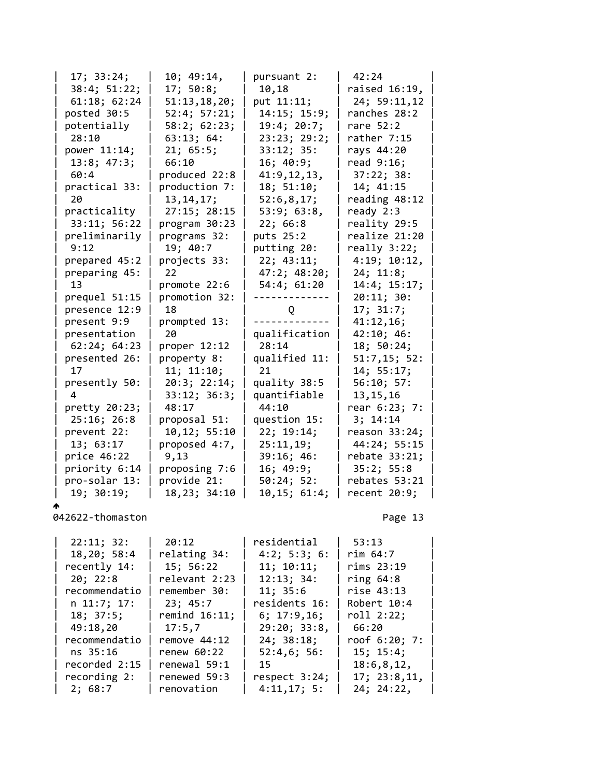| 17; 33:24;    | 10; 49:14,    | pursuant 2:   | 42:24          |  |
|---------------|---------------|---------------|----------------|--|
| 38:4; 51:22;  | 17; 50:8;     | 10,18         | raised 16:19,  |  |
| 61:18; 62:24  | 51:13,18,20;  | put 11:11;    | 24; 59:11,12   |  |
| posted 30:5   | 52:4; 57:21;  | 14:15; 15:9;  | ranches 28:2   |  |
| potentially   | 58:2; 62:23;  | 19:4; 20:7;   | rare 52:2      |  |
| 28:10         | 63:13; 64:    | 23:23; 29:2;  | rather 7:15    |  |
| power 11:14;  | 21; 65:5;     | 33:12; 35:    | rays 44:20     |  |
| 13:8; 47:3;   | 66:10         | 16; 40:9;     | read 9:16;     |  |
| 60:4          | produced 22:8 | 41:9,12,13,   | 37:22; 38:     |  |
| practical 33: | production 7: | 18; 51:10;    | 14; 41:15      |  |
| 20            | 13, 14, 17;   | 52:6,8,17;    | reading 48:12  |  |
| practicality  | 27:15; 28:15  | 53:9; 63:8,   | ready $2:3$    |  |
| 33:11; 56:22  | program 30:23 | 22; 66:8      | reality 29:5   |  |
| preliminarily | programs 32:  | puts 25:2     | realize 21:20  |  |
| 9:12          | 19; 40:7      | putting 20:   | $really$ 3:22; |  |
| prepared 45:2 | projects 33:  | 22; 43:11;    | 4:19; 10:12,   |  |
| preparing 45: | 22            | 47:2; 48:20;  | 24; 11:8;      |  |
| 13            | promote 22:6  | 54:4; 61:20   | 14:4; 15:17;   |  |
| prequel 51:15 | promotion 32: |               | 20:11; 30:     |  |
| presence 12:9 | 18            | Q             | 17; 31:7;      |  |
| present 9:9   | prompted 13:  |               | 41:12,16;      |  |
| presentation  | 20            | qualification | 42:10; 46:     |  |
| 62:24; 64:23  | proper 12:12  | 28:14         | 18; 50:24;     |  |
| presented 26: | property 8:   | qualified 11: | 51:7,15; 52:   |  |
| 17            | 11; 11:10;    | 21            | 14; 55:17;     |  |
| presently 50: | 20:3; 22:14;  | quality 38:5  | 56:10; 57:     |  |
| 4             | 33:12; 36:3;  | quantifiable  | 13, 15, 16     |  |
| pretty 20:23; | 48:17         | 44:10         | rear 6:23; 7:  |  |
| 25:16; 26:8   | proposal 51:  | question 15:  | 3; 14:14       |  |
| prevent 22:   | 10,12; 55:10  | 22; 19:14;    | reason 33:24;  |  |
| 13; 63:17     | proposed 4:7, | 25:11,19;     | 44:24; 55:15   |  |
| price 46:22   | 9,13          | 39:16; 46:    | rebate 33:21;  |  |
| priority 6:14 | proposing 7:6 | 16; 49:9;     | 35:2; 55:8     |  |
| pro-solar 13: | provide 21:   | 50:24; 52:    | rebates 53:21  |  |
| 19; 30:19;    | 18,23; 34:10  | 10, 15; 61:4; | recent 20:9;   |  |
|               |               |               |                |  |

| 22:11; 32:    | 20:12           | residential   | 53:13         |
|---------------|-----------------|---------------|---------------|
| 18,20; 58:4   | relating 34:    | 4:2; 5:3; 6:  | rim 64:7      |
| recently 14:  | 15; 56:22       | 11; 10:11;    | rims 23:19    |
| 20; 22:8      | relevant 2:23   | 12:13; 34:    | ring $64:8$   |
| recommendatio | remember 30:    | 11; 35:6      | rise 43:13    |
| n 11:7; 17:   | 23; 45:7        | residents 16: | Robert 10:4   |
| 18; 37:5;     | remind $16:11;$ | 6; 17:9,16;   | roll 2:22;    |
| 49:18,20      | 17:5,7          | 29:20; 33:8,  | 66:20         |
| recommendatio | remove $44:12$  | 24; 38:18;    | roof 6:20; 7: |
| ns 35:16      | renew 60:22     | 52:4,6;56:    | 15; 15:4;     |
| recorded 2:15 | renewal 59:1    | 15            | 18:6, 8, 12,  |
| recording 2:  | renewed 59:3    | respect 3:24; | 17; 23:8,11,  |
| 2; 68:7       | renovation      | 4:11,17;5:    | 24; 24:22,    |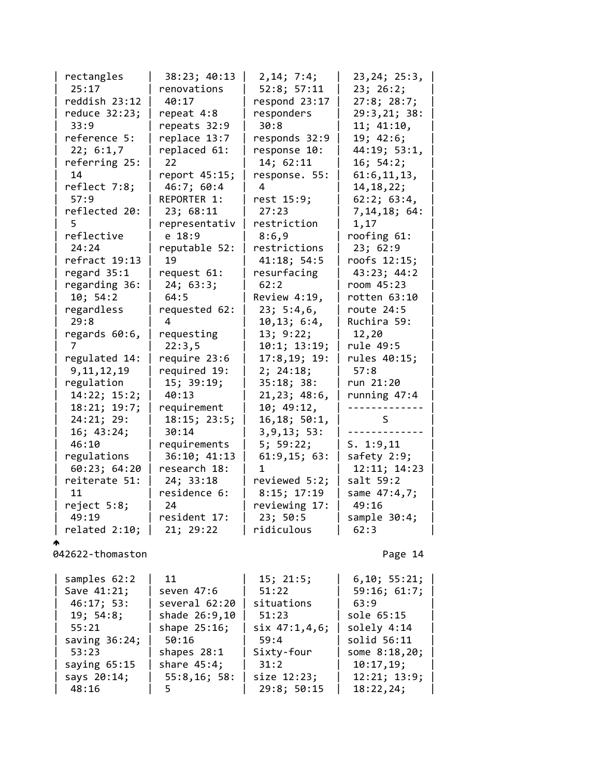| rectangles       | 38:23; 40:13    | 2, 14; 7:4;   | 23, 24; 25: 3, |
|------------------|-----------------|---------------|----------------|
| 25:17            | renovations     | 52:8; 57:11   | 23; 26:2;      |
| reddish 23:12    | 40:17           | respond 23:17 | 27:8; 28:7;    |
| reduce 32:23;    | repeat 4:8      | responders    | 29:3,21; 38:   |
| 33:9             | repeats 32:9    | 30:8          | 11; 41:10,     |
| reference 5:     | replace 13:7    | responds 32:9 | 19; 42:6;      |
| 22; 6:1,7        | replaced 61:    | response 10:  | 44:19; 53:1,   |
| referring 25:    | 22              | 14; 62:11     | 16; 54:2;      |
| 14               | report 45:15;   | response. 55: | 61:6, 11, 13,  |
| reflect 7:8;     | 46:7; 60:4      | 4             | 14, 18, 22;    |
| 57:9             | REPORTER 1:     | rest 15:9;    | 62:2; 63:4,    |
| reflected 20:    | 23; 68:11       | 27:23         | 7,14,18; 64:   |
| 5                | representativ   | restriction   | 1,17           |
| reflective       | e 18:9          | 8:6,9         | roofing 61:    |
| 24:24            | reputable 52:   | restrictions  | 23; 62:9       |
| refract 19:13    | 19              | 41:18; 54:5   | roofs 12:15;   |
| regard $35:1$    | request 61:     | resurfacing   | 43:23; 44:2    |
| regarding 36:    | 24; 63:3;       | 62:2          | room 45:23     |
| 10; 54:2         | 64:5            | Review 4:19,  | rotten 63:10   |
| regardless       | requested 62:   | 23; 5:4,6,    | route 24:5     |
| 29:8             | 4               | 10, 13; 6:4,  | Ruchira 59:    |
| regards 60:6,    | requesting      | 13; 9:22;     | 12,20          |
|                  | 22:3,5          | 10:1; 13:19;  | rule 49:5      |
| regulated 14:    | require 23:6    | 17:8,19;19:   | rules 40:15;   |
| 9, 11, 12, 19    | required 19:    | 2; 24:18;     | 57:8           |
| regulation       | 15; 39:19;      | 35:18; 38:    | run 21:20      |
| 14:22; 15:2;     | 40:13           | 21, 23; 48:6, | running 47:4   |
| 18:21; 19:7;     | requirement     | 10; 49:12,    |                |
| 24:21; 29:       | 18:15; 23:5;    | 16,18; 50:1,  | S              |
| 16; 43:24;       | 30:14           | 3, 9, 13; 53: |                |
| 46:10            | requirements    | 5; 59:22;     | S. 1:9,11      |
| regulations      | 36:10; 41:13    | 61:9,15;63:   | safety 2:9;    |
| 60:23; 64:20     | research 18:    | 1             | 12:11; 14:23   |
| reiterate 51:    | 24; 33:18       | reviewed 5:2; | salt 59:2      |
| 11               | residence 6:    | 8:15; 17:19   | same 47:4,7;   |
| reject 5:8;      | 24              | reviewing 17: | 49:16          |
| 49:19            | resident 17:    | 23; 50:5      | sample 30:4;   |
| related 2:10;    | 21; 29:22       | ridiculous    | 62:3           |
|                  |                 |               |                |
| 042622-thomaston |                 |               | Page 14        |
| samples 62:2     | 11              | 15; 21:5;     | 6, 10; 55:21;  |
| Save 41:21;      | seven 47:6      | 51:22         | 59:16; 61:7;   |
| 46:17; 53:       | several 62:20   | situations    | 63:9           |
| 19; 54:8;        | shade 26:9,10   | 51:23         | sole 65:15     |
| 55:21            | shape $25:16$ ; | six 47:1,4,6; | solely 4:14    |
| saving $36:24$ ; | 50:16           | 59:4          | solid 56:11    |
| 53:23            | shapes $28:1$   | Sixty-four    | some 8:18,20;  |
| saying $65:15$   | share $45:4;$   | 31:2          | 10:17,19;      |
| says 20:14;      | 55:8,16;58:     | size 12:23;   | 12:21; 13:9;   |
| 48:16            | 5               | 29:8; 50:15   | 18:22,24;      |
|                  |                 |               |                |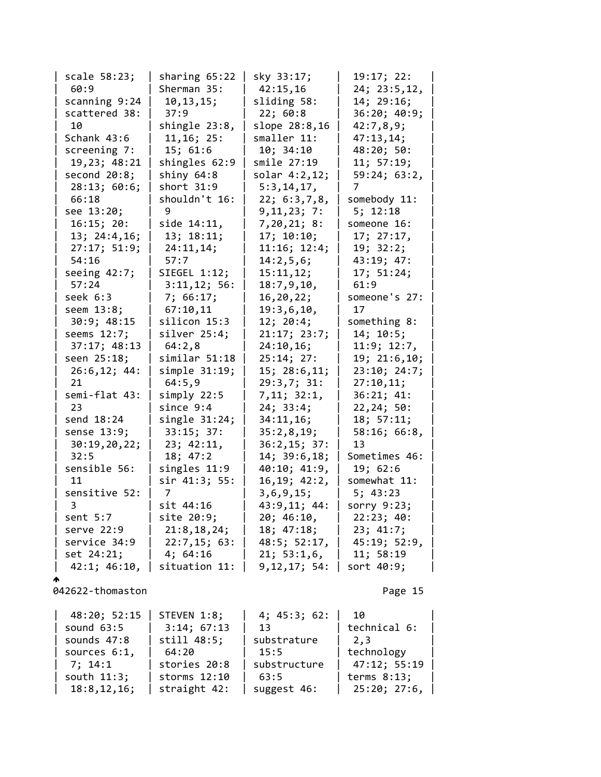| scale 58:23;    | sharing $65:22$  | sky 33:17;     | 19:17; 22:    |  |
|-----------------|------------------|----------------|---------------|--|
| 60:9            | Sherman 35:      | 42:15,16       | 24; 23:5, 12, |  |
| scanning 9:24   | 10, 13, 15;      | sliding 58:    | 14; 29:16;    |  |
| scattered 38:   | 37:9             | 22; 60:8       | 36:20; 40:9;  |  |
| 10              | shingle 23:8,    | slope 28:8,16  | 42:7,8,9;     |  |
| Schank 43:6     | 11, 16; 25:      | smaller 11:    | 47:13,14;     |  |
| screening 7:    | 15; 61:6         | 10; 34:10      | 48:20; 50:    |  |
| 19,23; 48:21    | shingles 62:9    | smile 27:19    | 11; 57:19;    |  |
| second $20:8$ ; | shiny $64:8$     | solar 4:2,12;  | 59:24; 63:2,  |  |
| 28:13; 60:6;    | short 31:9       | 5:3, 14, 17,   | 7             |  |
| 66:18           | shouldn't 16:    | 22; 6:3,7,8,   | somebody 11:  |  |
| see 13:20;      | 9                | 9, 11, 23; 7:  | 5; 12:18      |  |
| 16:15; 20:      | side 14:11,      | 7,20,21; 8:    | someone 16:   |  |
| 13; 24:4, 16;   | 13; 18:11;       | 17; 10:10;     | 17; 27:17,    |  |
| 27:17; 51:9;    | 24:11,14;        | 11:16; 12:4;   | 19; 32:2;     |  |
| 54:16           | 57:7             | 14:2,5,6;      | 43:19; 47:    |  |
| seeing $42:7$ ; | SIEGEL 1:12;     | 15:11,12;      | 17; 51:24;    |  |
| 57:24           | 3:11,12; 56:     | 18:7,9,10,     | 61:9          |  |
| seek 6:3        | 7; 66:17;        | 16, 20, 22;    | someone's 27: |  |
| seem 13:8;      | 67:10,11         | 19:3,6,10,     | 17            |  |
| 30:9; 48:15     | silicon 15:3     | 12; 20:4;      | something 8:  |  |
| seems 12:7;     | $silver$ 25:4;   | 21:17; 23:7;   | 14; 10:5;     |  |
| 37:17; 48:13    | 64:2,8           | 24:10,16;      | 11:9; 12:7,   |  |
| seen 25:18;     | similar 51:18    | 25:14; 27:     | 19; 21:6,10;  |  |
| 26:6,12; 44:    | simple 31:19;    | 15; 28:6, 11;  | 23:10; 24:7;  |  |
| 21              | 64:5,9           | 29:3,7; 31:    | 27:10,11;     |  |
| semi-flat 43:   | simply 22:5      | 7,11; 32:1,    | 36:21; 41:    |  |
| 23              | since $9:4$      | 24; 33:4;      | 22,24; 50:    |  |
| send 18:24      | single $31:24$ ; | 34:11,16;      | 18; 57:11;    |  |
| sense 13:9;     | 33:15; 37:       | 35:2,8,19;     | 58:16; 66:8,  |  |
| 30:19,20,22;    | 23; 42:11,       | 36:2,15; 37:   | 13            |  |
| 32:5            | 18; 47:2         | 14; 39:6, 18;  | Sometimes 46: |  |
| sensible 56:    | singles 11:9     | 40:10; 41:9,   | 19; 62:6      |  |
| 11              | sir 41:3; 55:    | 16, 19; 42: 2, | somewhat 11:  |  |
| sensitive 52:   | 7                | 3, 6, 9, 15;   | 5; 43:23      |  |
| 3               | sit 44:16        | 43:9,11; 44:   | sorry 9:23;   |  |
| sent $5:7$      | site 20:9;       | 20; 46:10,     | 22:23; 40:    |  |
| serve 22:9      | 21:8, 18, 24;    | 18; 47:18;     | 23; 41:7;     |  |
| service 34:9    | 22:7,15;63:      | 48:5; 52:17,   | 45:19; 52:9,  |  |
| set 24:21;      | 4;64:16          | 21; 53:1,6     | 11; 58:19     |  |
| 42:1; 46:10,    | situation 11:    | 9,12,17; 54:   | sort 40:9;    |  |

042622-thomaston 2012 2022 2023

 $\spadesuit$ 

| 48:20; 52:15  | STEVEN 1:8;  | 4; 45:3; 62: | - 10         |
|---------------|--------------|--------------|--------------|
| sound $63:5$  | 3:14; 67:13  | 13           | technical 6: |
| sounds 47:8   | still 48:5;  | substrature  | 2.3          |
| sources 6:1,  | 64:20        | 15:5         | technology   |
| 7; 14:1       | stories 20:8 | substructure | 47:12; 55:19 |
| south 11:3;   | storms 12:10 | 63:5         | terms 8:13;  |
| 18:8, 12, 16; | straight 42: | suggest 46:  | 25:20; 27:6, |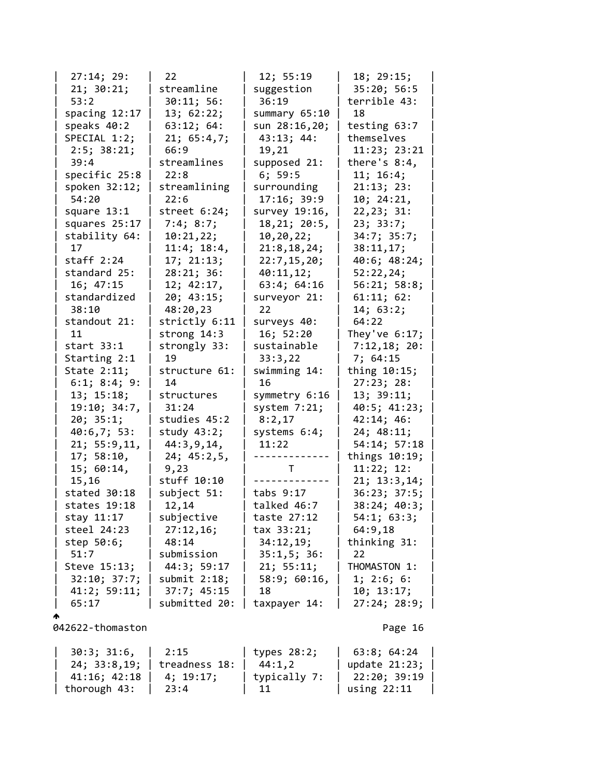| 27:14; 29:      | 22              | 12; 55:19       | 18; 29:15;       |
|-----------------|-----------------|-----------------|------------------|
| 21; 30:21;      | streamline      | suggestion      | 35:20; 56:5      |
| 53:2            | 30:11; 56:      | 36:19           | terrible 43:     |
| spacing $12:17$ | 13; 62:22;      | summary 65:10   | 18               |
| speaks 40:2     | 63:12; 64:      | sun 28:16,20;   | testing 63:7     |
| SPECIAL 1:2;    | 21; 65:4,7;     | 43:13; 44:      | themselves       |
| 2:5; 38:21;     | 66:9            | 19,21           | 11:23; 23:21     |
| 39:4            | streamlines     | supposed 21:    | there's $8:4$ ,  |
| specific 25:8   | 22:8            | 6; 59:5         | 11; 16:4;        |
| spoken 32:12;   | streamlining    | surrounding     | 21:13; 23:       |
| 54:20           | 22:6            | 17:16; 39:9     | 10; 24:21,       |
| square 13:1     | street $6:24$ ; | survey 19:16,   | 22, 23; 31:      |
| squares 25:17   | 7:4; 8:7;       | 18, 21; 20:5,   | 23; 33:7;        |
| stability 64:   | 10:21,22;       | 10, 20, 22;     | 34:7; 35:7;      |
| 17              | 11:4; 18:4,     | 21:8, 18, 24;   | 38:11,17;        |
| staff $2:24$    | 17; 21:13;      | 22:7, 15, 20;   | 40:6; 48:24;     |
| standard 25:    | 28:21; 36:      | 40:11,12;       | 52:22,24;        |
| 16; 47:15       | 12; 42:17,      | 63:4; 64:16     | 56:21; 58:8;     |
| standardized    | 20; 43:15;      | surveyor 21:    | 61:11; 62:       |
| 38:10           | 48:20,23        | 22              | 14; 63:2;        |
| standout 21:    | strictly 6:11   | surveys 40:     | 64:22            |
| 11              | strong 14:3     | 16; 52:20       | They've $6:17$ ; |
| start $33:1$    | strongly 33:    | sustainable     | 7:12,18; 20:     |
| Starting 2:1    | 19              | 33:3,22         | 7; 64:15         |
| State 2:11;     | structure 61:   | swimming 14:    | thing 10:15;     |
| 6:1; 8:4; 9:    | 14              | 16              | 27:23; 28:       |
| 13; 15:18;      | structures      | symmetry 6:16   | 13; 39:11;       |
| 19:10; 34:7,    | 31:24           | system $7:21$ ; | 40:5; 41:23;     |
| 20; 35:1;       | studies 45:2    | 8:2,17          | 42:14; 46:       |
| 40:6,7; 53:     | study $43:2;$   | systems 6:4;    | 24; 48:11;       |
| 21; 55:9,11,    | 44:3,9,14,      | 11:22           | 54:14; 57:18     |
| 17; 58:10,      | 24; 45:2,5,     | ------------    | things 10:19;    |
| 15; 60:14,      | 9,23            | T               | 11:22; 12:       |
| 15,16           | stuff 10:10     |                 | 21; 13:3,14;     |
| stated 30:18    | subject 51:     | tabs 9:17       | 36:23; 37:5;     |
| states 19:18    | 12,14           | talked 46:7     | 38:24; 40:3;     |
| stay 11:17      | subjective      | taste 27:12     | 54:1; 63:3;      |
| steel 24:23     | 27:12,16;       | tax 33:21;      | 64:9,18          |
| step 50:6;      | 48:14           | 34:12,19;       | thinking 31:     |
| 51:7            | submission      | 35:1,5;36:      | 22               |
| Steve 15:13;    | 44:3; 59:17     | 21; 55:11;      | THOMASTON 1:     |
| 32:10; 37:7;    | submit $2:18$ ; | 58:9; 60:16,    | 1; 2:6; 6:       |
| 41:2; 59:11;    | 37:7; 45:15     | 18              | 10; 13:17;       |
| 65:17           | submitted 20:   | taxpayer 14:    | 27:24; 28:9;     |
|                 |                 |                 |                  |

| $30:3$ ; $31:6$ ,   2:15 |                              | $\vert$ types 28:2; | $\vert$ 63:8; 64:24 $\vert$ |
|--------------------------|------------------------------|---------------------|-----------------------------|
|                          | 24; 33:8,19;   treadness 18: | 44:1.2              | update 21:23;               |
| 41:16; 42:18             | 4: 19:17:                    | typically 7:        | 22:20; 39:19                |
| thorough 43:             | - 23:4                       | 11                  | using 22:11                 |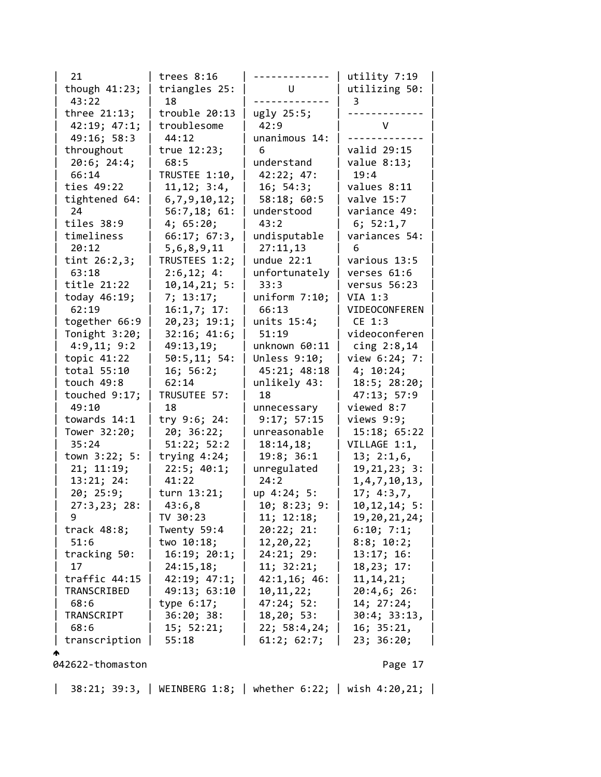| 21                         | trees $8:16$               | $- - - - - -$                | utility 7:19              |
|----------------------------|----------------------------|------------------------------|---------------------------|
| though $41:23$ ;           | triangles 25:              | $\mathsf{U}$                 | utilizing 50:             |
| 43:22                      | 18                         |                              | 3                         |
| three $21:13$ ;            | trouble 20:13              | ugly 25:5;                   |                           |
| 42:19; 47:1;               | troublesome                | 42:9                         | V                         |
| 49:16; 58:3                | 44:12                      | unanimous 14:                |                           |
| throughout                 | true 12:23;                | 6                            | valid 29:15               |
| 20:6; 24:4;                | 68:5                       | understand                   | value $8:13;$             |
| 66:14                      | TRUSTEE 1:10,              | 42:22; 47:                   | 19:4                      |
| ties 49:22                 | 11, 12; 3:4,               | 16; 54:3;                    | values 8:11               |
| tightened 64:              | 6,7,9,10,12;               | 58:18; 60:5                  | valve 15:7                |
| 24                         | 56:7,18;61:                | understood                   | variance 49:              |
| tiles 38:9                 | 4; 65:20;                  | 43:2                         | 6; 52:1,7                 |
| timeliness                 | 66:17; 67:3,               | undisputable                 | variances 54:             |
| 20:12                      | 5,6,8,9,11                 | 27:11,13                     | 6                         |
| tint $26:2,3;$             | TRUSTEES 1:2;              | undue $22:1$                 | various 13:5              |
| 63:18                      | 2:6,12; 4:                 | unfortunately                | verses 61:6               |
| title 21:22                | 10, 14, 21; 5:             | 33:3                         | versus 56:23              |
| today $46:19$ ;            | 7; 13:17;                  | uniform 7:10;                | VIA 1:3                   |
| 62:19                      | 16:1,7; 17:                | 66:13                        | VIDEOCONFEREN             |
| together 66:9              | 20,23; 19:1;               | units $15:4;$                | CE 1:3                    |
| Tonight 3:20;              | 32:16; 41:6;               | 51:19                        | videoconferen             |
| 4:9,11; 9:2                | 49:13,19;                  | unknown $60:11$              | cing $2:8,14$             |
| topic 41:22<br>total 55:10 | 50:5, 11; 54:<br>16; 56:2; | Unless 9:10;<br>45:21; 48:18 | view 6:24; 7:             |
| touch $49:8$               | 62:14                      | unlikely 43:                 | 4; 10:24;<br>18:5; 28:20; |
| touched $9:17$ ;           | TRUSUTEE 57:               | 18                           | 47:13; 57:9               |
| 49:10                      | 18                         | unnecessary                  | viewed 8:7                |
| towards 14:1               | try 9:6; 24:               | 9:17; 57:15                  | views 9:9;                |
| Tower 32:20;               | 20; 36:22;                 | unreasonable                 | 15:18; 65:22              |
| 35:24                      | 51:22; 52:2                | 18:14,18;                    | VILLAGE 1:1,              |
| town 3:22; 5:              | trying $4:24$ ;            | 19:8; 36:1                   | 13; 2:1,6                 |
| 21; 11:19;                 | 22:5; 40:1;                | unregulated                  | 19, 21, 23; 3:            |
| 13:21; 24:                 | 41:22                      | 24:2                         | 1, 4, 7, 10, 13,          |
| 20; 25:9;                  | turn 13:21;                | up 4:24; 5:                  | 17; 4:3,7,                |
| 27:3,23; 28:               | 43:6,8                     | 10; 8:23; 9:                 | 10, 12, 14; 5:            |
| 9                          | TV 30:23                   | 11; 12:18;                   | 19, 20, 21, 24;           |
| track $48:8$ ;             | Twenty 59:4                | 20:22; 21:                   | 6:10; 7:1;                |
| 51:6                       | two 10:18;                 | 12,20,22;                    | 8:8; 10:2;                |
| tracking 50:               | 16:19; 20:1;               | 24:21; 29:                   | 13:17; 16:                |
| 17                         | 24:15,18;                  | 11; 32:21;                   | 18, 23; 17:               |
| traffic 44:15              | 42:19; 47:1;               | 42:1,16; 46:                 | 11, 14, 21;               |
| TRANSCRIBED                | 49:13; 63:10               | 10, 11, 22;                  | 20:4,6;26:                |
| 68:6                       | type $6:17$ ;              | 47:24; 52:                   | 14; 27:24;                |
| TRANSCRIPT                 | 36:20; 38:                 | 18, 20; 53:                  | 30:4; 33:13,              |
| 68:6                       | 15; 52:21;                 | 22; 58:4,24;                 | 16; 35:21,                |
| transcription              | 55:18                      | 61:2; 62:7;                  | 23; 36:20;                |
|                            |                            |                              |                           |
| 042622-thomaston           |                            |                              | Page 17                   |

| 38:21; 39:3, | WEINBERG 1:8; | whether 6:22; | wish 4:20,21; |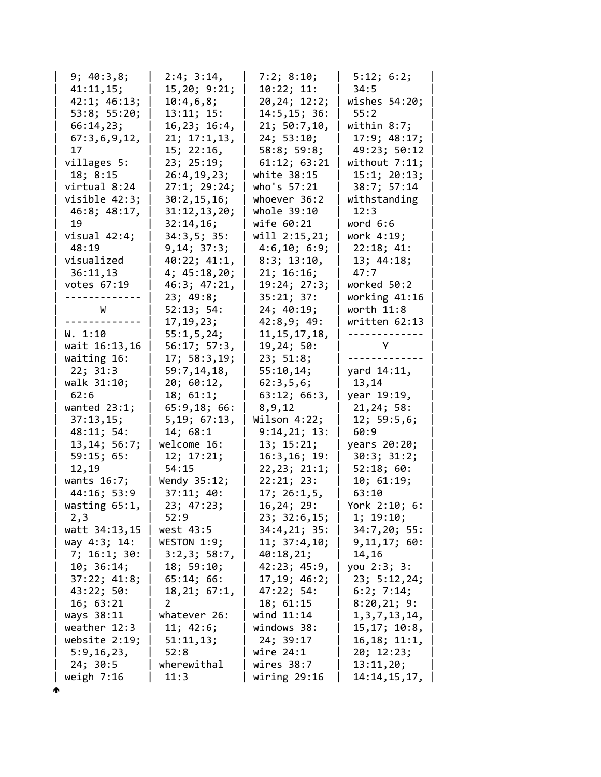| 9; 40:3,8;       | 2:4; 3:14,    | 7:2; 8:10;      | 5:12; 6:2;       |
|------------------|---------------|-----------------|------------------|
| 41:11,15;        | 15,20; 9:21;  | 10:22; 11:      | 34:5             |
| 42:1; 46:13;     | 10:4,6,8;     | 20,24; 12:2;    | wishes 54:20;    |
| 53:8; 55:20;     | 13:11; 15:    | 14:5, 15; 36:   | 55:2             |
| 66:14,23;        | 16,23; 16:4,  | 21; 50:7,10,    | within 8:7;      |
| 67:3,6,9,12,     | 21; 17:1,13,  | 24; 53:10;      | 17:9; 48:17;     |
| 17               | 15; 22:16,    | 58:8; 59:8;     | 49:23; 50:12     |
| villages 5:      | 23; 25:19;    | 61:12; 63:21    | without $7:11;$  |
| 18; 8:15         | 26:4, 19, 23; | white 38:15     | 15:1; 20:13;     |
| virtual 8:24     | 27:1; 29:24;  | who's 57:21     | 38:7; 57:14      |
| visible 42:3;    | 30:2, 15, 16; | whoever 36:2    | withstanding     |
| 46:8; 48:17,     | 31:12,13,20;  | whole 39:10     | 12:3             |
| 19               | 32:14,16;     | wife 60:21      | word 6:6         |
| visual $42:4;$   | 34:3,5;35:    | will 2:15,21;   | work 4:19;       |
| 48:19            | 9, 14; 37:3;  | 4:6,10; 6:9;    | 22:18; 41:       |
| visualized       | 40:22; 41:1,  | 8:3; 13:10,     | 13; 44:18;       |
| 36:11,13         | 4; 45:18,20;  | 21; 16:16;      | 47:7             |
| votes 67:19      | 46:3; 47:21,  | 19:24; 27:3;    | worked 50:2      |
|                  | 23; 49:8;     | 35:21; 37:      | working 41:16    |
| W                | 52:13; 54:    | 24; 40:19;      | worth 11:8       |
|                  | 17, 19, 23;   | 42:8,9;49:      | written 62:13    |
| W. 1:10          | 55:1, 5, 24;  | 11, 15, 17, 18, | ------           |
| wait 16:13,16    | 56:17; 57:3,  | 19,24; 50:      | Υ                |
| waiting 16:      | 17; 58:3,19;  | 23; 51:8;       |                  |
| 22; 31:3         | 59:7,14,18,   | 55:10,14;       | yard 14:11,      |
| walk 31:10;      | 20; 60:12,    | 62:3,5,6;       | 13,14            |
| 62:6             | 18; 61:1;     | 63:12; 66:3,    | year 19:19,      |
| wanted $23:1$ ;  | 65:9,18;66:   | 8,9,12          | 21, 24; 58:      |
| 37:13,15;        | 5,19; 67:13,  | Wilson 4:22;    | 12; 59:5,6;      |
| 48:11; 54:       | 14; 68:1      | 9:14,21;13:     | 60:9             |
| 13, 14; 56: 7;   | welcome 16:   | 13; 15:21;      | years 20:20;     |
| 59:15; 65:       | 12; 17:21;    | 16:3, 16; 19:   | 30:3; 31:2;      |
| 12,19            | 54:15         | 22, 23; 21:1;   | 52:18;60:        |
| wants 16:7;      | Wendy 35:12;  | 22:21; 23:      | 10; 61:19;       |
| 44:16; 53:9      | 37:11; 40:    | 17; 26:1,5      | 63:10            |
| wasting 65:1,    | 23; 47:23;    | 16, 24; 29:     | York 2:10; 6:    |
| 2,3              | 52:9          | 23; 32:6,15;    | 1; 19:10;        |
| watt 34:13,15    | west 43:5     | 34:4,21; 35:    | 34:7,20; 55:     |
| way 4:3; 14:     | WESTON 1:9;   | 11; 37:4,10;    | 9, 11, 17; 60:   |
| 7; 16:1; 30:     | 3:2,3; 58:7,  | 40:18,21;       | 14,16            |
| 10; 36:14;       | 18; 59:10;    | 42:23; 45:9,    | you 2:3; 3:      |
| 37:22; 41:8;     | 65:14; 66:    | 17,19; 46:2;    | 23; 5:12, 24;    |
| 43:22; 50:       | 18, 21; 67:1, | 47:22; 54:      | 6:2; 7:14;       |
| 16; 63:21        | 2             | 18; 61:15       | 8:20,21;9:       |
| ways 38:11       | whatever 26:  | wind $11:14$    | 1, 3, 7, 13, 14, |
| weather 12:3     | 11; 42:6;     | windows 38:     | 15, 17; 10:8,    |
| website $2:19$ ; | 51:11,13;     | 24; 39:17       | 16, 18; 11:1,    |
| 5:9,16,23,       | 52:8          | wire 24:1       | 20; 12:23;       |
| 24; 30:5         | wherewithal   | wires 38:7      | 13:11,20;        |
| weigh $7:16$     | 11:3          | wiring 29:16    | 14:14, 15, 17,   |
|                  |               |                 |                  |

ሖ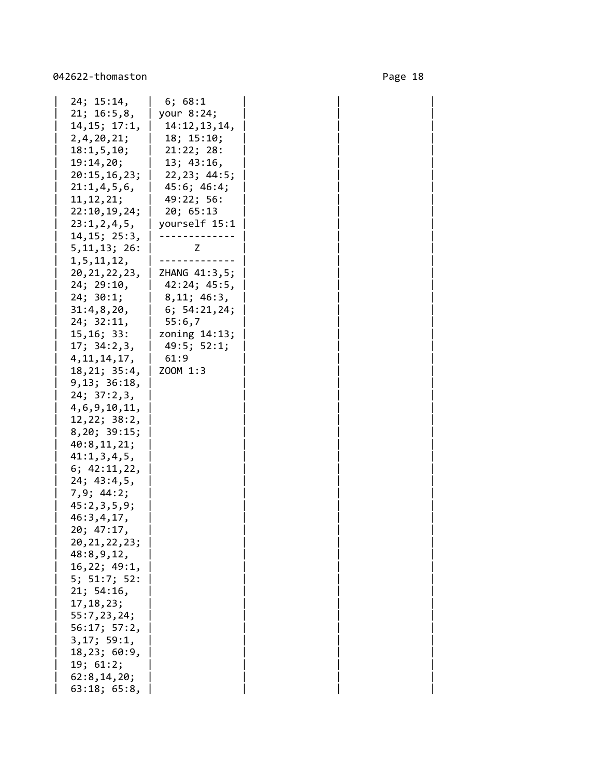| 24; 15:14,                 | 6; 68:1                          |  |
|----------------------------|----------------------------------|--|
| 21; 16:5,8,                | your $8:24$ ;                    |  |
| 14, 15; 17:1,              | 14:12, 13, 14,                   |  |
| 2, 4, 20, 21;              | 18; 15:10;                       |  |
| 18:1,5,10;                 | 21:22; 28:                       |  |
| 19:14,20;                  | 13; 43:16,                       |  |
|                            | 20:15, 16, 23;   22, 23; 44:5;   |  |
| 21:1,4,5,6                 | $45:6; 46:4;$                    |  |
| 11, 12, 21;                | $\vert$ 49:22; 56:               |  |
| 22:10, 19, 24;   20; 65:13 |                                  |  |
|                            | $23:1, 2, 4, 5,$   yourself 15:1 |  |
| 14, 15; 25:3,              |                                  |  |
| 5, 11, 13; 26:             | Z                                |  |
| 1,5,11,12,                 |                                  |  |
|                            | 20, 21, 22, 23, 2HANG 41: 3, 5;  |  |
| 24; 29:10,                 | 42:24; 45:5,                     |  |
| 24; 30:1;                  | 8,11; 46:3,                      |  |
| 31:4,8,20,                 | $6; 54:21,24;$                   |  |
| 24; 32:11,                 | 55:6,7                           |  |
|                            | 15,16; 33:   zoning 14:13;       |  |
| 17; 34:2,3,   49:5; 52:1;  |                                  |  |
| 4, 11, 14, 17,             | 61:9                             |  |
| 18, 21; 35:4,   200M 1:3   |                                  |  |
| 9,13; 36:18,               |                                  |  |
| 24; 37:2,3,                |                                  |  |
| 4,6,9,10,11,               |                                  |  |
| 12,22; 38:2,               |                                  |  |
| 8,20; 39:15;               |                                  |  |
| 40:8,11,21;                |                                  |  |
| 41:1,3,4,5,                |                                  |  |
| 6; $42:11,22$ ,            |                                  |  |
| 24; 43:4,5,                |                                  |  |
| 7,9; 44:2;                 |                                  |  |
| 45:2,3,5,9;                |                                  |  |
| 46:3,4,17,                 |                                  |  |
| 20; 47:17,                 |                                  |  |
| 20, 21, 22, 23;            |                                  |  |
| 48:8,9,12,                 |                                  |  |
| 16,22; 49:1,               |                                  |  |
| 5; 51:7; 52:               |                                  |  |
| 21; 54:16,                 |                                  |  |
| 17, 18, 23;                |                                  |  |
| 55:7,23,24;                |                                  |  |
| 56:17; 57:2,               |                                  |  |
| 3, 17; 59:1,               |                                  |  |
| 18,23; 60:9,               |                                  |  |
| 19; 61:2;                  |                                  |  |
| 62:8, 14, 20;              |                                  |  |
| 63:18; 65:8,               |                                  |  |
|                            |                                  |  |